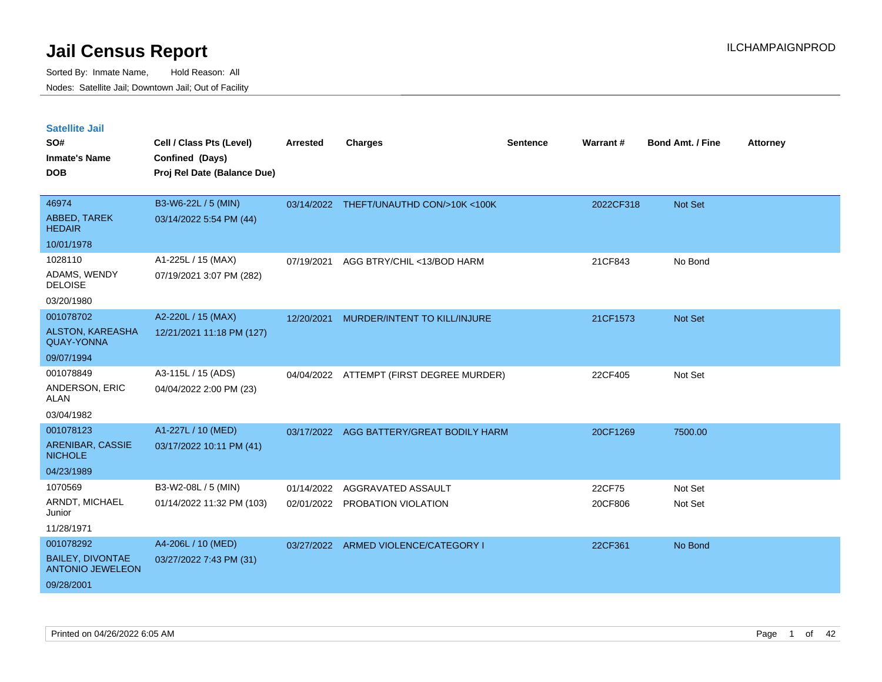| <b>Satellite Jail</b>                              |                             |                 |                                          |                 |           |                         |                 |
|----------------------------------------------------|-----------------------------|-----------------|------------------------------------------|-----------------|-----------|-------------------------|-----------------|
| SO#                                                | Cell / Class Pts (Level)    | <b>Arrested</b> | <b>Charges</b>                           | <b>Sentence</b> | Warrant#  | <b>Bond Amt. / Fine</b> | <b>Attorney</b> |
| <b>Inmate's Name</b>                               | Confined (Days)             |                 |                                          |                 |           |                         |                 |
| <b>DOB</b>                                         | Proj Rel Date (Balance Due) |                 |                                          |                 |           |                         |                 |
|                                                    |                             |                 |                                          |                 |           |                         |                 |
| 46974                                              | B3-W6-22L / 5 (MIN)         |                 | 03/14/2022 THEFT/UNAUTHD CON/>10K <100K  |                 | 2022CF318 | Not Set                 |                 |
| ABBED, TAREK<br><b>HEDAIR</b>                      | 03/14/2022 5:54 PM (44)     |                 |                                          |                 |           |                         |                 |
| 10/01/1978                                         |                             |                 |                                          |                 |           |                         |                 |
| 1028110                                            | A1-225L / 15 (MAX)          | 07/19/2021      | AGG BTRY/CHIL <13/BOD HARM               |                 | 21CF843   | No Bond                 |                 |
| ADAMS, WENDY<br><b>DELOISE</b>                     | 07/19/2021 3:07 PM (282)    |                 |                                          |                 |           |                         |                 |
| 03/20/1980                                         |                             |                 |                                          |                 |           |                         |                 |
| 001078702                                          | A2-220L / 15 (MAX)          | 12/20/2021      | MURDER/INTENT TO KILL/INJURE             |                 | 21CF1573  | Not Set                 |                 |
| ALSTON, KAREASHA<br><b>QUAY-YONNA</b>              | 12/21/2021 11:18 PM (127)   |                 |                                          |                 |           |                         |                 |
| 09/07/1994                                         |                             |                 |                                          |                 |           |                         |                 |
| 001078849                                          | A3-115L / 15 (ADS)          | 04/04/2022      | ATTEMPT (FIRST DEGREE MURDER)            |                 | 22CF405   | Not Set                 |                 |
| ANDERSON, ERIC<br>ALAN                             | 04/04/2022 2:00 PM (23)     |                 |                                          |                 |           |                         |                 |
| 03/04/1982                                         |                             |                 |                                          |                 |           |                         |                 |
| 001078123                                          | A1-227L / 10 (MED)          |                 | 03/17/2022 AGG BATTERY/GREAT BODILY HARM |                 | 20CF1269  | 7500.00                 |                 |
| ARENIBAR, CASSIE<br><b>NICHOLE</b>                 | 03/17/2022 10:11 PM (41)    |                 |                                          |                 |           |                         |                 |
| 04/23/1989                                         |                             |                 |                                          |                 |           |                         |                 |
| 1070569                                            | B3-W2-08L / 5 (MIN)         | 01/14/2022      | AGGRAVATED ASSAULT                       |                 | 22CF75    | Not Set                 |                 |
| ARNDT, MICHAEL<br>Junior                           | 01/14/2022 11:32 PM (103)   | 02/01/2022      | PROBATION VIOLATION                      |                 | 20CF806   | Not Set                 |                 |
| 11/28/1971                                         |                             |                 |                                          |                 |           |                         |                 |
| 001078292                                          | A4-206L / 10 (MED)          |                 | 03/27/2022 ARMED VIOLENCE/CATEGORY I     |                 | 22CF361   | No Bond                 |                 |
| <b>BAILEY, DIVONTAE</b><br><b>ANTONIO JEWELEON</b> | 03/27/2022 7:43 PM (31)     |                 |                                          |                 |           |                         |                 |
| 09/28/2001                                         |                             |                 |                                          |                 |           |                         |                 |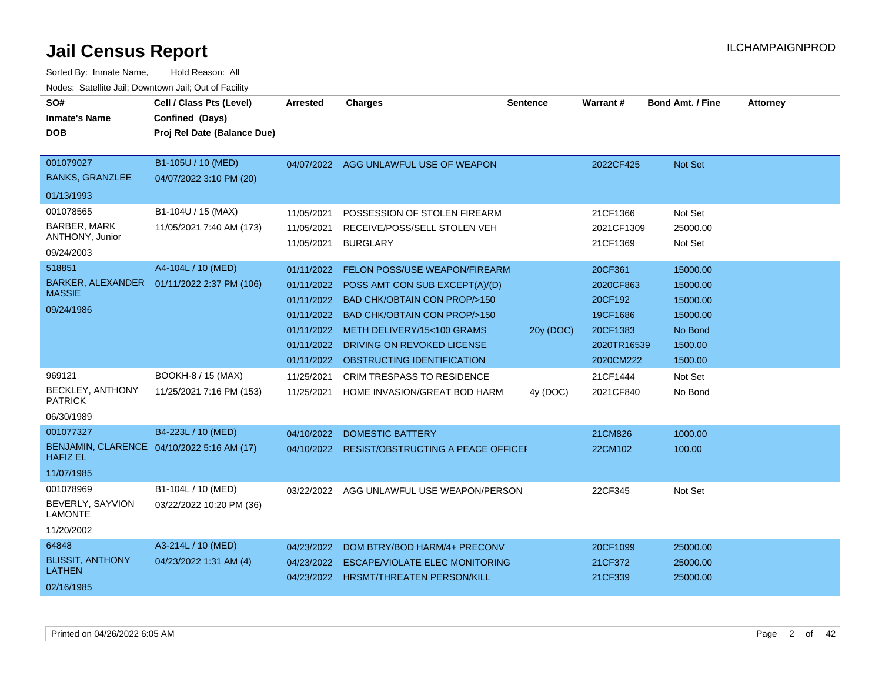| SO#<br><b>Inmate's Name</b><br><b>DOB</b>                         | Cell / Class Pts (Level)<br>Confined (Days)<br>Proj Rel Date (Balance Due) | <b>Arrested</b>                                                                                | <b>Charges</b>                                                                                                                                                                                                            | <b>Sentence</b> | Warrant#                                                                            | <b>Bond Amt. / Fine</b>                                                       | <b>Attorney</b> |
|-------------------------------------------------------------------|----------------------------------------------------------------------------|------------------------------------------------------------------------------------------------|---------------------------------------------------------------------------------------------------------------------------------------------------------------------------------------------------------------------------|-----------------|-------------------------------------------------------------------------------------|-------------------------------------------------------------------------------|-----------------|
| 001079027<br><b>BANKS, GRANZLEE</b>                               | B1-105U / 10 (MED)<br>04/07/2022 3:10 PM (20)                              | 04/07/2022                                                                                     | AGG UNLAWFUL USE OF WEAPON                                                                                                                                                                                                |                 | 2022CF425                                                                           | <b>Not Set</b>                                                                |                 |
| 01/13/1993                                                        |                                                                            |                                                                                                |                                                                                                                                                                                                                           |                 |                                                                                     |                                                                               |                 |
| 001078565<br><b>BARBER, MARK</b><br>ANTHONY, Junior<br>09/24/2003 | B1-104U / 15 (MAX)<br>11/05/2021 7:40 AM (173)                             | 11/05/2021<br>11/05/2021<br>11/05/2021                                                         | POSSESSION OF STOLEN FIREARM<br>RECEIVE/POSS/SELL STOLEN VEH<br><b>BURGLARY</b>                                                                                                                                           |                 | 21CF1366<br>2021CF1309<br>21CF1369                                                  | Not Set<br>25000.00<br>Not Set                                                |                 |
| 518851<br><b>BARKER, ALEXANDER</b><br><b>MASSIE</b><br>09/24/1986 | A4-104L / 10 (MED)<br>01/11/2022 2:37 PM (106)                             | 01/11/2022<br>01/11/2022<br>01/11/2022<br>01/11/2022<br>01/11/2022<br>01/11/2022<br>01/11/2022 | FELON POSS/USE WEAPON/FIREARM<br>POSS AMT CON SUB EXCEPT(A)/(D)<br>BAD CHK/OBTAIN CON PROP/>150<br>BAD CHK/OBTAIN CON PROP/>150<br>METH DELIVERY/15<100 GRAMS<br>DRIVING ON REVOKED LICENSE<br>OBSTRUCTING IDENTIFICATION | 20y (DOC)       | 20CF361<br>2020CF863<br>20CF192<br>19CF1686<br>20CF1383<br>2020TR16539<br>2020CM222 | 15000.00<br>15000.00<br>15000.00<br>15000.00<br>No Bond<br>1500.00<br>1500.00 |                 |
| 969121<br>BECKLEY, ANTHONY<br><b>PATRICK</b><br>06/30/1989        | BOOKH-8 / 15 (MAX)<br>11/25/2021 7:16 PM (153)                             | 11/25/2021<br>11/25/2021                                                                       | <b>CRIM TRESPASS TO RESIDENCE</b><br>HOME INVASION/GREAT BOD HARM                                                                                                                                                         | 4y (DOC)        | 21CF1444<br>2021CF840                                                               | Not Set<br>No Bond                                                            |                 |
| 001077327<br><b>HAFIZ EL</b><br>11/07/1985                        | B4-223L / 10 (MED)<br>BENJAMIN, CLARENCE 04/10/2022 5:16 AM (17)           | 04/10/2022                                                                                     | <b>DOMESTIC BATTERY</b><br>04/10/2022 RESIST/OBSTRUCTING A PEACE OFFICEF                                                                                                                                                  |                 | 21CM826<br>22CM102                                                                  | 1000.00<br>100.00                                                             |                 |
| 001078969<br>BEVERLY, SAYVION<br><b>LAMONTE</b><br>11/20/2002     | B1-104L / 10 (MED)<br>03/22/2022 10:20 PM (36)                             | 03/22/2022                                                                                     | AGG UNLAWFUL USE WEAPON/PERSON                                                                                                                                                                                            |                 | 22CF345                                                                             | Not Set                                                                       |                 |
| 64848<br><b>BLISSIT, ANTHONY</b><br><b>LATHEN</b><br>02/16/1985   | A3-214L / 10 (MED)<br>04/23/2022 1:31 AM (4)                               | 04/23/2022<br>04/23/2022<br>04/23/2022                                                         | DOM BTRY/BOD HARM/4+ PRECONV<br><b>ESCAPE/VIOLATE ELEC MONITORING</b><br><b>HRSMT/THREATEN PERSON/KILL</b>                                                                                                                |                 | 20CF1099<br>21CF372<br>21CF339                                                      | 25000.00<br>25000.00<br>25000.00                                              |                 |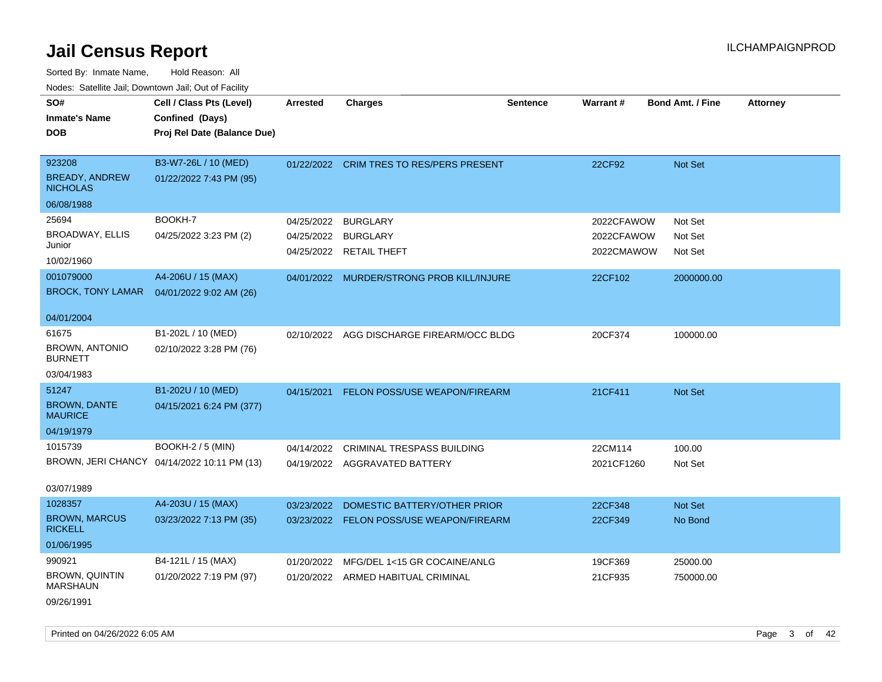| roaco. Catolino cali, Domntonn cali, Out of Facility |                                             |            |                                           |                 |            |                         |                 |
|------------------------------------------------------|---------------------------------------------|------------|-------------------------------------------|-----------------|------------|-------------------------|-----------------|
| SO#                                                  | Cell / Class Pts (Level)                    | Arrested   | <b>Charges</b>                            | <b>Sentence</b> | Warrant#   | <b>Bond Amt. / Fine</b> | <b>Attorney</b> |
| <b>Inmate's Name</b>                                 | Confined (Days)                             |            |                                           |                 |            |                         |                 |
| <b>DOB</b>                                           | Proj Rel Date (Balance Due)                 |            |                                           |                 |            |                         |                 |
|                                                      |                                             |            |                                           |                 |            |                         |                 |
| 923208                                               | B3-W7-26L / 10 (MED)                        |            | 01/22/2022 CRIM TRES TO RES/PERS PRESENT  |                 | 22CF92     | Not Set                 |                 |
| <b>BREADY, ANDREW</b><br><b>NICHOLAS</b>             | 01/22/2022 7:43 PM (95)                     |            |                                           |                 |            |                         |                 |
| 06/08/1988                                           |                                             |            |                                           |                 |            |                         |                 |
| 25694                                                | BOOKH-7                                     | 04/25/2022 | <b>BURGLARY</b>                           |                 | 2022CFAWOW | Not Set                 |                 |
| <b>BROADWAY, ELLIS</b>                               | 04/25/2022 3:23 PM (2)                      | 04/25/2022 | <b>BURGLARY</b>                           |                 | 2022CFAWOW | Not Set                 |                 |
| Junior                                               |                                             |            | 04/25/2022 RETAIL THEFT                   |                 | 2022CMAWOW | Not Set                 |                 |
| 10/02/1960                                           |                                             |            |                                           |                 |            |                         |                 |
| 001079000                                            | A4-206U / 15 (MAX)                          |            | 04/01/2022 MURDER/STRONG PROB KILL/INJURE |                 | 22CF102    | 2000000.00              |                 |
| <b>BROCK, TONY LAMAR</b>                             | 04/01/2022 9:02 AM (26)                     |            |                                           |                 |            |                         |                 |
| 04/01/2004                                           |                                             |            |                                           |                 |            |                         |                 |
| 61675                                                | B1-202L / 10 (MED)                          |            | 02/10/2022 AGG DISCHARGE FIREARM/OCC BLDG |                 | 20CF374    | 100000.00               |                 |
| <b>BROWN, ANTONIO</b><br><b>BURNETT</b>              | 02/10/2022 3:28 PM (76)                     |            |                                           |                 |            |                         |                 |
| 03/04/1983                                           |                                             |            |                                           |                 |            |                         |                 |
| 51247                                                | B1-202U / 10 (MED)                          | 04/15/2021 | FELON POSS/USE WEAPON/FIREARM             |                 | 21CF411    | Not Set                 |                 |
| <b>BROWN, DANTE</b><br><b>MAURICE</b>                | 04/15/2021 6:24 PM (377)                    |            |                                           |                 |            |                         |                 |
| 04/19/1979                                           |                                             |            |                                           |                 |            |                         |                 |
| 1015739                                              | <b>BOOKH-2 / 5 (MIN)</b>                    |            | 04/14/2022 CRIMINAL TRESPASS BUILDING     |                 | 22CM114    | 100.00                  |                 |
|                                                      | BROWN, JERI CHANCY 04/14/2022 10:11 PM (13) |            | 04/19/2022 AGGRAVATED BATTERY             |                 | 2021CF1260 | Not Set                 |                 |
| 03/07/1989                                           |                                             |            |                                           |                 |            |                         |                 |
| 1028357                                              | A4-203U / 15 (MAX)                          | 03/23/2022 | DOMESTIC BATTERY/OTHER PRIOR              |                 | 22CF348    | Not Set                 |                 |
| <b>BROWN, MARCUS</b><br><b>RICKELL</b>               | 03/23/2022 7:13 PM (35)                     |            | 03/23/2022 FELON POSS/USE WEAPON/FIREARM  |                 | 22CF349    | No Bond                 |                 |
| 01/06/1995                                           |                                             |            |                                           |                 |            |                         |                 |
| 990921                                               | B4-121L / 15 (MAX)                          | 01/20/2022 | MFG/DEL 1<15 GR COCAINE/ANLG              |                 | 19CF369    | 25000.00                |                 |
| <b>BROWN, QUINTIN</b><br><b>MARSHAUN</b>             | 01/20/2022 7:19 PM (97)                     |            | 01/20/2022 ARMED HABITUAL CRIMINAL        |                 | 21CF935    | 750000.00               |                 |
| 09/26/1991                                           |                                             |            |                                           |                 |            |                         |                 |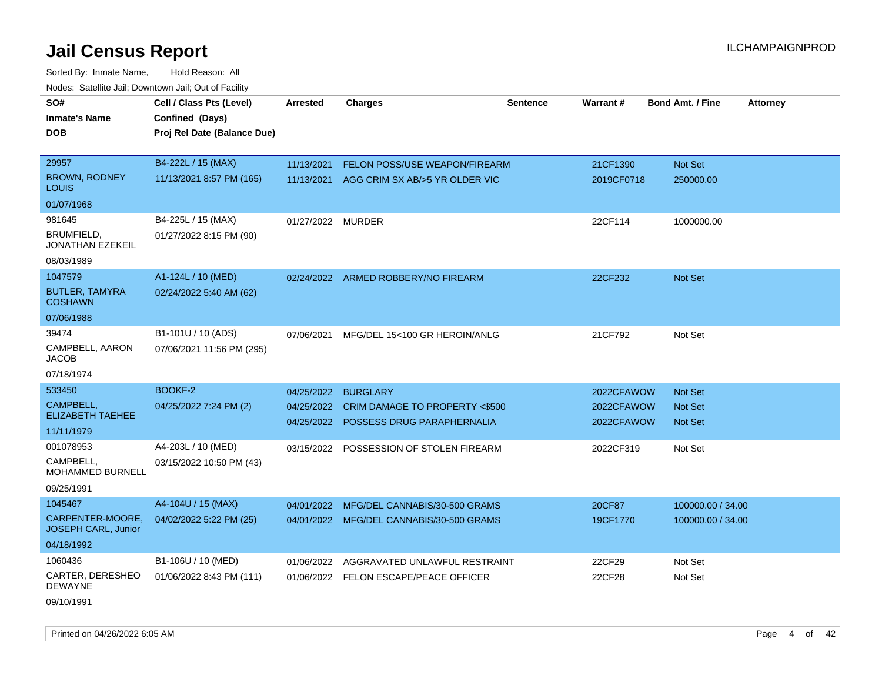| SO#                                            | Cell / Class Pts (Level)    | <b>Arrested</b>   | Charges                                   | <b>Sentence</b> | Warrant#   | <b>Bond Amt. / Fine</b><br><b>Attorney</b> |  |
|------------------------------------------------|-----------------------------|-------------------|-------------------------------------------|-----------------|------------|--------------------------------------------|--|
| <b>Inmate's Name</b>                           | Confined (Days)             |                   |                                           |                 |            |                                            |  |
| <b>DOB</b>                                     | Proj Rel Date (Balance Due) |                   |                                           |                 |            |                                            |  |
|                                                |                             |                   |                                           |                 |            |                                            |  |
| 29957                                          | B4-222L / 15 (MAX)          | 11/13/2021        | <b>FELON POSS/USE WEAPON/FIREARM</b>      |                 | 21CF1390   | Not Set                                    |  |
| <b>BROWN, RODNEY</b><br>LOUIS                  | 11/13/2021 8:57 PM (165)    |                   | 11/13/2021 AGG CRIM SX AB/>5 YR OLDER VIC |                 | 2019CF0718 | 250000.00                                  |  |
| 01/07/1968                                     |                             |                   |                                           |                 |            |                                            |  |
| 981645                                         | B4-225L / 15 (MAX)          | 01/27/2022 MURDER |                                           |                 | 22CF114    | 1000000.00                                 |  |
| <b>BRUMFIELD,</b><br>JONATHAN EZEKEIL          | 01/27/2022 8:15 PM (90)     |                   |                                           |                 |            |                                            |  |
| 08/03/1989                                     |                             |                   |                                           |                 |            |                                            |  |
| 1047579                                        | A1-124L / 10 (MED)          |                   | 02/24/2022 ARMED ROBBERY/NO FIREARM       |                 | 22CF232    | Not Set                                    |  |
| <b>BUTLER, TAMYRA</b><br><b>COSHAWN</b>        | 02/24/2022 5:40 AM (62)     |                   |                                           |                 |            |                                            |  |
| 07/06/1988                                     |                             |                   |                                           |                 |            |                                            |  |
| 39474                                          | B1-101U / 10 (ADS)          | 07/06/2021        | MFG/DEL 15<100 GR HEROIN/ANLG             |                 | 21CF792    | Not Set                                    |  |
| CAMPBELL, AARON<br><b>JACOB</b>                | 07/06/2021 11:56 PM (295)   |                   |                                           |                 |            |                                            |  |
| 07/18/1974                                     |                             |                   |                                           |                 |            |                                            |  |
| 533450                                         | BOOKF-2                     | 04/25/2022        | <b>BURGLARY</b>                           |                 | 2022CFAWOW | Not Set                                    |  |
| CAMPBELL.                                      | 04/25/2022 7:24 PM (2)      |                   | 04/25/2022 CRIM DAMAGE TO PROPERTY <\$500 |                 | 2022CFAWOW | <b>Not Set</b>                             |  |
| ELIZABETH TAEHEE                               |                             |                   | 04/25/2022 POSSESS DRUG PARAPHERNALIA     |                 | 2022CFAWOW | Not Set                                    |  |
| 11/11/1979                                     |                             |                   |                                           |                 |            |                                            |  |
| 001078953                                      | A4-203L / 10 (MED)          | 03/15/2022        | POSSESSION OF STOLEN FIREARM              |                 | 2022CF319  | Not Set                                    |  |
| CAMPBELL.<br>MOHAMMED BURNELL                  | 03/15/2022 10:50 PM (43)    |                   |                                           |                 |            |                                            |  |
| 09/25/1991                                     |                             |                   |                                           |                 |            |                                            |  |
| 1045467                                        | A4-104U / 15 (MAX)          | 04/01/2022        | MFG/DEL CANNABIS/30-500 GRAMS             |                 | 20CF87     | 100000.00 / 34.00                          |  |
| CARPENTER-MOORE,<br><b>JOSEPH CARL, Junior</b> | 04/02/2022 5:22 PM (25)     |                   | 04/01/2022 MFG/DEL CANNABIS/30-500 GRAMS  |                 | 19CF1770   | 100000.00 / 34.00                          |  |
| 04/18/1992                                     |                             |                   |                                           |                 |            |                                            |  |
| 1060436                                        | B1-106U / 10 (MED)          | 01/06/2022        | AGGRAVATED UNLAWFUL RESTRAINT             |                 | 22CF29     | Not Set                                    |  |
| CARTER, DERESHEO<br><b>DEWAYNE</b>             | 01/06/2022 8:43 PM (111)    |                   | 01/06/2022 FELON ESCAPE/PEACE OFFICER     |                 | 22CF28     | Not Set                                    |  |
| 09/10/1991                                     |                             |                   |                                           |                 |            |                                            |  |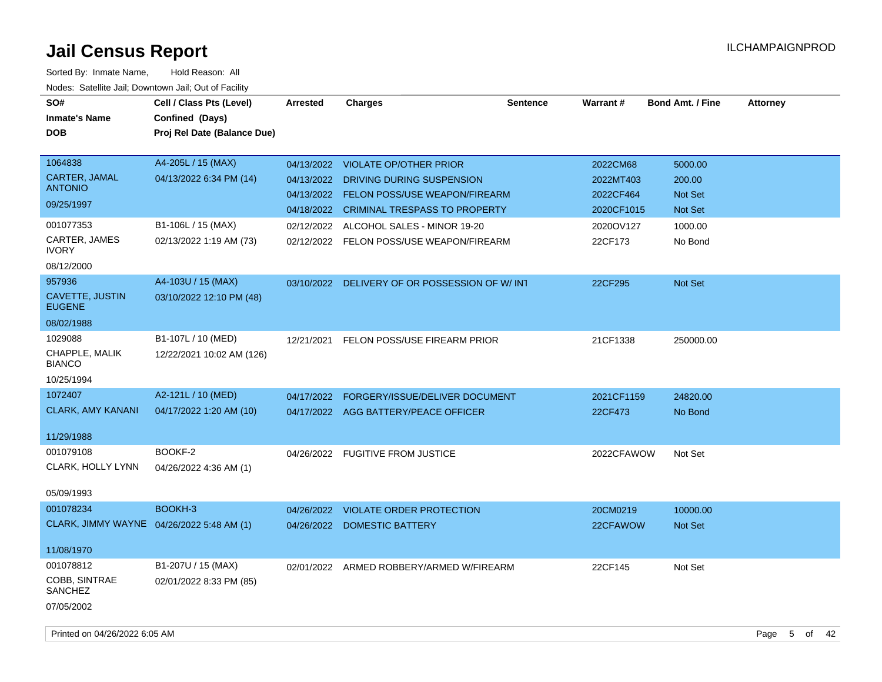| SO#<br><b>Inmate's Name</b><br><b>DOB</b>                             | Cell / Class Pts (Level)<br>Confined (Days)<br>Proj Rel Date (Balance Due) | <b>Arrested</b>                        | <b>Charges</b>                                                                                                                          | <b>Sentence</b> | <b>Warrant#</b>                                  | <b>Bond Amt. / Fine</b>                        | <b>Attorney</b> |
|-----------------------------------------------------------------------|----------------------------------------------------------------------------|----------------------------------------|-----------------------------------------------------------------------------------------------------------------------------------------|-----------------|--------------------------------------------------|------------------------------------------------|-----------------|
| 1064838<br>CARTER, JAMAL<br><b>ANTONIO</b><br>09/25/1997<br>001077353 | A4-205L / 15 (MAX)<br>04/13/2022 6:34 PM (14)                              | 04/13/2022<br>04/13/2022<br>04/18/2022 | 04/13/2022 VIOLATE OP/OTHER PRIOR<br>DRIVING DURING SUSPENSION<br><b>FELON POSS/USE WEAPON/FIREARM</b><br>CRIMINAL TRESPASS TO PROPERTY |                 | 2022CM68<br>2022MT403<br>2022CF464<br>2020CF1015 | 5000.00<br>200.00<br><b>Not Set</b><br>Not Set |                 |
| CARTER, JAMES<br><b>IVORY</b><br>08/12/2000                           | B1-106L / 15 (MAX)<br>02/13/2022 1:19 AM (73)                              | 02/12/2022                             | 02/12/2022 ALCOHOL SALES - MINOR 19-20<br>FELON POSS/USE WEAPON/FIREARM                                                                 |                 | 2020OV127<br>22CF173                             | 1000.00<br>No Bond                             |                 |
| 957936<br>CAVETTE, JUSTIN<br><b>EUGENE</b><br>08/02/1988              | A4-103U / 15 (MAX)<br>03/10/2022 12:10 PM (48)                             |                                        | 03/10/2022 DELIVERY OF OR POSSESSION OF W/ INT                                                                                          |                 | 22CF295                                          | Not Set                                        |                 |
| 1029088<br>CHAPPLE, MALIK<br><b>BIANCO</b><br>10/25/1994              | B1-107L / 10 (MED)<br>12/22/2021 10:02 AM (126)                            | 12/21/2021                             | FELON POSS/USE FIREARM PRIOR                                                                                                            |                 | 21CF1338                                         | 250000.00                                      |                 |
| 1072407<br><b>CLARK, AMY KANANI</b><br>11/29/1988                     | A2-121L / 10 (MED)<br>04/17/2022 1:20 AM (10)                              | 04/17/2022                             | FORGERY/ISSUE/DELIVER DOCUMENT<br>04/17/2022 AGG BATTERY/PEACE OFFICER                                                                  |                 | 2021CF1159<br>22CF473                            | 24820.00<br>No Bond                            |                 |
| 001079108<br>CLARK, HOLLY LYNN<br>05/09/1993                          | BOOKF-2<br>04/26/2022 4:36 AM (1)                                          |                                        | 04/26/2022 FUGITIVE FROM JUSTICE                                                                                                        |                 | 2022CFAWOW                                       | Not Set                                        |                 |
| 001078234<br>CLARK, JIMMY WAYNE 04/26/2022 5:48 AM (1)<br>11/08/1970  | BOOKH-3                                                                    | 04/26/2022                             | <b>VIOLATE ORDER PROTECTION</b><br>04/26/2022 DOMESTIC BATTERY                                                                          |                 | 20CM0219<br>22CFAWOW                             | 10000.00<br>Not Set                            |                 |
| 001078812<br>COBB, SINTRAE<br><b>SANCHEZ</b><br>07/05/2002            | B1-207U / 15 (MAX)<br>02/01/2022 8:33 PM (85)                              |                                        | 02/01/2022 ARMED ROBBERY/ARMED W/FIREARM                                                                                                |                 | 22CF145                                          | Not Set                                        |                 |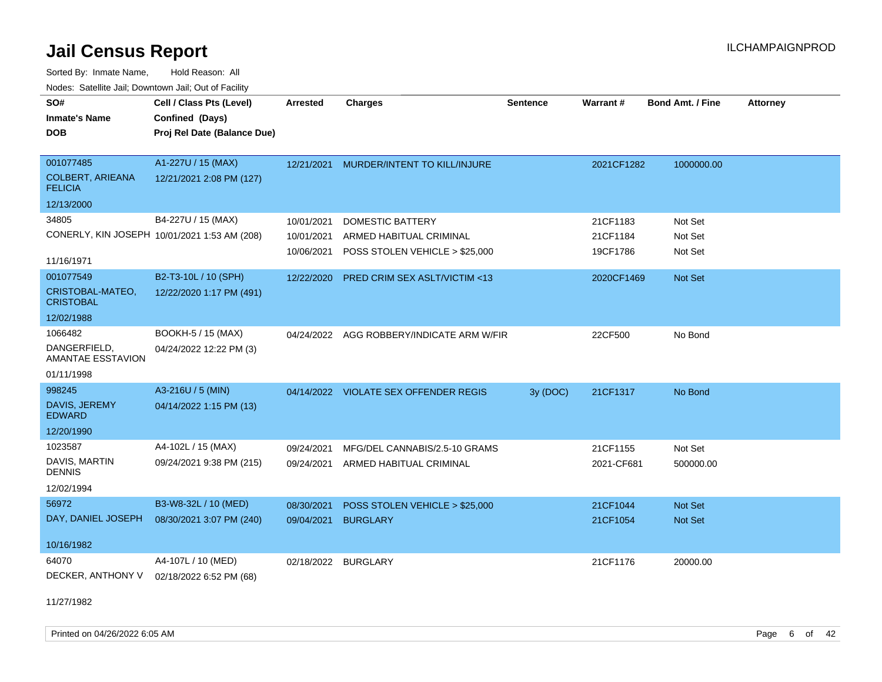Sorted By: Inmate Name, Hold Reason: All Nodes: Satellite Jail; Downtown Jail; Out of Facility

| SO#                                       | Cell / Class Pts (Level)                     | <b>Arrested</b> | <b>Charges</b>                        | <b>Sentence</b> | Warrant#   | <b>Bond Amt. / Fine</b> | <b>Attorney</b> |
|-------------------------------------------|----------------------------------------------|-----------------|---------------------------------------|-----------------|------------|-------------------------|-----------------|
| <b>Inmate's Name</b>                      | Confined (Days)                              |                 |                                       |                 |            |                         |                 |
| <b>DOB</b>                                | Proj Rel Date (Balance Due)                  |                 |                                       |                 |            |                         |                 |
|                                           |                                              |                 |                                       |                 |            |                         |                 |
| 001077485                                 | A1-227U / 15 (MAX)                           | 12/21/2021      | MURDER/INTENT TO KILL/INJURE          |                 | 2021CF1282 | 1000000.00              |                 |
| <b>COLBERT, ARIEANA</b><br><b>FELICIA</b> | 12/21/2021 2:08 PM (127)                     |                 |                                       |                 |            |                         |                 |
| 12/13/2000                                |                                              |                 |                                       |                 |            |                         |                 |
| 34805                                     | B4-227U / 15 (MAX)                           | 10/01/2021      | <b>DOMESTIC BATTERY</b>               |                 | 21CF1183   | Not Set                 |                 |
|                                           | CONERLY, KIN JOSEPH 10/01/2021 1:53 AM (208) | 10/01/2021      | ARMED HABITUAL CRIMINAL               |                 | 21CF1184   | Not Set                 |                 |
|                                           |                                              | 10/06/2021      | POSS STOLEN VEHICLE > \$25,000        |                 | 19CF1786   | Not Set                 |                 |
| 11/16/1971                                |                                              |                 |                                       |                 |            |                         |                 |
| 001077549                                 | B2-T3-10L / 10 (SPH)                         | 12/22/2020      | PRED CRIM SEX ASLT/VICTIM <13         |                 | 2020CF1469 | Not Set                 |                 |
| CRISTOBAL-MATEO,<br><b>CRISTOBAL</b>      | 12/22/2020 1:17 PM (491)                     |                 |                                       |                 |            |                         |                 |
| 12/02/1988                                |                                              |                 |                                       |                 |            |                         |                 |
| 1066482                                   | BOOKH-5 / 15 (MAX)                           | 04/24/2022      | AGG ROBBERY/INDICATE ARM W/FIR        |                 | 22CF500    | No Bond                 |                 |
| DANGERFIELD,<br>AMANTAE ESSTAVION         | 04/24/2022 12:22 PM (3)                      |                 |                                       |                 |            |                         |                 |
| 01/11/1998                                |                                              |                 |                                       |                 |            |                         |                 |
| 998245                                    | A3-216U / 5 (MIN)                            |                 | 04/14/2022 VIOLATE SEX OFFENDER REGIS | 3y (DOC)        | 21CF1317   | No Bond                 |                 |
| DAVIS, JEREMY<br><b>EDWARD</b>            | 04/14/2022 1:15 PM (13)                      |                 |                                       |                 |            |                         |                 |
| 12/20/1990                                |                                              |                 |                                       |                 |            |                         |                 |
| 1023587                                   | A4-102L / 15 (MAX)                           | 09/24/2021      | MFG/DEL CANNABIS/2.5-10 GRAMS         |                 | 21CF1155   | Not Set                 |                 |
| DAVIS, MARTIN<br><b>DENNIS</b>            | 09/24/2021 9:38 PM (215)                     | 09/24/2021      | ARMED HABITUAL CRIMINAL               |                 | 2021-CF681 | 500000.00               |                 |
| 12/02/1994                                |                                              |                 |                                       |                 |            |                         |                 |
| 56972                                     | B3-W8-32L / 10 (MED)                         | 08/30/2021      | POSS STOLEN VEHICLE > \$25,000        |                 | 21CF1044   | <b>Not Set</b>          |                 |
| DAY, DANIEL JOSEPH                        | 08/30/2021 3:07 PM (240)                     | 09/04/2021      | <b>BURGLARY</b>                       |                 | 21CF1054   | <b>Not Set</b>          |                 |
|                                           |                                              |                 |                                       |                 |            |                         |                 |
| 10/16/1982                                |                                              |                 |                                       |                 |            |                         |                 |
| 64070                                     | A4-107L / 10 (MED)                           | 02/18/2022      | <b>BURGLARY</b>                       |                 | 21CF1176   | 20000.00                |                 |
| DECKER, ANTHONY V                         | 02/18/2022 6:52 PM (68)                      |                 |                                       |                 |            |                         |                 |

11/27/1982

Printed on 04/26/2022 6:05 AM Page 6 of 42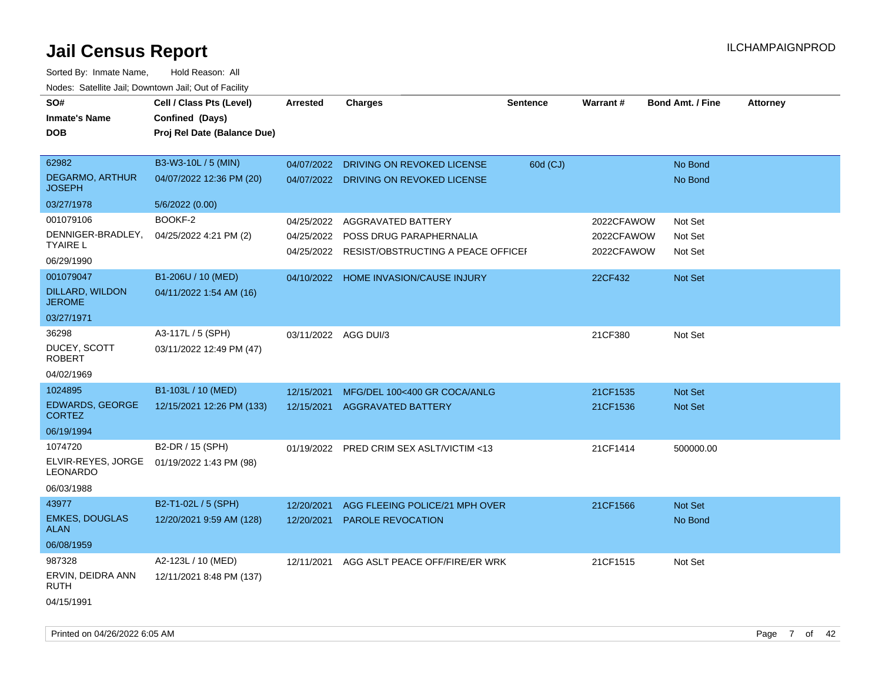| SO#<br><b>Inmate's Name</b><br><b>DOB</b> | Cell / Class Pts (Level)<br>Confined (Days)<br>Proj Rel Date (Balance Due) | Arrested             | <b>Charges</b>                                 | <b>Sentence</b> | <b>Warrant#</b> | <b>Bond Amt. / Fine</b> | <b>Attorney</b> |
|-------------------------------------------|----------------------------------------------------------------------------|----------------------|------------------------------------------------|-----------------|-----------------|-------------------------|-----------------|
| 62982                                     | B3-W3-10L / 5 (MIN)                                                        | 04/07/2022           | DRIVING ON REVOKED LICENSE                     | 60d (CJ)        |                 | No Bond                 |                 |
| <b>DEGARMO, ARTHUR</b><br><b>JOSEPH</b>   | 04/07/2022 12:36 PM (20)                                                   |                      | 04/07/2022 DRIVING ON REVOKED LICENSE          |                 |                 | No Bond                 |                 |
| 03/27/1978                                | 5/6/2022 (0.00)                                                            |                      |                                                |                 |                 |                         |                 |
| 001079106                                 | BOOKF-2                                                                    | 04/25/2022           | AGGRAVATED BATTERY                             |                 | 2022CFAWOW      | Not Set                 |                 |
| DENNIGER-BRADLEY,<br>TYAIRE L             | 04/25/2022 4:21 PM (2)                                                     | 04/25/2022           | POSS DRUG PARAPHERNALIA                        |                 | 2022CFAWOW      | Not Set                 |                 |
| 06/29/1990                                |                                                                            |                      | 04/25/2022 RESIST/OBSTRUCTING A PEACE OFFICE I |                 | 2022CFAWOW      | Not Set                 |                 |
| 001079047                                 | B1-206U / 10 (MED)                                                         |                      | 04/10/2022 HOME INVASION/CAUSE INJURY          |                 | 22CF432         | Not Set                 |                 |
| DILLARD, WILDON<br><b>JEROME</b>          | 04/11/2022 1:54 AM (16)                                                    |                      |                                                |                 |                 |                         |                 |
| 03/27/1971                                |                                                                            |                      |                                                |                 |                 |                         |                 |
| 36298                                     | A3-117L / 5 (SPH)                                                          | 03/11/2022 AGG DUI/3 |                                                |                 | 21CF380         | Not Set                 |                 |
| DUCEY, SCOTT<br><b>ROBERT</b>             | 03/11/2022 12:49 PM (47)                                                   |                      |                                                |                 |                 |                         |                 |
| 04/02/1969                                |                                                                            |                      |                                                |                 |                 |                         |                 |
| 1024895                                   | B1-103L / 10 (MED)                                                         | 12/15/2021           | MFG/DEL 100<400 GR COCA/ANLG                   |                 | 21CF1535        | Not Set                 |                 |
| <b>EDWARDS, GEORGE</b><br><b>CORTEZ</b>   | 12/15/2021 12:26 PM (133)                                                  | 12/15/2021           | <b>AGGRAVATED BATTERY</b>                      |                 | 21CF1536        | <b>Not Set</b>          |                 |
| 06/19/1994                                |                                                                            |                      |                                                |                 |                 |                         |                 |
| 1074720                                   | B2-DR / 15 (SPH)                                                           |                      | 01/19/2022 PRED CRIM SEX ASLT/VICTIM <13       |                 | 21CF1414        | 500000.00               |                 |
| ELVIR-REYES, JORGE<br><b>LEONARDO</b>     | 01/19/2022 1:43 PM (98)                                                    |                      |                                                |                 |                 |                         |                 |
| 06/03/1988                                |                                                                            |                      |                                                |                 |                 |                         |                 |
| 43977                                     | B2-T1-02L / 5 (SPH)                                                        | 12/20/2021           | AGG FLEEING POLICE/21 MPH OVER                 |                 | 21CF1566        | Not Set                 |                 |
| <b>EMKES, DOUGLAS</b><br><b>ALAN</b>      | 12/20/2021 9:59 AM (128)                                                   | 12/20/2021           | <b>PAROLE REVOCATION</b>                       |                 |                 | No Bond                 |                 |
| 06/08/1959                                |                                                                            |                      |                                                |                 |                 |                         |                 |
| 987328                                    | A2-123L / 10 (MED)                                                         | 12/11/2021           | AGG ASLT PEACE OFF/FIRE/ER WRK                 |                 | 21CF1515        | Not Set                 |                 |
| ERVIN, DEIDRA ANN<br><b>RUTH</b>          | 12/11/2021 8:48 PM (137)                                                   |                      |                                                |                 |                 |                         |                 |
| 04/15/1991                                |                                                                            |                      |                                                |                 |                 |                         |                 |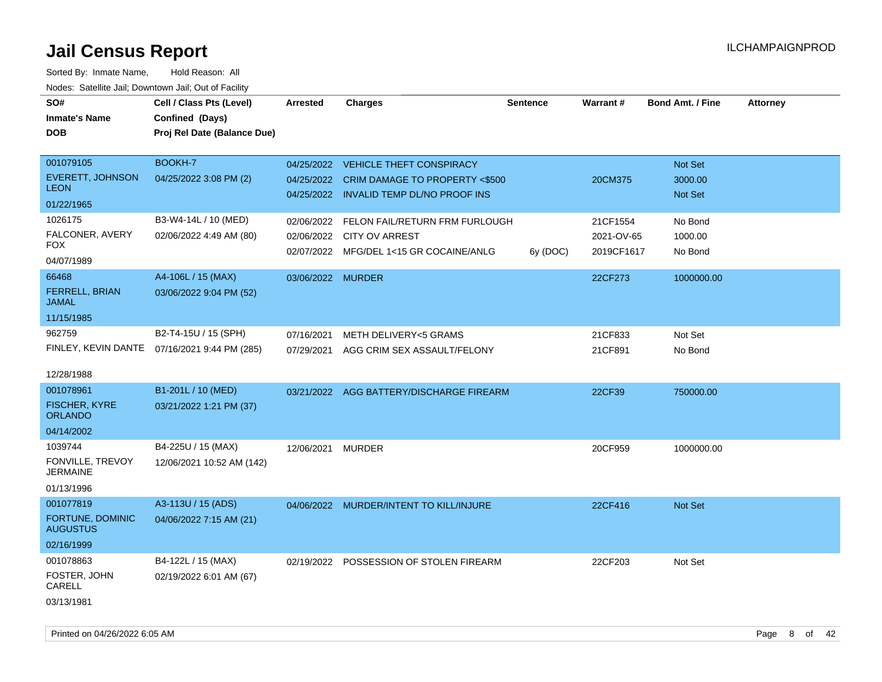| SO#<br><b>Inmate's Name</b>                                       | Cell / Class Pts (Level)<br>Confined (Days)                          | <b>Arrested</b>                        | <b>Charges</b>                                                                                                   | Sentence | Warrant#                             | <b>Bond Amt. / Fine</b>              | <b>Attorney</b> |
|-------------------------------------------------------------------|----------------------------------------------------------------------|----------------------------------------|------------------------------------------------------------------------------------------------------------------|----------|--------------------------------------|--------------------------------------|-----------------|
| DOB                                                               | Proj Rel Date (Balance Due)                                          |                                        |                                                                                                                  |          |                                      |                                      |                 |
| 001079105<br><b>EVERETT, JOHNSON</b><br><b>LEON</b><br>01/22/1965 | BOOKH-7<br>04/25/2022 3:08 PM (2)                                    | 04/25/2022                             | 04/25/2022 VEHICLE THEFT CONSPIRACY<br>CRIM DAMAGE TO PROPERTY <\$500<br>04/25/2022 INVALID TEMP DL/NO PROOF INS |          | 20CM375                              | <b>Not Set</b><br>3000.00<br>Not Set |                 |
| 1026175<br>FALCONER, AVERY<br>FOX<br>04/07/1989                   | B3-W4-14L / 10 (MED)<br>02/06/2022 4:49 AM (80)                      | 02/06/2022<br>02/06/2022<br>02/07/2022 | FELON FAIL/RETURN FRM FURLOUGH<br><b>CITY OV ARREST</b><br>MFG/DEL 1<15 GR COCAINE/ANLG                          | 6y (DOC) | 21CF1554<br>2021-OV-65<br>2019CF1617 | No Bond<br>1000.00<br>No Bond        |                 |
| 66468<br>FERRELL, BRIAN<br><b>JAMAL</b><br>11/15/1985             | A4-106L / 15 (MAX)<br>03/06/2022 9:04 PM (52)                        | 03/06/2022 MURDER                      |                                                                                                                  |          | 22CF273                              | 1000000.00                           |                 |
| 962759<br>12/28/1988                                              | B2-T4-15U / 15 (SPH)<br>FINLEY, KEVIN DANTE 07/16/2021 9:44 PM (285) | 07/16/2021<br>07/29/2021               | <b>METH DELIVERY&lt;5 GRAMS</b><br>AGG CRIM SEX ASSAULT/FELONY                                                   |          | 21CF833<br>21CF891                   | Not Set<br>No Bond                   |                 |
| 001078961<br><b>FISCHER, KYRE</b><br><b>ORLANDO</b><br>04/14/2002 | B1-201L / 10 (MED)<br>03/21/2022 1:21 PM (37)                        |                                        | 03/21/2022 AGG BATTERY/DISCHARGE FIREARM                                                                         |          | 22CF39                               | 750000.00                            |                 |
| 1039744<br>FONVILLE, TREVOY<br><b>JERMAINE</b><br>01/13/1996      | B4-225U / 15 (MAX)<br>12/06/2021 10:52 AM (142)                      | 12/06/2021                             | <b>MURDER</b>                                                                                                    |          | 20CF959                              | 1000000.00                           |                 |
| 001077819<br>FORTUNE, DOMINIC<br><b>AUGUSTUS</b><br>02/16/1999    | A3-113U / 15 (ADS)<br>04/06/2022 7:15 AM (21)                        | 04/06/2022                             | MURDER/INTENT TO KILL/INJURE                                                                                     |          | 22CF416                              | <b>Not Set</b>                       |                 |
| 001078863<br>FOSTER, JOHN<br>CARELL<br>03/13/1981                 | B4-122L / 15 (MAX)<br>02/19/2022 6:01 AM (67)                        | 02/19/2022                             | POSSESSION OF STOLEN FIREARM                                                                                     |          | 22CF203                              | Not Set                              |                 |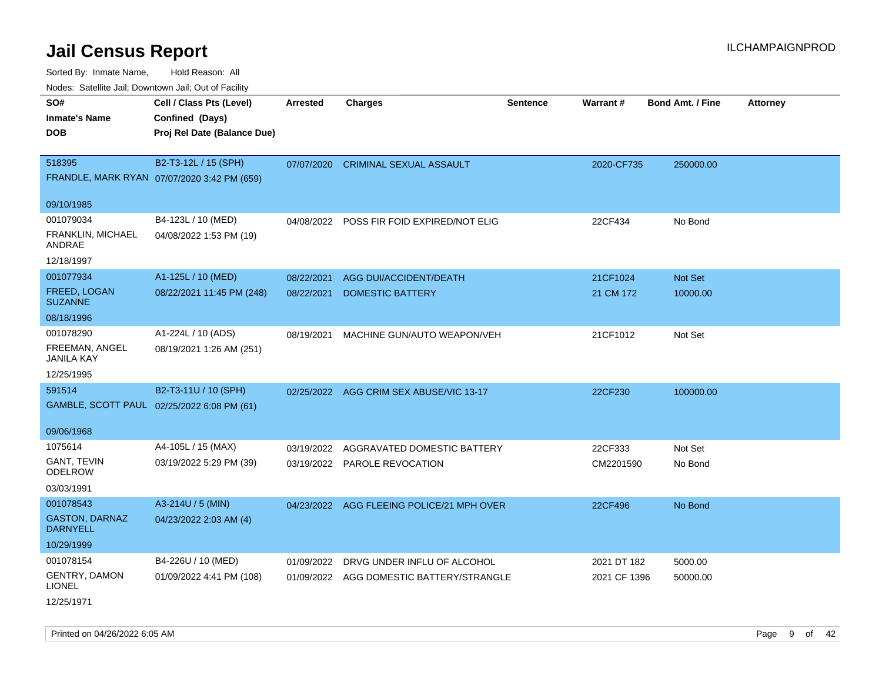Sorted By: Inmate Name, Hold Reason: All Nodes: Satellite Jail; Downtown Jail; Out of Facility

| Nodes. Satellite Jali, Downtown Jali, Out of Facility |                                             |                 |                                           |                 |                 |                         |                 |
|-------------------------------------------------------|---------------------------------------------|-----------------|-------------------------------------------|-----------------|-----------------|-------------------------|-----------------|
| SO#                                                   | Cell / Class Pts (Level)                    | <b>Arrested</b> | <b>Charges</b>                            | <b>Sentence</b> | <b>Warrant#</b> | <b>Bond Amt. / Fine</b> | <b>Attorney</b> |
| <b>Inmate's Name</b>                                  | Confined (Days)                             |                 |                                           |                 |                 |                         |                 |
| <b>DOB</b>                                            | Proj Rel Date (Balance Due)                 |                 |                                           |                 |                 |                         |                 |
|                                                       |                                             |                 |                                           |                 |                 |                         |                 |
| 518395                                                | B2-T3-12L / 15 (SPH)                        | 07/07/2020      | <b>CRIMINAL SEXUAL ASSAULT</b>            |                 | 2020-CF735      | 250000.00               |                 |
|                                                       | FRANDLE, MARK RYAN 07/07/2020 3:42 PM (659) |                 |                                           |                 |                 |                         |                 |
|                                                       |                                             |                 |                                           |                 |                 |                         |                 |
| 09/10/1985                                            |                                             |                 |                                           |                 |                 |                         |                 |
| 001079034                                             | B4-123L / 10 (MED)                          | 04/08/2022      | POSS FIR FOID EXPIRED/NOT ELIG            |                 | 22CF434         | No Bond                 |                 |
| FRANKLIN, MICHAEL<br>ANDRAE                           | 04/08/2022 1:53 PM (19)                     |                 |                                           |                 |                 |                         |                 |
| 12/18/1997                                            |                                             |                 |                                           |                 |                 |                         |                 |
| 001077934                                             | A1-125L / 10 (MED)                          | 08/22/2021      | AGG DUI/ACCIDENT/DEATH                    |                 | 21CF1024        | Not Set                 |                 |
| FREED, LOGAN<br><b>SUZANNE</b>                        | 08/22/2021 11:45 PM (248)                   | 08/22/2021      | <b>DOMESTIC BATTERY</b>                   |                 | 21 CM 172       | 10000.00                |                 |
| 08/18/1996                                            |                                             |                 |                                           |                 |                 |                         |                 |
| 001078290                                             | A1-224L / 10 (ADS)                          | 08/19/2021      | MACHINE GUN/AUTO WEAPON/VEH               |                 | 21CF1012        | Not Set                 |                 |
| FREEMAN, ANGEL<br><b>JANILA KAY</b>                   | 08/19/2021 1:26 AM (251)                    |                 |                                           |                 |                 |                         |                 |
| 12/25/1995                                            |                                             |                 |                                           |                 |                 |                         |                 |
| 591514                                                | B2-T3-11U / 10 (SPH)                        |                 | 02/25/2022 AGG CRIM SEX ABUSE/VIC 13-17   |                 | 22CF230         | 100000.00               |                 |
|                                                       | GAMBLE, SCOTT PAUL 02/25/2022 6:08 PM (61)  |                 |                                           |                 |                 |                         |                 |
|                                                       |                                             |                 |                                           |                 |                 |                         |                 |
| 09/06/1968                                            |                                             |                 |                                           |                 |                 |                         |                 |
| 1075614                                               | A4-105L / 15 (MAX)                          | 03/19/2022      | AGGRAVATED DOMESTIC BATTERY               |                 | 22CF333         | Not Set                 |                 |
| GANT, TEVIN<br><b>ODELROW</b>                         | 03/19/2022 5:29 PM (39)                     |                 | 03/19/2022 PAROLE REVOCATION              |                 | CM2201590       | No Bond                 |                 |
| 03/03/1991                                            |                                             |                 |                                           |                 |                 |                         |                 |
| 001078543                                             | A3-214U / 5 (MIN)                           |                 | 04/23/2022 AGG FLEEING POLICE/21 MPH OVER |                 | 22CF496         | No Bond                 |                 |
| <b>GASTON, DARNAZ</b><br><b>DARNYELL</b>              | 04/23/2022 2:03 AM (4)                      |                 |                                           |                 |                 |                         |                 |
| 10/29/1999                                            |                                             |                 |                                           |                 |                 |                         |                 |
| 001078154                                             | B4-226U / 10 (MED)                          | 01/09/2022      | DRVG UNDER INFLU OF ALCOHOL               |                 | 2021 DT 182     | 5000.00                 |                 |
| <b>GENTRY, DAMON</b><br><b>LIONEL</b>                 | 01/09/2022 4:41 PM (108)                    |                 | 01/09/2022 AGG DOMESTIC BATTERY/STRANGLE  |                 | 2021 CF 1396    | 50000.00                |                 |
| 12/25/1971                                            |                                             |                 |                                           |                 |                 |                         |                 |

Printed on 04/26/2022 6:05 AM Page 9 of 42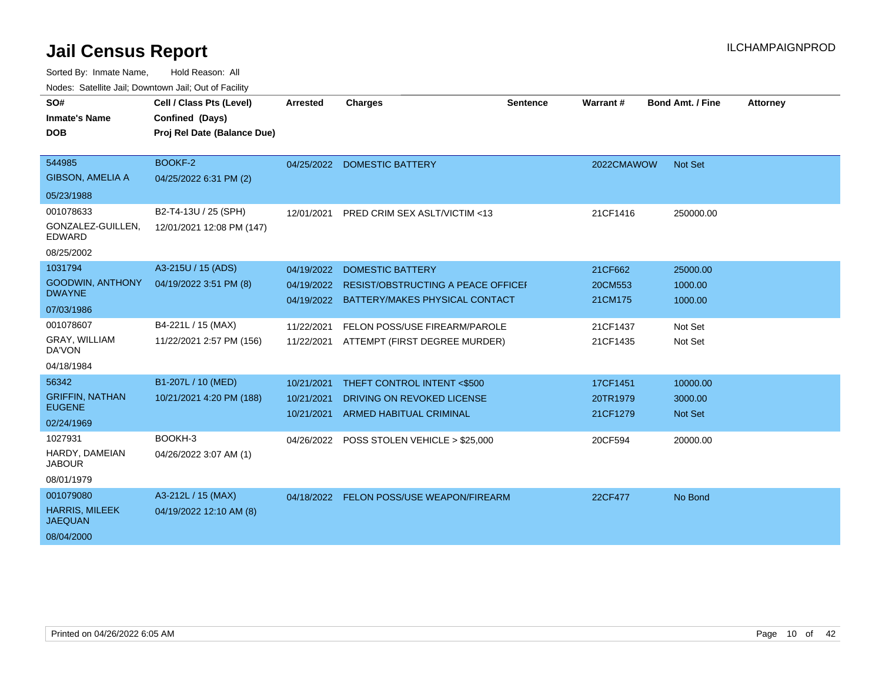| SO#<br><b>Inmate's Name</b><br><b>DOB</b>                          | Cell / Class Pts (Level)<br>Confined (Days)<br>Proj Rel Date (Balance Due) | <b>Arrested</b>                        | <b>Charges</b>                                                                                  | <b>Sentence</b> | Warrant#                         | <b>Bond Amt. / Fine</b>               | <b>Attorney</b> |
|--------------------------------------------------------------------|----------------------------------------------------------------------------|----------------------------------------|-------------------------------------------------------------------------------------------------|-----------------|----------------------------------|---------------------------------------|-----------------|
| 544985<br><b>GIBSON, AMELIA A</b><br>05/23/1988                    | BOOKF-2<br>04/25/2022 6:31 PM (2)                                          |                                        | 04/25/2022 DOMESTIC BATTERY                                                                     |                 | 2022CMAWOW                       | Not Set                               |                 |
| 001078633<br>GONZALEZ-GUILLEN,<br>EDWARD<br>08/25/2002             | B2-T4-13U / 25 (SPH)<br>12/01/2021 12:08 PM (147)                          | 12/01/2021                             | <b>PRED CRIM SEX ASLT/VICTIM &lt;13</b>                                                         |                 | 21CF1416                         | 250000.00                             |                 |
| 1031794<br><b>GOODWIN, ANTHONY</b><br><b>DWAYNE</b><br>07/03/1986  | A3-215U / 15 (ADS)<br>04/19/2022 3:51 PM (8)                               | 04/19/2022<br>04/19/2022<br>04/19/2022 | <b>DOMESTIC BATTERY</b><br>RESIST/OBSTRUCTING A PEACE OFFICEF<br>BATTERY/MAKES PHYSICAL CONTACT |                 | 21CF662<br>20CM553<br>21CM175    | 25000.00<br>1000.00<br>1000.00        |                 |
| 001078607<br><b>GRAY, WILLIAM</b><br>DA'VON<br>04/18/1984          | B4-221L / 15 (MAX)<br>11/22/2021 2:57 PM (156)                             | 11/22/2021<br>11/22/2021               | FELON POSS/USE FIREARM/PAROLE<br>ATTEMPT (FIRST DEGREE MURDER)                                  |                 | 21CF1437<br>21CF1435             | Not Set<br>Not Set                    |                 |
| 56342<br><b>GRIFFIN, NATHAN</b><br><b>EUGENE</b><br>02/24/1969     | B1-207L / 10 (MED)<br>10/21/2021 4:20 PM (188)                             | 10/21/2021<br>10/21/2021<br>10/21/2021 | THEFT CONTROL INTENT <\$500<br>DRIVING ON REVOKED LICENSE<br><b>ARMED HABITUAL CRIMINAL</b>     |                 | 17CF1451<br>20TR1979<br>21CF1279 | 10000.00<br>3000.00<br><b>Not Set</b> |                 |
| 1027931<br>HARDY, DAMEIAN<br><b>JABOUR</b><br>08/01/1979           | BOOKH-3<br>04/26/2022 3:07 AM (1)                                          |                                        | 04/26/2022 POSS STOLEN VEHICLE > \$25,000                                                       |                 | 20CF594                          | 20000.00                              |                 |
| 001079080<br><b>HARRIS, MILEEK</b><br><b>JAEQUAN</b><br>08/04/2000 | A3-212L / 15 (MAX)<br>04/19/2022 12:10 AM (8)                              |                                        | 04/18/2022 FELON POSS/USE WEAPON/FIREARM                                                        |                 | 22CF477                          | No Bond                               |                 |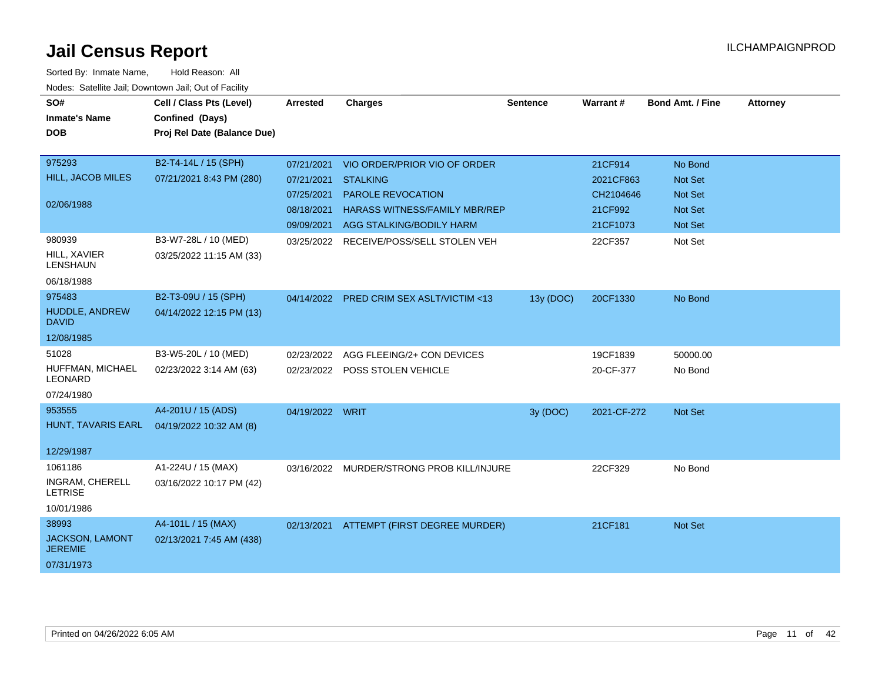| SO#<br><b>Inmate's Name</b>        | Cell / Class Pts (Level)<br>Confined (Days) | <b>Arrested</b> | <b>Charges</b>                            | <b>Sentence</b> | Warrant#    | <b>Bond Amt. / Fine</b> | <b>Attorney</b> |
|------------------------------------|---------------------------------------------|-----------------|-------------------------------------------|-----------------|-------------|-------------------------|-----------------|
| <b>DOB</b>                         | Proj Rel Date (Balance Due)                 |                 |                                           |                 |             |                         |                 |
| 975293                             | B2-T4-14L / 15 (SPH)                        | 07/21/2021      | VIO ORDER/PRIOR VIO OF ORDER              |                 | 21CF914     | No Bond                 |                 |
| HILL, JACOB MILES                  | 07/21/2021 8:43 PM (280)                    | 07/21/2021      | <b>STALKING</b>                           |                 | 2021CF863   | <b>Not Set</b>          |                 |
|                                    |                                             | 07/25/2021      | PAROLE REVOCATION                         |                 | CH2104646   | <b>Not Set</b>          |                 |
| 02/06/1988                         |                                             | 08/18/2021      | <b>HARASS WITNESS/FAMILY MBR/REP</b>      |                 | 21CF992     | <b>Not Set</b>          |                 |
|                                    |                                             | 09/09/2021      | AGG STALKING/BODILY HARM                  |                 | 21CF1073    | <b>Not Set</b>          |                 |
| 980939                             | B3-W7-28L / 10 (MED)                        |                 | 03/25/2022 RECEIVE/POSS/SELL STOLEN VEH   |                 | 22CF357     | Not Set                 |                 |
| <b>HILL, XAVIER</b><br>LENSHAUN    | 03/25/2022 11:15 AM (33)                    |                 |                                           |                 |             |                         |                 |
| 06/18/1988                         |                                             |                 |                                           |                 |             |                         |                 |
| 975483                             | B2-T3-09U / 15 (SPH)                        |                 | 04/14/2022 PRED CRIM SEX ASLT/VICTIM <13  | 13y (DOC)       | 20CF1330    | No Bond                 |                 |
| HUDDLE, ANDREW<br><b>DAVID</b>     | 04/14/2022 12:15 PM (13)                    |                 |                                           |                 |             |                         |                 |
| 12/08/1985                         |                                             |                 |                                           |                 |             |                         |                 |
| 51028                              | B3-W5-20L / 10 (MED)                        | 02/23/2022      | AGG FLEEING/2+ CON DEVICES                |                 | 19CF1839    | 50000.00                |                 |
| HUFFMAN, MICHAEL<br><b>LEONARD</b> | 02/23/2022 3:14 AM (63)                     |                 | 02/23/2022 POSS STOLEN VEHICLE            |                 | 20-CF-377   | No Bond                 |                 |
| 07/24/1980                         |                                             |                 |                                           |                 |             |                         |                 |
| 953555                             | A4-201U / 15 (ADS)                          | 04/19/2022 WRIT |                                           | 3y (DOC)        | 2021-CF-272 | <b>Not Set</b>          |                 |
| HUNT, TAVARIS EARL                 | 04/19/2022 10:32 AM (8)                     |                 |                                           |                 |             |                         |                 |
| 12/29/1987                         |                                             |                 |                                           |                 |             |                         |                 |
| 1061186                            | A1-224U / 15 (MAX)                          |                 | 03/16/2022 MURDER/STRONG PROB KILL/INJURE |                 | 22CF329     | No Bond                 |                 |
| INGRAM, CHERELL<br><b>LETRISE</b>  | 03/16/2022 10:17 PM (42)                    |                 |                                           |                 |             |                         |                 |
| 10/01/1986                         |                                             |                 |                                           |                 |             |                         |                 |
| 38993                              | A4-101L / 15 (MAX)                          | 02/13/2021      | ATTEMPT (FIRST DEGREE MURDER)             |                 | 21CF181     | <b>Not Set</b>          |                 |
| JACKSON, LAMONT<br><b>JEREMIE</b>  | 02/13/2021 7:45 AM (438)                    |                 |                                           |                 |             |                         |                 |
| 07/31/1973                         |                                             |                 |                                           |                 |             |                         |                 |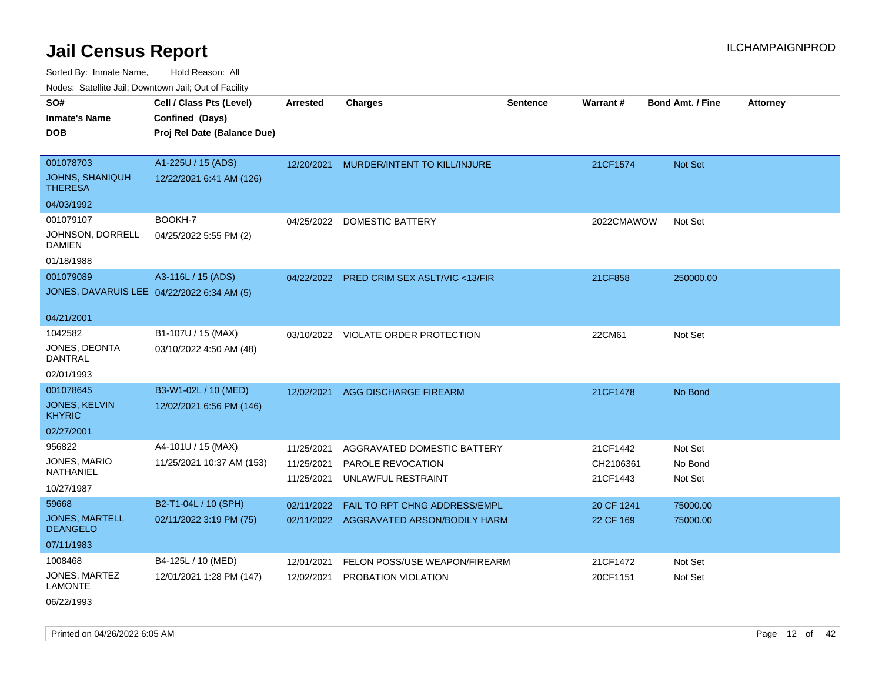Sorted By: Inmate Name, Hold Reason: All

Nodes: Satellite Jail; Downtown Jail; Out of Facility

| SO#                                        | Cell / Class Pts (Level)    | <b>Arrested</b>          | <b>Charges</b>                            | <b>Sentence</b> | Warrant#              | <b>Bond Amt. / Fine</b> | <b>Attorney</b> |
|--------------------------------------------|-----------------------------|--------------------------|-------------------------------------------|-----------------|-----------------------|-------------------------|-----------------|
| <b>Inmate's Name</b>                       | Confined (Days)             |                          |                                           |                 |                       |                         |                 |
| <b>DOB</b>                                 | Proj Rel Date (Balance Due) |                          |                                           |                 |                       |                         |                 |
|                                            |                             |                          |                                           |                 |                       |                         |                 |
| 001078703                                  | A1-225U / 15 (ADS)          | 12/20/2021               | MURDER/INTENT TO KILL/INJURE              |                 | 21CF1574              | Not Set                 |                 |
| <b>JOHNS, SHANIQUH</b><br><b>THERESA</b>   | 12/22/2021 6:41 AM (126)    |                          |                                           |                 |                       |                         |                 |
| 04/03/1992                                 |                             |                          |                                           |                 |                       |                         |                 |
| 001079107                                  | BOOKH-7                     |                          | 04/25/2022 DOMESTIC BATTERY               |                 | 2022CMAWOW            | Not Set                 |                 |
| JOHNSON, DORRELL<br><b>DAMIEN</b>          | 04/25/2022 5:55 PM (2)      |                          |                                           |                 |                       |                         |                 |
| 01/18/1988                                 |                             |                          |                                           |                 |                       |                         |                 |
| 001079089                                  | A3-116L / 15 (ADS)          |                          | 04/22/2022 PRED CRIM SEX ASLT/VIC <13/FIR |                 | 21CF858               | 250000.00               |                 |
| JONES, DAVARUIS LEE 04/22/2022 6:34 AM (5) |                             |                          |                                           |                 |                       |                         |                 |
|                                            |                             |                          |                                           |                 |                       |                         |                 |
| 04/21/2001                                 |                             |                          |                                           |                 |                       |                         |                 |
| 1042582                                    | B1-107U / 15 (MAX)          |                          | 03/10/2022 VIOLATE ORDER PROTECTION       |                 | 22CM61                | Not Set                 |                 |
| JONES, DEONTA<br><b>DANTRAL</b>            | 03/10/2022 4:50 AM (48)     |                          |                                           |                 |                       |                         |                 |
| 02/01/1993                                 |                             |                          |                                           |                 |                       |                         |                 |
| 001078645                                  | B3-W1-02L / 10 (MED)        | 12/02/2021               | <b>AGG DISCHARGE FIREARM</b>              |                 | 21CF1478              | No Bond                 |                 |
| <b>JONES, KELVIN</b><br><b>KHYRIC</b>      | 12/02/2021 6:56 PM (146)    |                          |                                           |                 |                       |                         |                 |
| 02/27/2001                                 |                             |                          |                                           |                 |                       |                         |                 |
| 956822                                     | A4-101U / 15 (MAX)          | 11/25/2021               | AGGRAVATED DOMESTIC BATTERY               |                 | 21CF1442              | Not Set                 |                 |
| JONES, MARIO<br><b>NATHANIEL</b>           | 11/25/2021 10:37 AM (153)   | 11/25/2021<br>11/25/2021 | PAROLE REVOCATION<br>UNLAWFUL RESTRAINT   |                 | CH2106361<br>21CF1443 | No Bond<br>Not Set      |                 |
| 10/27/1987                                 |                             |                          |                                           |                 |                       |                         |                 |
| 59668                                      | B2-T1-04L / 10 (SPH)        | 02/11/2022               | FAIL TO RPT CHNG ADDRESS/EMPL             |                 | 20 CF 1241            | 75000.00                |                 |
| <b>JONES, MARTELL</b><br><b>DEANGELO</b>   | 02/11/2022 3:19 PM (75)     |                          | 02/11/2022 AGGRAVATED ARSON/BODILY HARM   |                 | 22 CF 169             | 75000.00                |                 |
| 07/11/1983                                 |                             |                          |                                           |                 |                       |                         |                 |
| 1008468                                    | B4-125L / 10 (MED)          | 12/01/2021               | FELON POSS/USE WEAPON/FIREARM             |                 | 21CF1472              | Not Set                 |                 |
| JONES, MARTEZ<br><b>LAMONTE</b>            | 12/01/2021 1:28 PM (147)    | 12/02/2021               | PROBATION VIOLATION                       |                 | 20CF1151              | Not Set                 |                 |

06/22/1993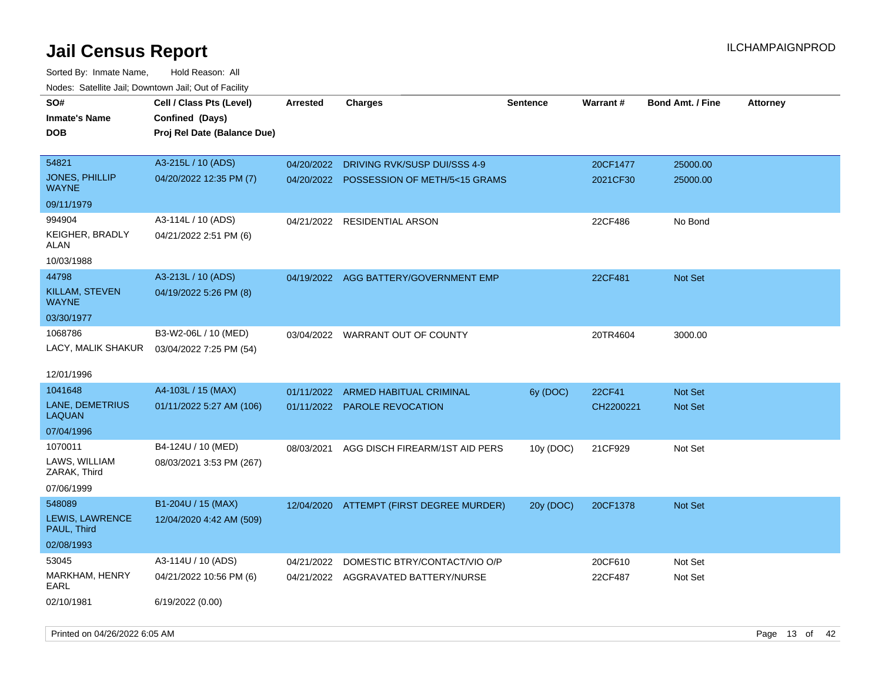Sorted By: Inmate Name, Hold Reason: All Nodes: Satellite Jail; Downtown Jail; Out of Facility

| Hougo. Catolino can, Bowmown can, Cat or Fagint |                                                                            |            |                                       |                 |           |                         |                 |
|-------------------------------------------------|----------------------------------------------------------------------------|------------|---------------------------------------|-----------------|-----------|-------------------------|-----------------|
| SO#<br><b>Inmate's Name</b><br><b>DOB</b>       | Cell / Class Pts (Level)<br>Confined (Days)<br>Proj Rel Date (Balance Due) | Arrested   | <b>Charges</b>                        | <b>Sentence</b> | Warrant#  | <b>Bond Amt. / Fine</b> | <b>Attorney</b> |
| 54821                                           | A3-215L / 10 (ADS)                                                         | 04/20/2022 | DRIVING RVK/SUSP DUI/SSS 4-9          |                 | 20CF1477  | 25000.00                |                 |
| <b>JONES, PHILLIP</b><br>WAYNE                  | 04/20/2022 12:35 PM (7)                                                    | 04/20/2022 | POSSESSION OF METH/5<15 GRAMS         |                 | 2021CF30  | 25000.00                |                 |
| 09/11/1979                                      |                                                                            |            |                                       |                 |           |                         |                 |
| 994904                                          | A3-114L / 10 (ADS)                                                         |            | 04/21/2022 RESIDENTIAL ARSON          |                 | 22CF486   | No Bond                 |                 |
| <b>KEIGHER, BRADLY</b><br>ALAN                  | 04/21/2022 2:51 PM (6)                                                     |            |                                       |                 |           |                         |                 |
| 10/03/1988                                      |                                                                            |            |                                       |                 |           |                         |                 |
| 44798                                           | A3-213L / 10 (ADS)                                                         |            | 04/19/2022 AGG BATTERY/GOVERNMENT EMP |                 | 22CF481   | <b>Not Set</b>          |                 |
| <b>KILLAM, STEVEN</b><br>WAYNE                  | 04/19/2022 5:26 PM (8)                                                     |            |                                       |                 |           |                         |                 |
| 03/30/1977                                      |                                                                            |            |                                       |                 |           |                         |                 |
| 1068786                                         | B3-W2-06L / 10 (MED)                                                       |            | 03/04/2022 WARRANT OUT OF COUNTY      |                 | 20TR4604  | 3000.00                 |                 |
| LACY, MALIK SHAKUR                              | 03/04/2022 7:25 PM (54)                                                    |            |                                       |                 |           |                         |                 |
| 12/01/1996                                      |                                                                            |            |                                       |                 |           |                         |                 |
| 1041648                                         | A4-103L / 15 (MAX)                                                         | 01/11/2022 | <b>ARMED HABITUAL CRIMINAL</b>        | 6y (DOC)        | 22CF41    | Not Set                 |                 |
| LANE, DEMETRIUS<br>LAQUAN                       | 01/11/2022 5:27 AM (106)                                                   |            | 01/11/2022 PAROLE REVOCATION          |                 | CH2200221 | <b>Not Set</b>          |                 |
| 07/04/1996                                      |                                                                            |            |                                       |                 |           |                         |                 |
| 1070011                                         | B4-124U / 10 (MED)                                                         | 08/03/2021 | AGG DISCH FIREARM/1ST AID PERS        | 10y (DOC)       | 21CF929   | Not Set                 |                 |
| LAWS, WILLIAM<br>ZARAK, Third                   | 08/03/2021 3:53 PM (267)                                                   |            |                                       |                 |           |                         |                 |
| 07/06/1999                                      |                                                                            |            |                                       |                 |           |                         |                 |
| 548089                                          | B1-204U / 15 (MAX)                                                         | 12/04/2020 | ATTEMPT (FIRST DEGREE MURDER)         | 20y (DOC)       | 20CF1378  | <b>Not Set</b>          |                 |
| LEWIS, LAWRENCE<br>PAUL, Third                  | 12/04/2020 4:42 AM (509)                                                   |            |                                       |                 |           |                         |                 |
| 02/08/1993                                      |                                                                            |            |                                       |                 |           |                         |                 |
| 53045                                           | A3-114U / 10 (ADS)                                                         | 04/21/2022 | DOMESTIC BTRY/CONTACT/VIO O/P         |                 | 20CF610   | Not Set                 |                 |
| <b>MARKHAM, HENRY</b><br>EARL                   | 04/21/2022 10:56 PM (6)                                                    |            | 04/21/2022 AGGRAVATED BATTERY/NURSE   |                 | 22CF487   | Not Set                 |                 |
| 02/10/1981                                      | 6/19/2022 (0.00)                                                           |            |                                       |                 |           |                         |                 |

Printed on 04/26/2022 6:05 AM **Page 13** of 42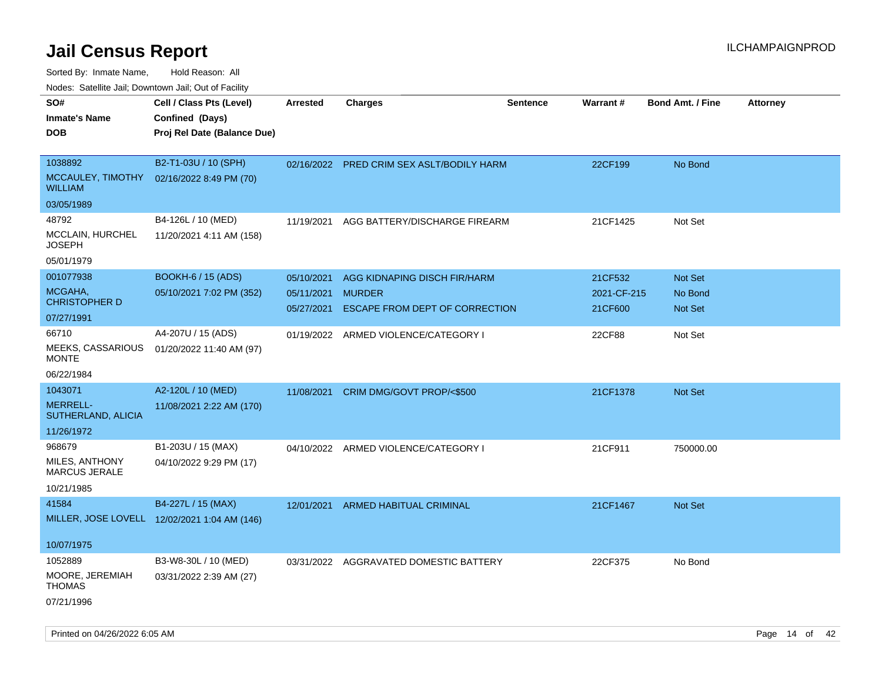Sorted By: Inmate Name, Hold Reason: All

|  |  |  | Nodes: Satellite Jail; Downtown Jail; Out of Facility |  |
|--|--|--|-------------------------------------------------------|--|
|--|--|--|-------------------------------------------------------|--|

| SO#<br><b>Inmate's Name</b><br><b>DOB</b>                      | Cell / Class Pts (Level)<br>Confined (Days)<br>Proj Rel Date (Balance Due) | Arrested                               | <b>Charges</b>                                                                  | <b>Sentence</b> | Warrant#                          | <b>Bond Amt. / Fine</b>       | <b>Attorney</b> |
|----------------------------------------------------------------|----------------------------------------------------------------------------|----------------------------------------|---------------------------------------------------------------------------------|-----------------|-----------------------------------|-------------------------------|-----------------|
| 1038892<br>MCCAULEY, TIMOTHY<br><b>WILLIAM</b>                 | B2-T1-03U / 10 (SPH)<br>02/16/2022 8:49 PM (70)                            |                                        | 02/16/2022 PRED CRIM SEX ASLT/BODILY HARM                                       |                 | 22CF199                           | No Bond                       |                 |
| 03/05/1989                                                     |                                                                            |                                        |                                                                                 |                 |                                   |                               |                 |
| 48792<br><b>MCCLAIN, HURCHEL</b><br>JOSEPH                     | B4-126L / 10 (MED)<br>11/20/2021 4:11 AM (158)                             | 11/19/2021                             | AGG BATTERY/DISCHARGE FIREARM                                                   |                 | 21CF1425                          | Not Set                       |                 |
| 05/01/1979                                                     |                                                                            |                                        |                                                                                 |                 |                                   |                               |                 |
| 001077938<br>MCGAHA,<br><b>CHRISTOPHER D</b>                   | <b>BOOKH-6 / 15 (ADS)</b><br>05/10/2021 7:02 PM (352)                      | 05/10/2021<br>05/11/2021<br>05/27/2021 | AGG KIDNAPING DISCH FIR/HARM<br><b>MURDER</b><br>ESCAPE FROM DEPT OF CORRECTION |                 | 21CF532<br>2021-CF-215<br>21CF600 | Not Set<br>No Bond<br>Not Set |                 |
| 07/27/1991                                                     |                                                                            |                                        |                                                                                 |                 |                                   |                               |                 |
| 66710<br>MEEKS, CASSARIOUS<br><b>MONTE</b>                     | A4-207U / 15 (ADS)<br>01/20/2022 11:40 AM (97)                             |                                        | 01/19/2022 ARMED VIOLENCE/CATEGORY I                                            |                 | 22CF88                            | Not Set                       |                 |
| 06/22/1984                                                     |                                                                            |                                        |                                                                                 |                 |                                   |                               |                 |
| 1043071<br><b>MERRELL-</b><br>SUTHERLAND, ALICIA<br>11/26/1972 | A2-120L / 10 (MED)<br>11/08/2021 2:22 AM (170)                             | 11/08/2021                             | CRIM DMG/GOVT PROP/<\$500                                                       |                 | 21CF1378                          | Not Set                       |                 |
| 968679                                                         | B1-203U / 15 (MAX)                                                         |                                        | 04/10/2022 ARMED VIOLENCE/CATEGORY I                                            |                 | 21CF911                           | 750000.00                     |                 |
| MILES, ANTHONY<br><b>MARCUS JERALE</b>                         | 04/10/2022 9:29 PM (17)                                                    |                                        |                                                                                 |                 |                                   |                               |                 |
| 10/21/1985                                                     |                                                                            |                                        |                                                                                 |                 |                                   |                               |                 |
| 41584                                                          | B4-227L / 15 (MAX)<br>MILLER, JOSE LOVELL 12/02/2021 1:04 AM (146)         | 12/01/2021                             | <b>ARMED HABITUAL CRIMINAL</b>                                                  |                 | 21CF1467                          | Not Set                       |                 |
| 10/07/1975                                                     |                                                                            |                                        |                                                                                 |                 |                                   |                               |                 |
| 1052889<br>MOORE, JEREMIAH<br><b>THOMAS</b><br>07/21/1996      | B3-W8-30L / 10 (MED)<br>03/31/2022 2:39 AM (27)                            |                                        | 03/31/2022 AGGRAVATED DOMESTIC BATTERY                                          |                 | 22CF375                           | No Bond                       |                 |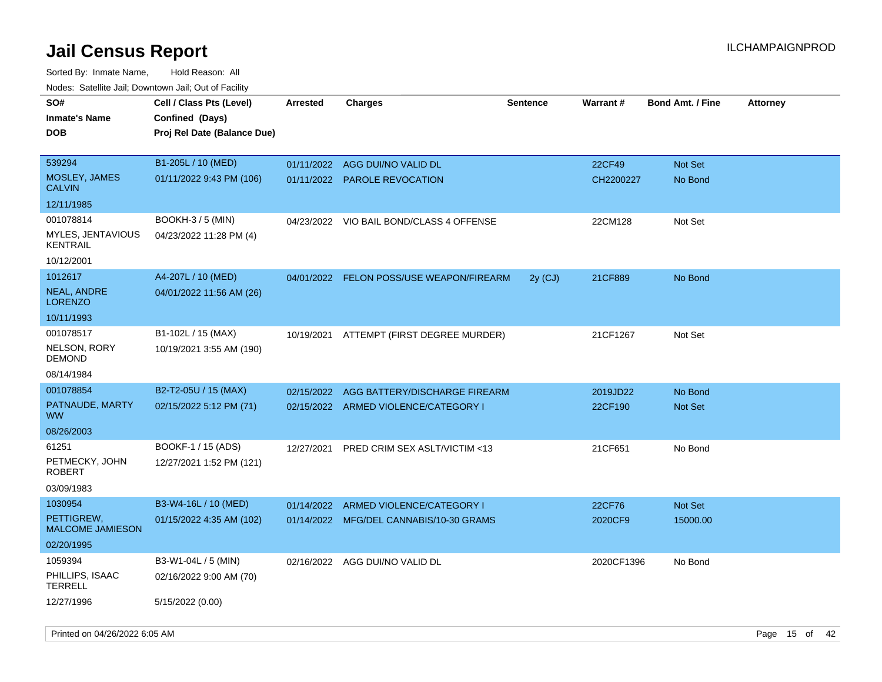| 10000. Catolino can, Dominomii can, Oat or Faoint |                                                                            |                 |                                          |                 |            |                         |                 |
|---------------------------------------------------|----------------------------------------------------------------------------|-----------------|------------------------------------------|-----------------|------------|-------------------------|-----------------|
| SO#<br>Inmate's Name<br><b>DOB</b>                | Cell / Class Pts (Level)<br>Confined (Days)<br>Proj Rel Date (Balance Due) | <b>Arrested</b> | Charges                                  | <b>Sentence</b> | Warrant#   | <b>Bond Amt. / Fine</b> | <b>Attorney</b> |
| 539294                                            | B1-205L / 10 (MED)                                                         | 01/11/2022      | AGG DUI/NO VALID DL                      |                 | 22CF49     | <b>Not Set</b>          |                 |
| MOSLEY, JAMES<br>CALVIN                           | 01/11/2022 9:43 PM (106)                                                   | 01/11/2022      | <b>PAROLE REVOCATION</b>                 |                 | CH2200227  | No Bond                 |                 |
| 12/11/1985                                        |                                                                            |                 |                                          |                 |            |                         |                 |
| 001078814                                         | <b>BOOKH-3 / 5 (MIN)</b>                                                   |                 | 04/23/2022 VIO BAIL BOND/CLASS 4 OFFENSE |                 | 22CM128    | Not Set                 |                 |
| MYLES, JENTAVIOUS<br>KENTRAIL                     | 04/23/2022 11:28 PM (4)                                                    |                 |                                          |                 |            |                         |                 |
| 10/12/2001                                        |                                                                            |                 |                                          |                 |            |                         |                 |
| 1012617                                           | A4-207L / 10 (MED)                                                         | 04/01/2022      | FELON POSS/USE WEAPON/FIREARM            | $2y$ (CJ)       | 21CF889    | No Bond                 |                 |
| NEAL, ANDRE<br>LORENZO                            | 04/01/2022 11:56 AM (26)                                                   |                 |                                          |                 |            |                         |                 |
| 10/11/1993                                        |                                                                            |                 |                                          |                 |            |                         |                 |
| 001078517                                         | B1-102L / 15 (MAX)                                                         | 10/19/2021      | ATTEMPT (FIRST DEGREE MURDER)            |                 | 21CF1267   | Not Set                 |                 |
| NELSON, RORY<br>DEMOND                            | 10/19/2021 3:55 AM (190)                                                   |                 |                                          |                 |            |                         |                 |
| 08/14/1984                                        |                                                                            |                 |                                          |                 |            |                         |                 |
| 001078854                                         | B2-T2-05U / 15 (MAX)                                                       | 02/15/2022      | AGG BATTERY/DISCHARGE FIREARM            |                 | 2019JD22   | No Bond                 |                 |
| PATNAUDE, MARTY<br>ww                             | 02/15/2022 5:12 PM (71)                                                    |                 | 02/15/2022 ARMED VIOLENCE/CATEGORY I     |                 | 22CF190    | <b>Not Set</b>          |                 |
| 08/26/2003                                        |                                                                            |                 |                                          |                 |            |                         |                 |
| 61251                                             | BOOKF-1 / 15 (ADS)                                                         | 12/27/2021      | PRED CRIM SEX ASLT/VICTIM <13            |                 | 21CF651    | No Bond                 |                 |
| PETMECKY, JOHN<br>ROBERT                          | 12/27/2021 1:52 PM (121)                                                   |                 |                                          |                 |            |                         |                 |
| 03/09/1983                                        |                                                                            |                 |                                          |                 |            |                         |                 |
| 1030954                                           | B3-W4-16L / 10 (MED)                                                       | 01/14/2022      | ARMED VIOLENCE/CATEGORY I                |                 | 22CF76     | Not Set                 |                 |
| PETTIGREW,<br><b>MALCOME JAMIESON</b>             | 01/15/2022 4:35 AM (102)                                                   |                 | 01/14/2022 MFG/DEL CANNABIS/10-30 GRAMS  |                 | 2020CF9    | 15000.00                |                 |
| 02/20/1995                                        |                                                                            |                 |                                          |                 |            |                         |                 |
| 1059394                                           | B3-W1-04L / 5 (MIN)                                                        |                 | 02/16/2022 AGG DUI/NO VALID DL           |                 | 2020CF1396 | No Bond                 |                 |
| PHILLIPS, ISAAC<br>TERRELL                        | 02/16/2022 9:00 AM (70)                                                    |                 |                                          |                 |            |                         |                 |
| 12/27/1996                                        | 5/15/2022 (0.00)                                                           |                 |                                          |                 |            |                         |                 |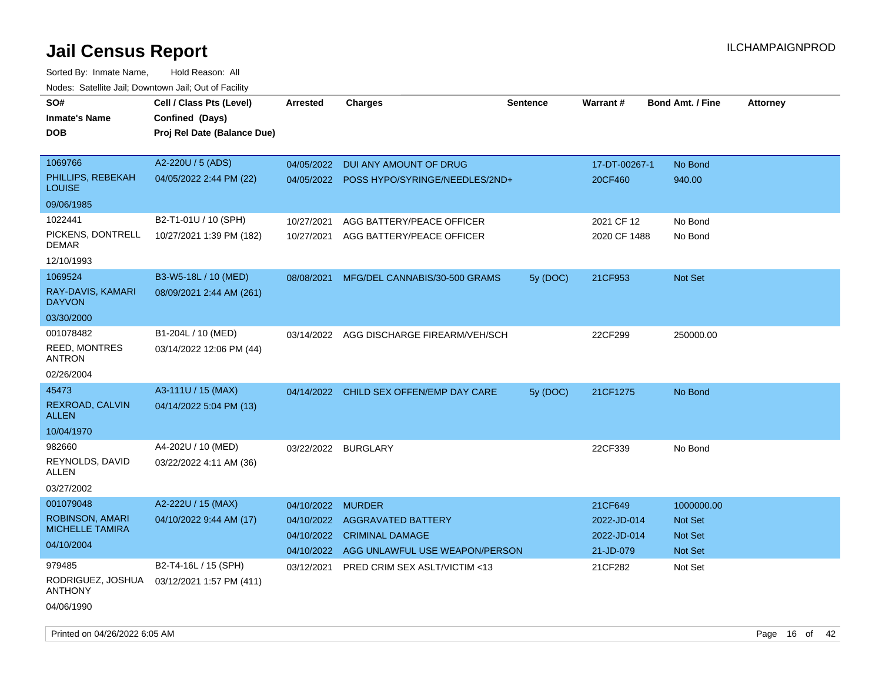| SO#<br>Inmate's Name<br>DOB                   | Cell / Class Pts (Level)<br>Confined (Days)<br>Proj Rel Date (Balance Due) | <b>Arrested</b>          | <b>Charges</b>                                           | <b>Sentence</b> | Warrant#                 | <b>Bond Amt. / Fine</b> | <b>Attorney</b> |
|-----------------------------------------------|----------------------------------------------------------------------------|--------------------------|----------------------------------------------------------|-----------------|--------------------------|-------------------------|-----------------|
|                                               |                                                                            |                          |                                                          |                 |                          |                         |                 |
| 1069766<br>PHILLIPS, REBEKAH<br>LOUISE        | A2-220U / 5 (ADS)<br>04/05/2022 2:44 PM (22)                               | 04/05/2022<br>04/05/2022 | DUI ANY AMOUNT OF DRUG<br>POSS HYPO/SYRINGE/NEEDLES/2ND+ |                 | 17-DT-00267-1<br>20CF460 | No Bond<br>940.00       |                 |
| 09/06/1985                                    |                                                                            |                          |                                                          |                 |                          |                         |                 |
| 1022441                                       | B2-T1-01U / 10 (SPH)                                                       | 10/27/2021               | AGG BATTERY/PEACE OFFICER                                |                 | 2021 CF 12               | No Bond                 |                 |
| PICKENS, DONTRELL<br>DEMAR                    | 10/27/2021 1:39 PM (182)                                                   | 10/27/2021               | AGG BATTERY/PEACE OFFICER                                |                 | 2020 CF 1488             | No Bond                 |                 |
| 12/10/1993                                    |                                                                            |                          |                                                          |                 |                          |                         |                 |
| 1069524                                       | B3-W5-18L / 10 (MED)                                                       | 08/08/2021               | MFG/DEL CANNABIS/30-500 GRAMS                            | 5y(DOC)         | 21CF953                  | Not Set                 |                 |
| RAY-DAVIS, KAMARI<br><b>DAYVON</b>            | 08/09/2021 2:44 AM (261)                                                   |                          |                                                          |                 |                          |                         |                 |
| 03/30/2000                                    |                                                                            |                          |                                                          |                 |                          |                         |                 |
| 001078482                                     | B1-204L / 10 (MED)                                                         |                          | 03/14/2022 AGG DISCHARGE FIREARM/VEH/SCH                 |                 | 22CF299                  | 250000.00               |                 |
| <b>REED, MONTRES</b><br><b>ANTRON</b>         | 03/14/2022 12:06 PM (44)                                                   |                          |                                                          |                 |                          |                         |                 |
| 02/26/2004                                    |                                                                            |                          |                                                          |                 |                          |                         |                 |
| 45473                                         | A3-111U / 15 (MAX)                                                         |                          | 04/14/2022 CHILD SEX OFFEN/EMP DAY CARE                  | 5y (DOC)        | 21CF1275                 | No Bond                 |                 |
| REXROAD, CALVIN<br><b>ALLEN</b>               | 04/14/2022 5:04 PM (13)                                                    |                          |                                                          |                 |                          |                         |                 |
| 10/04/1970                                    |                                                                            |                          |                                                          |                 |                          |                         |                 |
| 982660                                        | A4-202U / 10 (MED)                                                         | 03/22/2022 BURGLARY      |                                                          |                 | 22CF339                  | No Bond                 |                 |
| REYNOLDS, DAVID<br>ALLEN                      | 03/22/2022 4:11 AM (36)                                                    |                          |                                                          |                 |                          |                         |                 |
| 03/27/2002                                    |                                                                            |                          |                                                          |                 |                          |                         |                 |
| 001079048                                     | A2-222U / 15 (MAX)                                                         | 04/10/2022               | <b>MURDER</b>                                            |                 | 21CF649                  | 1000000.00              |                 |
| <b>ROBINSON, AMARI</b>                        | 04/10/2022 9:44 AM (17)                                                    | 04/10/2022               | <b>AGGRAVATED BATTERY</b>                                |                 | 2022-JD-014              | <b>Not Set</b>          |                 |
| <b>MICHELLE TAMIRA</b>                        |                                                                            | 04/10/2022               | <b>CRIMINAL DAMAGE</b>                                   |                 | 2022-JD-014              | <b>Not Set</b>          |                 |
| 04/10/2004                                    |                                                                            | 04/10/2022               | AGG UNLAWFUL USE WEAPON/PERSON                           |                 | 21-JD-079                | Not Set                 |                 |
| 979485<br>RODRIGUEZ, JOSHUA<br><b>ANTHONY</b> | B2-T4-16L / 15 (SPH)<br>03/12/2021 1:57 PM (411)                           | 03/12/2021               | PRED CRIM SEX ASLT/VICTIM <13                            |                 | 21CF282                  | Not Set                 |                 |
| 04/06/1990                                    |                                                                            |                          |                                                          |                 |                          |                         |                 |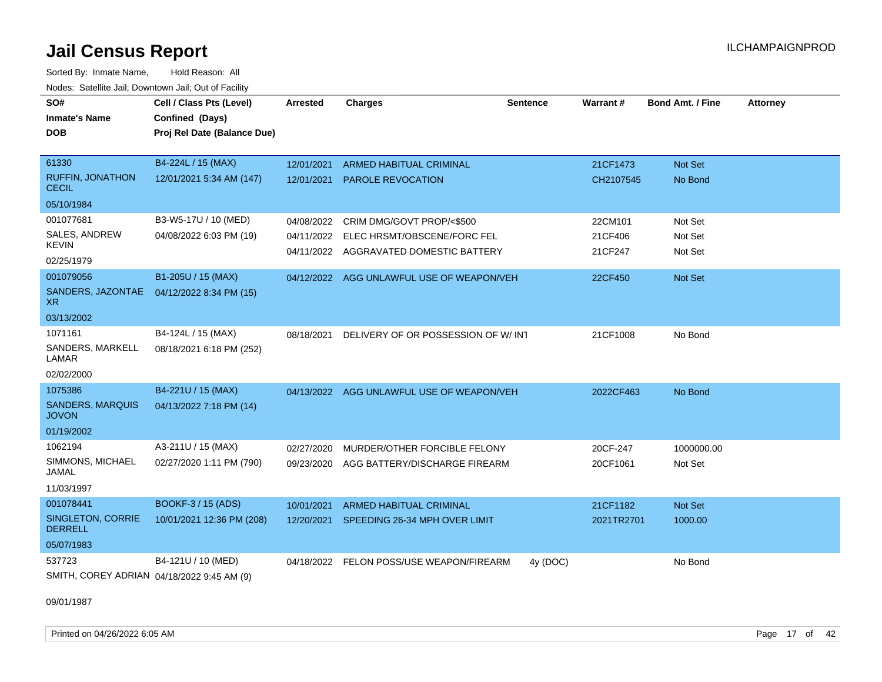Sorted By: Inmate Name, Hold Reason: All Nodes: Satellite Jail; Downtown Jail; Out of Facility

| SO#                                     | Cell / Class Pts (Level)                   | <b>Arrested</b> | <b>Charges</b>                            | <b>Sentence</b> | Warrant#   | <b>Bond Amt. / Fine</b> | <b>Attorney</b> |
|-----------------------------------------|--------------------------------------------|-----------------|-------------------------------------------|-----------------|------------|-------------------------|-----------------|
| <b>Inmate's Name</b>                    | Confined (Days)                            |                 |                                           |                 |            |                         |                 |
| <b>DOB</b>                              | Proj Rel Date (Balance Due)                |                 |                                           |                 |            |                         |                 |
|                                         |                                            |                 |                                           |                 |            |                         |                 |
| 61330                                   | B4-224L / 15 (MAX)                         | 12/01/2021      | ARMED HABITUAL CRIMINAL                   |                 | 21CF1473   | Not Set                 |                 |
| RUFFIN, JONATHON<br><b>CECIL</b>        | 12/01/2021 5:34 AM (147)                   | 12/01/2021      | <b>PAROLE REVOCATION</b>                  |                 | CH2107545  | No Bond                 |                 |
| 05/10/1984                              |                                            |                 |                                           |                 |            |                         |                 |
| 001077681                               | B3-W5-17U / 10 (MED)                       | 04/08/2022      | CRIM DMG/GOVT PROP/<\$500                 |                 | 22CM101    | Not Set                 |                 |
| SALES, ANDREW                           | 04/08/2022 6:03 PM (19)                    |                 | 04/11/2022 ELEC HRSMT/OBSCENE/FORC FEL    |                 | 21CF406    | Not Set                 |                 |
| <b>KEVIN</b>                            |                                            |                 | 04/11/2022 AGGRAVATED DOMESTIC BATTERY    |                 | 21CF247    | Not Set                 |                 |
| 02/25/1979                              |                                            |                 |                                           |                 |            |                         |                 |
| 001079056                               | B1-205U / 15 (MAX)                         |                 | 04/12/2022 AGG UNLAWFUL USE OF WEAPON/VEH |                 | 22CF450    | Not Set                 |                 |
| SANDERS, JAZONTAE<br>XR.                | 04/12/2022 8:34 PM (15)                    |                 |                                           |                 |            |                         |                 |
| 03/13/2002                              |                                            |                 |                                           |                 |            |                         |                 |
| 1071161                                 | B4-124L / 15 (MAX)                         | 08/18/2021      | DELIVERY OF OR POSSESSION OF W/INT        |                 | 21CF1008   | No Bond                 |                 |
| SANDERS, MARKELL<br>LAMAR               | 08/18/2021 6:18 PM (252)                   |                 |                                           |                 |            |                         |                 |
| 02/02/2000                              |                                            |                 |                                           |                 |            |                         |                 |
| 1075386                                 | B4-221U / 15 (MAX)                         |                 | 04/13/2022 AGG UNLAWFUL USE OF WEAPON/VEH |                 | 2022CF463  | No Bond                 |                 |
| <b>SANDERS, MARQUIS</b><br><b>JOVON</b> | 04/13/2022 7:18 PM (14)                    |                 |                                           |                 |            |                         |                 |
| 01/19/2002                              |                                            |                 |                                           |                 |            |                         |                 |
| 1062194                                 | A3-211U / 15 (MAX)                         | 02/27/2020      | MURDER/OTHER FORCIBLE FELONY              |                 | 20CF-247   | 1000000.00              |                 |
| SIMMONS, MICHAEL<br>JAMAL               | 02/27/2020 1:11 PM (790)                   | 09/23/2020      | AGG BATTERY/DISCHARGE FIREARM             |                 | 20CF1061   | Not Set                 |                 |
| 11/03/1997                              |                                            |                 |                                           |                 |            |                         |                 |
| 001078441                               | BOOKF-3 / 15 (ADS)                         | 10/01/2021      | <b>ARMED HABITUAL CRIMINAL</b>            |                 | 21CF1182   | Not Set                 |                 |
| SINGLETON, CORRIE<br><b>DERRELL</b>     | 10/01/2021 12:36 PM (208)                  |                 | 12/20/2021 SPEEDING 26-34 MPH OVER LIMIT  |                 | 2021TR2701 | 1000.00                 |                 |
| 05/07/1983                              |                                            |                 |                                           |                 |            |                         |                 |
| 537723                                  | B4-121U / 10 (MED)                         |                 | 04/18/2022 FELON POSS/USE WEAPON/FIREARM  | 4y (DOC)        |            | No Bond                 |                 |
|                                         | SMITH, COREY ADRIAN 04/18/2022 9:45 AM (9) |                 |                                           |                 |            |                         |                 |

09/01/1987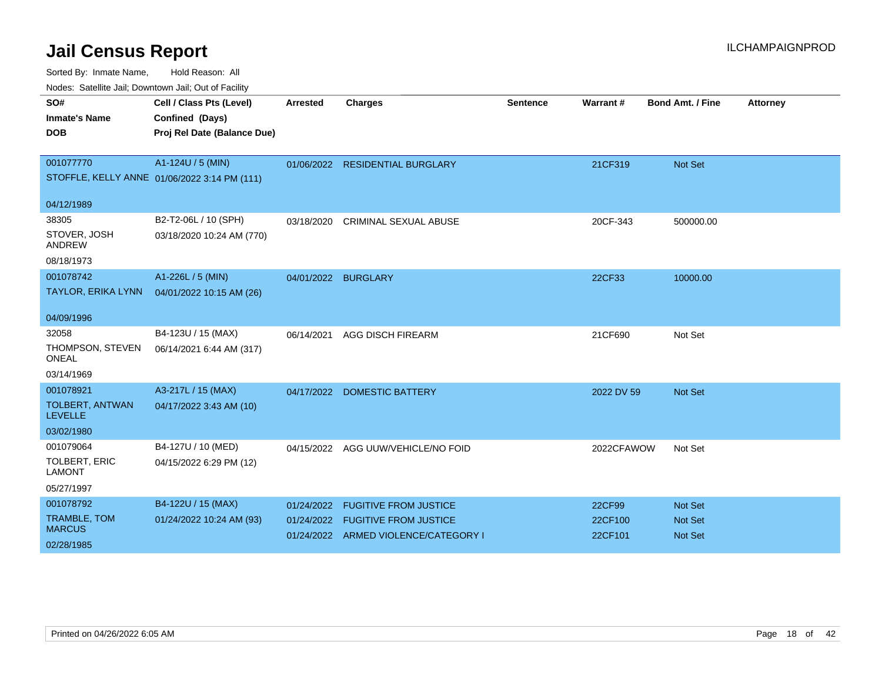| roaco. Calcinio dan, Domnomi dan, Cal or Fability |                                              |                 |                                      |                 |            |                         |                 |
|---------------------------------------------------|----------------------------------------------|-----------------|--------------------------------------|-----------------|------------|-------------------------|-----------------|
| SO#                                               | Cell / Class Pts (Level)                     | <b>Arrested</b> | <b>Charges</b>                       | <b>Sentence</b> | Warrant#   | <b>Bond Amt. / Fine</b> | <b>Attorney</b> |
| <b>Inmate's Name</b>                              | Confined (Days)                              |                 |                                      |                 |            |                         |                 |
| <b>DOB</b>                                        | Proj Rel Date (Balance Due)                  |                 |                                      |                 |            |                         |                 |
|                                                   |                                              |                 |                                      |                 |            |                         |                 |
| 001077770                                         | A1-124U / 5 (MIN)                            |                 | 01/06/2022 RESIDENTIAL BURGLARY      |                 | 21CF319    | Not Set                 |                 |
|                                                   | STOFFLE, KELLY ANNE 01/06/2022 3:14 PM (111) |                 |                                      |                 |            |                         |                 |
|                                                   |                                              |                 |                                      |                 |            |                         |                 |
| 04/12/1989                                        |                                              |                 |                                      |                 |            |                         |                 |
| 38305                                             | B2-T2-06L / 10 (SPH)                         | 03/18/2020      | <b>CRIMINAL SEXUAL ABUSE</b>         |                 | 20CF-343   | 500000.00               |                 |
| STOVER, JOSH<br><b>ANDREW</b>                     | 03/18/2020 10:24 AM (770)                    |                 |                                      |                 |            |                         |                 |
| 08/18/1973                                        |                                              |                 |                                      |                 |            |                         |                 |
| 001078742                                         | A1-226L / 5 (MIN)                            | 04/01/2022      | <b>BURGLARY</b>                      |                 | 22CF33     | 10000.00                |                 |
| <b>TAYLOR, ERIKA LYNN</b>                         | 04/01/2022 10:15 AM (26)                     |                 |                                      |                 |            |                         |                 |
|                                                   |                                              |                 |                                      |                 |            |                         |                 |
| 04/09/1996                                        |                                              |                 |                                      |                 |            |                         |                 |
| 32058                                             | B4-123U / 15 (MAX)                           | 06/14/2021      | <b>AGG DISCH FIREARM</b>             |                 | 21CF690    | Not Set                 |                 |
| THOMPSON, STEVEN<br><b>ONEAL</b>                  | 06/14/2021 6:44 AM (317)                     |                 |                                      |                 |            |                         |                 |
| 03/14/1969                                        |                                              |                 |                                      |                 |            |                         |                 |
| 001078921                                         | A3-217L / 15 (MAX)                           |                 | 04/17/2022 DOMESTIC BATTERY          |                 | 2022 DV 59 | <b>Not Set</b>          |                 |
| TOLBERT, ANTWAN<br><b>LEVELLE</b>                 | 04/17/2022 3:43 AM (10)                      |                 |                                      |                 |            |                         |                 |
| 03/02/1980                                        |                                              |                 |                                      |                 |            |                         |                 |
| 001079064                                         | B4-127U / 10 (MED)                           |                 | 04/15/2022 AGG UUW/VEHICLE/NO FOID   |                 | 2022CFAWOW | Not Set                 |                 |
| <b>TOLBERT, ERIC</b><br><b>LAMONT</b>             | 04/15/2022 6:29 PM (12)                      |                 |                                      |                 |            |                         |                 |
| 05/27/1997                                        |                                              |                 |                                      |                 |            |                         |                 |
| 001078792                                         | B4-122U / 15 (MAX)                           | 01/24/2022      | <b>FUGITIVE FROM JUSTICE</b>         |                 | 22CF99     | <b>Not Set</b>          |                 |
| <b>TRAMBLE, TOM</b>                               | 01/24/2022 10:24 AM (93)                     | 01/24/2022      | <b>FUGITIVE FROM JUSTICE</b>         |                 | 22CF100    | Not Set                 |                 |
| <b>MARCUS</b>                                     |                                              |                 | 01/24/2022 ARMED VIOLENCE/CATEGORY I |                 | 22CF101    | <b>Not Set</b>          |                 |
| 02/28/1985                                        |                                              |                 |                                      |                 |            |                         |                 |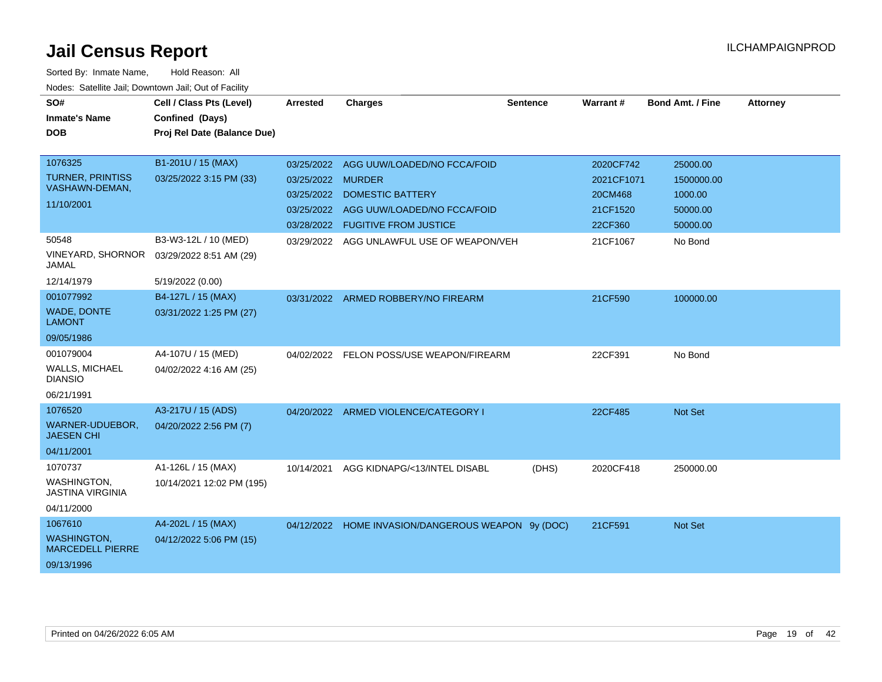| SO#<br><b>Inmate's Name</b><br><b>DOB</b>                              | Cell / Class Pts (Level)<br>Confined (Days)<br>Proj Rel Date (Balance Due) | <b>Arrested</b>                               | <b>Charges</b>                                                                                                                       | <b>Sentence</b> | <b>Warrant#</b>                                           | <b>Bond Amt. / Fine</b>                                   | <b>Attorney</b> |
|------------------------------------------------------------------------|----------------------------------------------------------------------------|-----------------------------------------------|--------------------------------------------------------------------------------------------------------------------------------------|-----------------|-----------------------------------------------------------|-----------------------------------------------------------|-----------------|
| 1076325<br><b>TURNER, PRINTISS</b><br>VASHAWN-DEMAN,<br>11/10/2001     | B1-201U / 15 (MAX)<br>03/25/2022 3:15 PM (33)                              | 03/25/2022 MURDER<br>03/25/2022<br>03/25/2022 | 03/25/2022 AGG UUW/LOADED/NO FCCA/FOID<br><b>DOMESTIC BATTERY</b><br>AGG UUW/LOADED/NO FCCA/FOID<br>03/28/2022 FUGITIVE FROM JUSTICE |                 | 2020CF742<br>2021CF1071<br>20CM468<br>21CF1520<br>22CF360 | 25000.00<br>1500000.00<br>1000.00<br>50000.00<br>50000.00 |                 |
| 50548<br><b>VINEYARD, SHORNOR</b><br>JAMAL<br>12/14/1979               | B3-W3-12L / 10 (MED)<br>03/29/2022 8:51 AM (29)<br>5/19/2022 (0.00)        |                                               | 03/29/2022 AGG UNLAWFUL USE OF WEAPON/VEH                                                                                            |                 | 21CF1067                                                  | No Bond                                                   |                 |
| 001077992<br><b>WADE, DONTE</b><br><b>LAMONT</b><br>09/05/1986         | B4-127L / 15 (MAX)<br>03/31/2022 1:25 PM (27)                              |                                               | 03/31/2022 ARMED ROBBERY/NO FIREARM                                                                                                  |                 | 21CF590                                                   | 100000.00                                                 |                 |
| 001079004<br><b>WALLS, MICHAEL</b><br><b>DIANSIO</b><br>06/21/1991     | A4-107U / 15 (MED)<br>04/02/2022 4:16 AM (25)                              | 04/02/2022                                    | FELON POSS/USE WEAPON/FIREARM                                                                                                        |                 | 22CF391                                                   | No Bond                                                   |                 |
| 1076520<br>WARNER-UDUEBOR,<br><b>JAESEN CHI</b><br>04/11/2001          | A3-217U / 15 (ADS)<br>04/20/2022 2:56 PM (7)                               |                                               | 04/20/2022 ARMED VIOLENCE/CATEGORY I                                                                                                 |                 | 22CF485                                                   | <b>Not Set</b>                                            |                 |
| 1070737<br><b>WASHINGTON.</b><br><b>JASTINA VIRGINIA</b><br>04/11/2000 | A1-126L / 15 (MAX)<br>10/14/2021 12:02 PM (195)                            | 10/14/2021                                    | AGG KIDNAPG/<13/INTEL DISABL                                                                                                         | (DHS)           | 2020CF418                                                 | 250000.00                                                 |                 |
| 1067610<br><b>WASHINGTON,</b><br><b>MARCEDELL PIERRE</b><br>09/13/1996 | A4-202L / 15 (MAX)<br>04/12/2022 5:06 PM (15)                              |                                               | 04/12/2022 HOME INVASION/DANGEROUS WEAPON 9y (DOC)                                                                                   |                 | 21CF591                                                   | <b>Not Set</b>                                            |                 |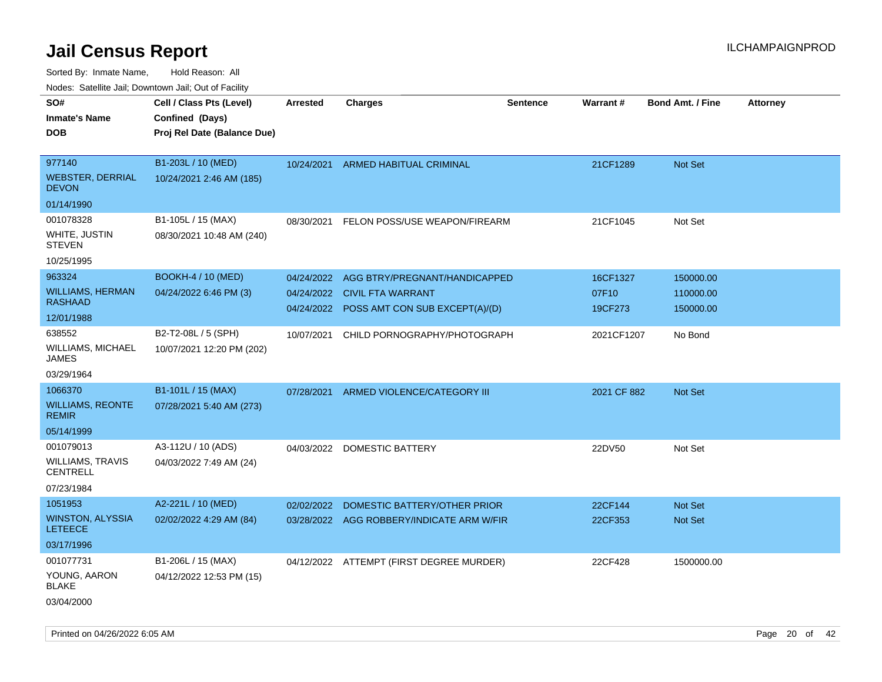Sorted By: Inmate Name, Hold Reason: All

|                                           | Nodes: Satellite Jail; Downtown Jail; Out of Facility |                 |                                           |                 |                 |                         |                 |
|-------------------------------------------|-------------------------------------------------------|-----------------|-------------------------------------------|-----------------|-----------------|-------------------------|-----------------|
| SO#                                       | Cell / Class Pts (Level)                              | <b>Arrested</b> | <b>Charges</b>                            | <b>Sentence</b> | <b>Warrant#</b> | <b>Bond Amt. / Fine</b> | <b>Attorney</b> |
| <b>Inmate's Name</b>                      | Confined (Days)                                       |                 |                                           |                 |                 |                         |                 |
| <b>DOB</b>                                | Proj Rel Date (Balance Due)                           |                 |                                           |                 |                 |                         |                 |
|                                           |                                                       |                 |                                           |                 |                 |                         |                 |
| 977140                                    | B1-203L / 10 (MED)                                    | 10/24/2021      | <b>ARMED HABITUAL CRIMINAL</b>            |                 | 21CF1289        | Not Set                 |                 |
| <b>WEBSTER, DERRIAL</b><br><b>DEVON</b>   | 10/24/2021 2:46 AM (185)                              |                 |                                           |                 |                 |                         |                 |
| 01/14/1990                                |                                                       |                 |                                           |                 |                 |                         |                 |
| 001078328                                 | B1-105L / 15 (MAX)                                    |                 | 08/30/2021 FELON POSS/USE WEAPON/FIREARM  |                 | 21CF1045        | Not Set                 |                 |
| WHITE, JUSTIN<br><b>STEVEN</b>            | 08/30/2021 10:48 AM (240)                             |                 |                                           |                 |                 |                         |                 |
| 10/25/1995                                |                                                       |                 |                                           |                 |                 |                         |                 |
| 963324                                    | <b>BOOKH-4 / 10 (MED)</b>                             |                 | 04/24/2022 AGG BTRY/PREGNANT/HANDICAPPED  |                 | 16CF1327        | 150000.00               |                 |
| <b>WILLIAMS, HERMAN</b>                   | 04/24/2022 6:46 PM (3)                                |                 | 04/24/2022 CIVIL FTA WARRANT              |                 | 07F10           | 110000.00               |                 |
| <b>RASHAAD</b>                            |                                                       | 04/24/2022      | POSS AMT CON SUB EXCEPT(A)/(D)            |                 | 19CF273         | 150000.00               |                 |
| 12/01/1988                                |                                                       |                 |                                           |                 |                 |                         |                 |
| 638552                                    | B2-T2-08L / 5 (SPH)                                   | 10/07/2021      | CHILD PORNOGRAPHY/PHOTOGRAPH              |                 | 2021CF1207      | No Bond                 |                 |
| WILLIAMS, MICHAEL<br><b>JAMES</b>         | 10/07/2021 12:20 PM (202)                             |                 |                                           |                 |                 |                         |                 |
| 03/29/1964                                |                                                       |                 |                                           |                 |                 |                         |                 |
| 1066370                                   | B1-101L / 15 (MAX)                                    | 07/28/2021      | ARMED VIOLENCE/CATEGORY III               |                 | 2021 CF 882     | Not Set                 |                 |
| <b>WILLIAMS, REONTE</b><br><b>REMIR</b>   | 07/28/2021 5:40 AM (273)                              |                 |                                           |                 |                 |                         |                 |
| 05/14/1999                                |                                                       |                 |                                           |                 |                 |                         |                 |
| 001079013                                 | A3-112U / 10 (ADS)                                    |                 | 04/03/2022 DOMESTIC BATTERY               |                 | 22DV50          | Not Set                 |                 |
| WILLIAMS, TRAVIS<br><b>CENTRELL</b>       | 04/03/2022 7:49 AM (24)                               |                 |                                           |                 |                 |                         |                 |
| 07/23/1984                                |                                                       |                 |                                           |                 |                 |                         |                 |
| 1051953                                   | A2-221L / 10 (MED)                                    | 02/02/2022      | DOMESTIC BATTERY/OTHER PRIOR              |                 | 22CF144         | <b>Not Set</b>          |                 |
| <b>WINSTON, ALYSSIA</b><br><b>LETEECE</b> | 02/02/2022 4:29 AM (84)                               |                 | 03/28/2022 AGG ROBBERY/INDICATE ARM W/FIR |                 | 22CF353         | Not Set                 |                 |
| 03/17/1996                                |                                                       |                 |                                           |                 |                 |                         |                 |
| 001077731                                 | B1-206L / 15 (MAX)                                    |                 | 04/12/2022 ATTEMPT (FIRST DEGREE MURDER)  |                 | 22CF428         | 1500000.00              |                 |
| YOUNG, AARON<br><b>BLAKE</b>              | 04/12/2022 12:53 PM (15)                              |                 |                                           |                 |                 |                         |                 |
| 03/04/2000                                |                                                       |                 |                                           |                 |                 |                         |                 |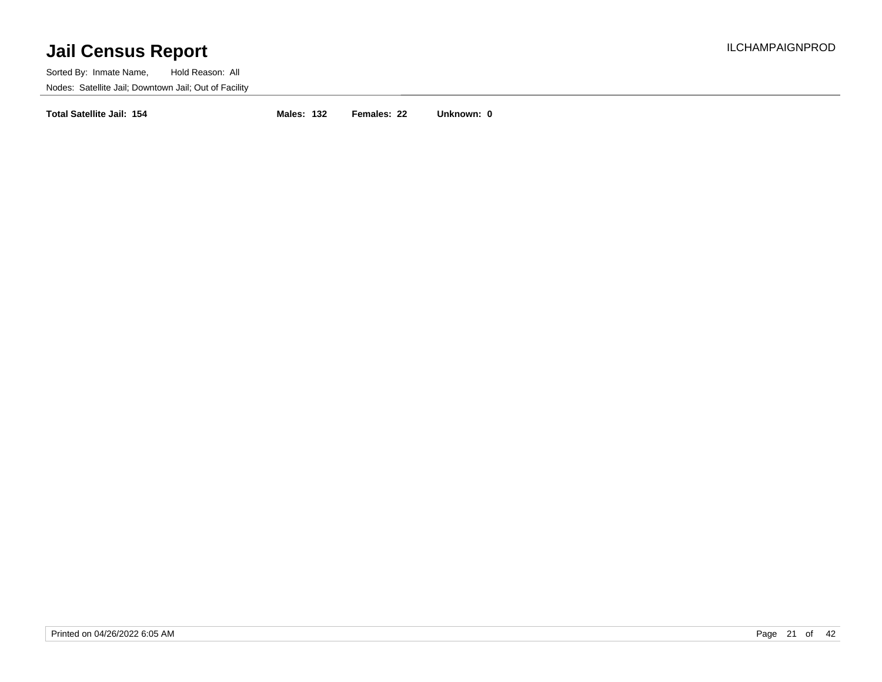Sorted By: Inmate Name, Hold Reason: All Nodes: Satellite Jail; Downtown Jail; Out of Facility

**Total Satellite Jail: 154 Males: 132 Females: 22 Unknown: 0**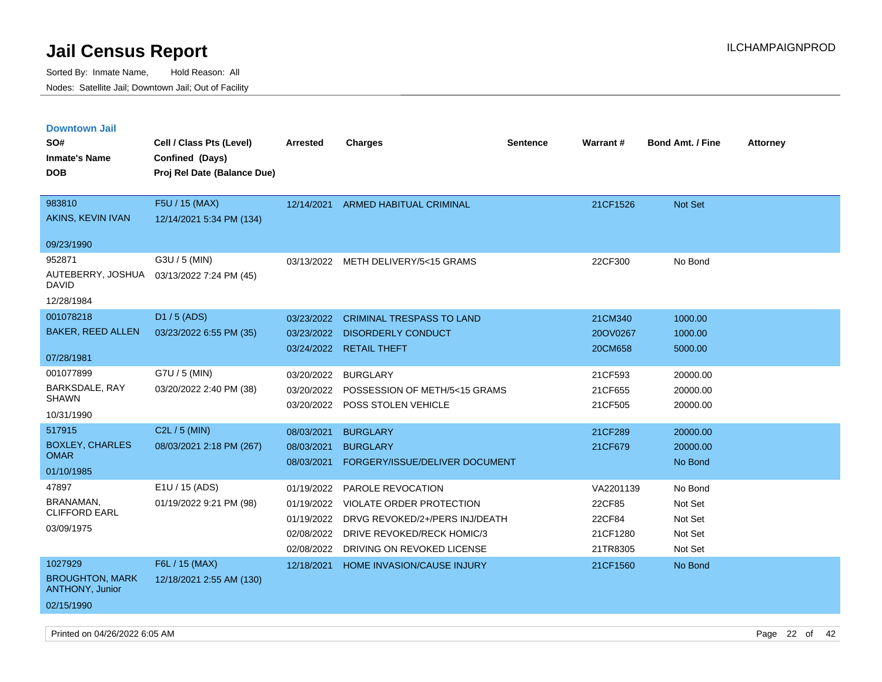| <b>Downtown Jail</b>                             |                                           |                 |                                       |                 |                 |                         |                 |
|--------------------------------------------------|-------------------------------------------|-----------------|---------------------------------------|-----------------|-----------------|-------------------------|-----------------|
| SO#                                              | Cell / Class Pts (Level)                  | <b>Arrested</b> | <b>Charges</b>                        | <b>Sentence</b> | <b>Warrant#</b> | <b>Bond Amt. / Fine</b> | <b>Attorney</b> |
| <b>Inmate's Name</b>                             | Confined (Days)                           |                 |                                       |                 |                 |                         |                 |
| <b>DOB</b>                                       | Proj Rel Date (Balance Due)               |                 |                                       |                 |                 |                         |                 |
|                                                  |                                           |                 |                                       |                 |                 |                         |                 |
| 983810                                           | F5U / 15 (MAX)                            | 12/14/2021      | <b>ARMED HABITUAL CRIMINAL</b>        |                 | 21CF1526        | Not Set                 |                 |
| AKINS, KEVIN IVAN                                | 12/14/2021 5:34 PM (134)                  |                 |                                       |                 |                 |                         |                 |
| 09/23/1990                                       |                                           |                 |                                       |                 |                 |                         |                 |
| 952871                                           | G3U / 5 (MIN)                             |                 | 03/13/2022 METH DELIVERY/5<15 GRAMS   |                 | 22CF300         | No Bond                 |                 |
| <b>DAVID</b>                                     | AUTEBERRY, JOSHUA 03/13/2022 7:24 PM (45) |                 |                                       |                 |                 |                         |                 |
| 12/28/1984                                       |                                           |                 |                                       |                 |                 |                         |                 |
| 001078218                                        | D1 / 5 (ADS)                              | 03/23/2022      | <b>CRIMINAL TRESPASS TO LAND</b>      |                 | 21CM340         | 1000.00                 |                 |
| <b>BAKER, REED ALLEN</b>                         | 03/23/2022 6:55 PM (35)                   | 03/23/2022      | <b>DISORDERLY CONDUCT</b>             |                 | 20OV0267        | 1000.00                 |                 |
|                                                  |                                           | 03/24/2022      | <b>RETAIL THEFT</b>                   |                 | 20CM658         | 5000.00                 |                 |
| 07/28/1981                                       |                                           |                 |                                       |                 |                 |                         |                 |
| 001077899                                        | G7U / 5 (MIN)                             | 03/20/2022      | <b>BURGLARY</b>                       |                 | 21CF593         | 20000.00                |                 |
| BARKSDALE, RAY<br><b>SHAWN</b>                   | 03/20/2022 2:40 PM (38)                   | 03/20/2022      | POSSESSION OF METH/5<15 GRAMS         |                 | 21CF655         | 20000.00                |                 |
| 10/31/1990                                       |                                           | 03/20/2022      | POSS STOLEN VEHICLE                   |                 | 21CF505         | 20000.00                |                 |
| 517915                                           |                                           |                 |                                       |                 |                 |                         |                 |
| <b>BOXLEY, CHARLES</b>                           | C2L / 5 (MIN)                             | 08/03/2021      | <b>BURGLARY</b>                       |                 | 21CF289         | 20000.00                |                 |
| <b>OMAR</b>                                      | 08/03/2021 2:18 PM (267)                  | 08/03/2021      | <b>BURGLARY</b>                       |                 | 21CF679         | 20000.00                |                 |
| 01/10/1985                                       |                                           | 08/03/2021      | FORGERY/ISSUE/DELIVER DOCUMENT        |                 |                 | No Bond                 |                 |
| 47897                                            | E1U / 15 (ADS)                            | 01/19/2022      | <b>PAROLE REVOCATION</b>              |                 | VA2201139       | No Bond                 |                 |
| BRANAMAN,                                        | 01/19/2022 9:21 PM (98)                   | 01/19/2022      | <b>VIOLATE ORDER PROTECTION</b>       |                 | 22CF85          | Not Set                 |                 |
| <b>CLIFFORD EARL</b>                             |                                           | 01/19/2022      | DRVG REVOKED/2+/PERS INJ/DEATH        |                 | 22CF84          | Not Set                 |                 |
| 03/09/1975                                       |                                           |                 | 02/08/2022 DRIVE REVOKED/RECK HOMIC/3 |                 | 21CF1280        | Not Set                 |                 |
|                                                  |                                           | 02/08/2022      | DRIVING ON REVOKED LICENSE            |                 | 21TR8305        | Not Set                 |                 |
| 1027929                                          | F6L / 15 (MAX)                            | 12/18/2021      | HOME INVASION/CAUSE INJURY            |                 | 21CF1560        | No Bond                 |                 |
| <b>BROUGHTON, MARK</b><br><b>ANTHONY, Junior</b> | 12/18/2021 2:55 AM (130)                  |                 |                                       |                 |                 |                         |                 |
| 02/15/1990                                       |                                           |                 |                                       |                 |                 |                         |                 |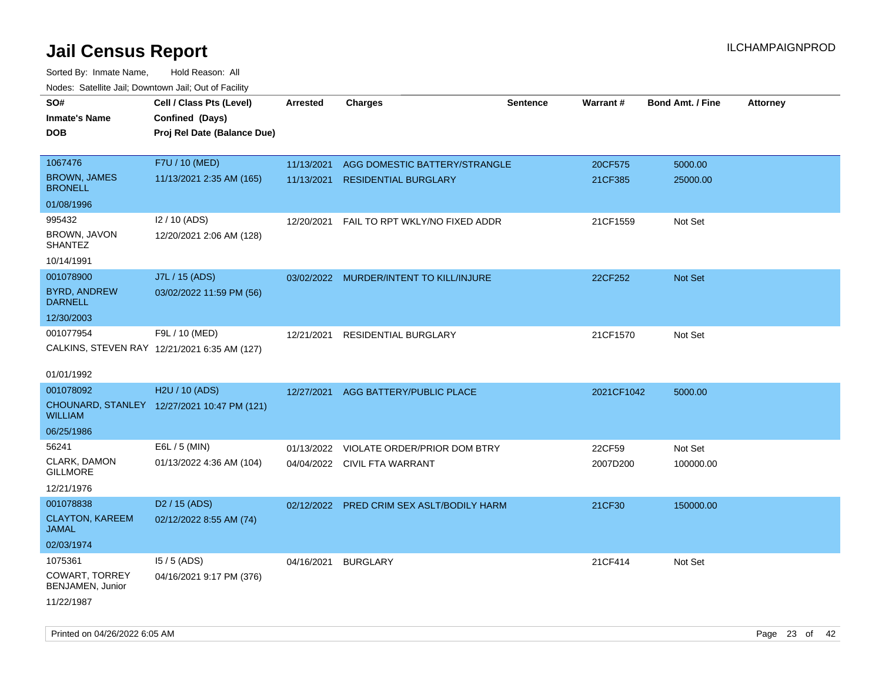| roaco. Catolino dall, Downtown dall, Out of Fability |                                              |                 |                                           |                 |                 |                         |                 |
|------------------------------------------------------|----------------------------------------------|-----------------|-------------------------------------------|-----------------|-----------------|-------------------------|-----------------|
| SO#                                                  | Cell / Class Pts (Level)                     | <b>Arrested</b> | <b>Charges</b>                            | <b>Sentence</b> | <b>Warrant#</b> | <b>Bond Amt. / Fine</b> | <b>Attorney</b> |
| <b>Inmate's Name</b>                                 | Confined (Days)                              |                 |                                           |                 |                 |                         |                 |
| <b>DOB</b>                                           | Proj Rel Date (Balance Due)                  |                 |                                           |                 |                 |                         |                 |
|                                                      |                                              |                 |                                           |                 |                 |                         |                 |
| 1067476                                              | F7U / 10 (MED)                               | 11/13/2021      | AGG DOMESTIC BATTERY/STRANGLE             |                 | 20CF575         | 5000.00                 |                 |
| <b>BROWN, JAMES</b><br><b>BRONELL</b>                | 11/13/2021 2:35 AM (165)                     | 11/13/2021      | <b>RESIDENTIAL BURGLARY</b>               |                 | 21CF385         | 25000.00                |                 |
| 01/08/1996                                           |                                              |                 |                                           |                 |                 |                         |                 |
| 995432                                               | I2 / 10 (ADS)                                | 12/20/2021      | FAIL TO RPT WKLY/NO FIXED ADDR            |                 | 21CF1559        | Not Set                 |                 |
| BROWN, JAVON<br><b>SHANTEZ</b>                       | 12/20/2021 2:06 AM (128)                     |                 |                                           |                 |                 |                         |                 |
| 10/14/1991                                           |                                              |                 |                                           |                 |                 |                         |                 |
| 001078900                                            | J7L / 15 (ADS)                               |                 | 03/02/2022 MURDER/INTENT TO KILL/INJURE   |                 | 22CF252         | Not Set                 |                 |
| <b>BYRD, ANDREW</b><br><b>DARNELL</b>                | 03/02/2022 11:59 PM (56)                     |                 |                                           |                 |                 |                         |                 |
| 12/30/2003                                           |                                              |                 |                                           |                 |                 |                         |                 |
| 001077954                                            | F9L / 10 (MED)                               | 12/21/2021      | RESIDENTIAL BURGLARY                      |                 | 21CF1570        | Not Set                 |                 |
|                                                      | CALKINS, STEVEN RAY 12/21/2021 6:35 AM (127) |                 |                                           |                 |                 |                         |                 |
|                                                      |                                              |                 |                                           |                 |                 |                         |                 |
| 01/01/1992                                           |                                              |                 |                                           |                 |                 |                         |                 |
| 001078092                                            | H2U / 10 (ADS)                               | 12/27/2021      | AGG BATTERY/PUBLIC PLACE                  |                 | 2021CF1042      | 5000.00                 |                 |
| WILLIAM                                              | CHOUNARD, STANLEY 12/27/2021 10:47 PM (121)  |                 |                                           |                 |                 |                         |                 |
| 06/25/1986                                           |                                              |                 |                                           |                 |                 |                         |                 |
| 56241                                                | E6L / 5 (MIN)                                | 01/13/2022      | VIOLATE ORDER/PRIOR DOM BTRY              |                 | 22CF59          | Not Set                 |                 |
| CLARK, DAMON<br><b>GILLMORE</b>                      | 01/13/2022 4:36 AM (104)                     |                 | 04/04/2022 CIVIL FTA WARRANT              |                 | 2007D200        | 100000.00               |                 |
| 12/21/1976                                           |                                              |                 |                                           |                 |                 |                         |                 |
| 001078838                                            | D <sub>2</sub> / 15 (ADS)                    |                 | 02/12/2022 PRED CRIM SEX ASLT/BODILY HARM |                 | 21CF30          | 150000.00               |                 |
| <b>CLAYTON, KAREEM</b><br>JAMAL                      | 02/12/2022 8:55 AM (74)                      |                 |                                           |                 |                 |                         |                 |
| 02/03/1974                                           |                                              |                 |                                           |                 |                 |                         |                 |
| 1075361                                              | $15/5$ (ADS)                                 | 04/16/2021      | <b>BURGLARY</b>                           |                 | 21CF414         | Not Set                 |                 |
| <b>COWART, TORREY</b><br>BENJAMEN, Junior            | 04/16/2021 9:17 PM (376)                     |                 |                                           |                 |                 |                         |                 |
| 11/22/1987                                           |                                              |                 |                                           |                 |                 |                         |                 |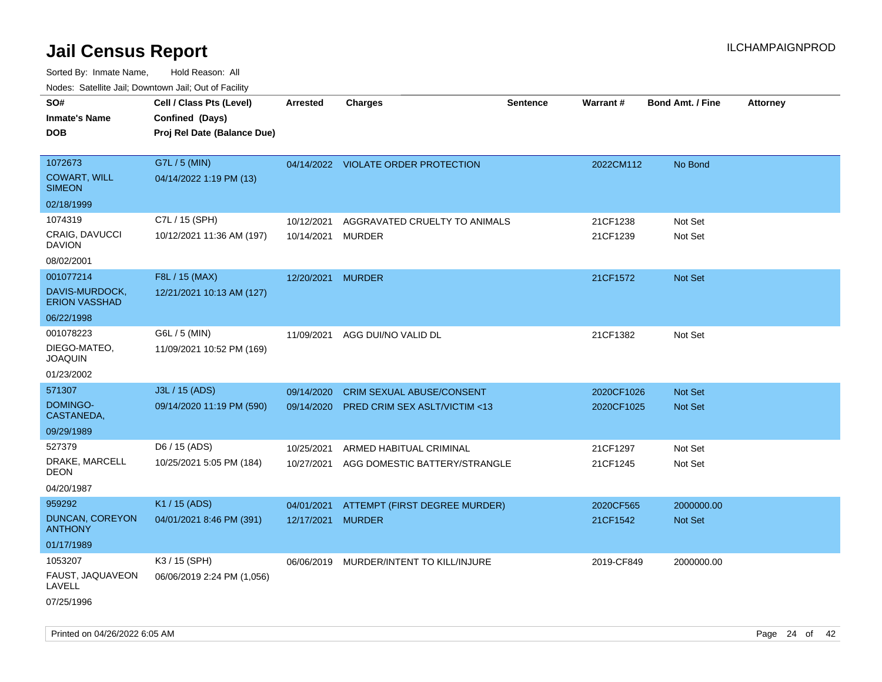Sorted By: Inmate Name, Hold Reason: All Nodes: Satellite Jail; Downtown Jail; Out of Facility

| rouce. Calcinic Jan, Downtown Jan, Out or Facility |                             |                   |                                          |                 |            |                         |                 |
|----------------------------------------------------|-----------------------------|-------------------|------------------------------------------|-----------------|------------|-------------------------|-----------------|
| SO#                                                | Cell / Class Pts (Level)    | <b>Arrested</b>   | <b>Charges</b>                           | <b>Sentence</b> | Warrant#   | <b>Bond Amt. / Fine</b> | <b>Attorney</b> |
| <b>Inmate's Name</b>                               | Confined (Days)             |                   |                                          |                 |            |                         |                 |
| <b>DOB</b>                                         | Proj Rel Date (Balance Due) |                   |                                          |                 |            |                         |                 |
|                                                    |                             |                   |                                          |                 |            |                         |                 |
| 1072673                                            | G7L / 5 (MIN)               |                   | 04/14/2022 VIOLATE ORDER PROTECTION      |                 | 2022CM112  | No Bond                 |                 |
| <b>COWART, WILL</b><br><b>SIMEON</b>               | 04/14/2022 1:19 PM (13)     |                   |                                          |                 |            |                         |                 |
| 02/18/1999                                         |                             |                   |                                          |                 |            |                         |                 |
| 1074319                                            | C7L / 15 (SPH)              | 10/12/2021        | AGGRAVATED CRUELTY TO ANIMALS            |                 | 21CF1238   | Not Set                 |                 |
| CRAIG, DAVUCCI<br><b>DAVION</b>                    | 10/12/2021 11:36 AM (197)   | 10/14/2021 MURDER |                                          |                 | 21CF1239   | Not Set                 |                 |
| 08/02/2001                                         |                             |                   |                                          |                 |            |                         |                 |
| 001077214                                          | F8L / 15 (MAX)              | 12/20/2021 MURDER |                                          |                 | 21CF1572   | Not Set                 |                 |
| DAVIS-MURDOCK,<br><b>ERION VASSHAD</b>             | 12/21/2021 10:13 AM (127)   |                   |                                          |                 |            |                         |                 |
| 06/22/1998                                         |                             |                   |                                          |                 |            |                         |                 |
| 001078223                                          | G6L / 5 (MIN)               | 11/09/2021        | AGG DUI/NO VALID DL                      |                 | 21CF1382   | Not Set                 |                 |
| DIEGO-MATEO,<br><b>JOAQUIN</b>                     | 11/09/2021 10:52 PM (169)   |                   |                                          |                 |            |                         |                 |
| 01/23/2002                                         |                             |                   |                                          |                 |            |                         |                 |
| 571307                                             | J3L / 15 (ADS)              | 09/14/2020        | <b>CRIM SEXUAL ABUSE/CONSENT</b>         |                 | 2020CF1026 | <b>Not Set</b>          |                 |
| <b>DOMINGO-</b><br>CASTANEDA,                      | 09/14/2020 11:19 PM (590)   | 09/14/2020        | PRED CRIM SEX ASLT/VICTIM <13            |                 | 2020CF1025 | Not Set                 |                 |
| 09/29/1989                                         |                             |                   |                                          |                 |            |                         |                 |
| 527379                                             | D6 / 15 (ADS)               | 10/25/2021        | ARMED HABITUAL CRIMINAL                  |                 | 21CF1297   | Not Set                 |                 |
| DRAKE, MARCELL<br><b>DEON</b>                      | 10/25/2021 5:05 PM (184)    |                   | 10/27/2021 AGG DOMESTIC BATTERY/STRANGLE |                 | 21CF1245   | Not Set                 |                 |
| 04/20/1987                                         |                             |                   |                                          |                 |            |                         |                 |
| 959292                                             | K1 / 15 (ADS)               | 04/01/2021        | ATTEMPT (FIRST DEGREE MURDER)            |                 | 2020CF565  | 2000000.00              |                 |
| <b>DUNCAN, COREYON</b><br><b>ANTHONY</b>           | 04/01/2021 8:46 PM (391)    | 12/17/2021 MURDER |                                          |                 | 21CF1542   | Not Set                 |                 |
| 01/17/1989                                         |                             |                   |                                          |                 |            |                         |                 |
| 1053207                                            | K3 / 15 (SPH)               |                   | 06/06/2019 MURDER/INTENT TO KILL/INJURE  |                 | 2019-CF849 | 2000000.00              |                 |
| FAUST, JAQUAVEON<br>LAVELL                         | 06/06/2019 2:24 PM (1,056)  |                   |                                          |                 |            |                         |                 |
| 07/25/1996                                         |                             |                   |                                          |                 |            |                         |                 |

Printed on 04/26/2022 6:05 AM Page 24 of 42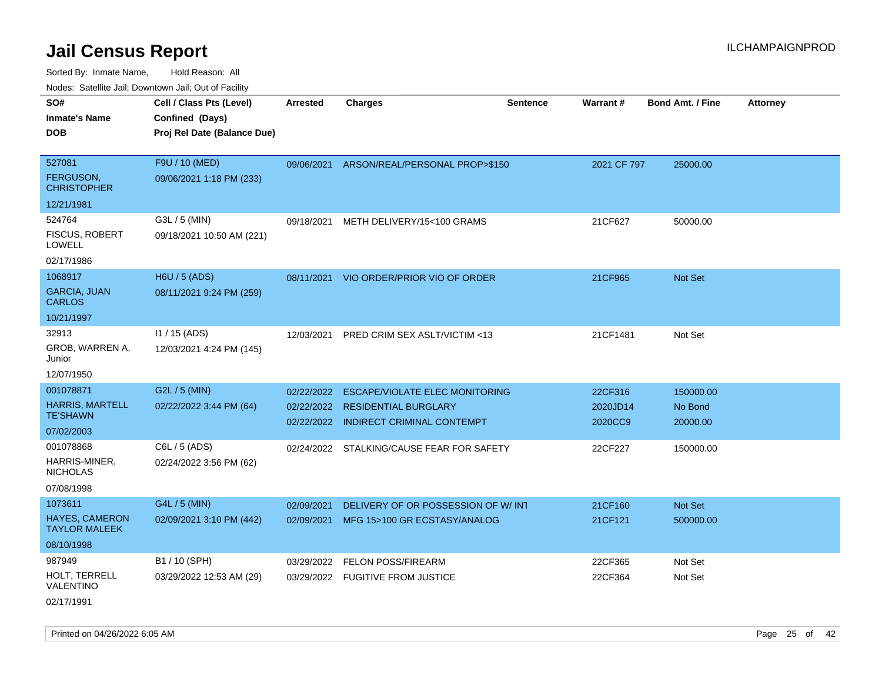| SO#                                    | Cell / Class Pts (Level)    | <b>Arrested</b> | <b>Charges</b>                            | <b>Sentence</b> | Warrant#    | <b>Bond Amt. / Fine</b> | <b>Attorney</b> |
|----------------------------------------|-----------------------------|-----------------|-------------------------------------------|-----------------|-------------|-------------------------|-----------------|
| <b>Inmate's Name</b>                   | Confined (Days)             |                 |                                           |                 |             |                         |                 |
| <b>DOB</b>                             | Proj Rel Date (Balance Due) |                 |                                           |                 |             |                         |                 |
|                                        |                             |                 |                                           |                 |             |                         |                 |
| 527081                                 | F9U / 10 (MED)              |                 | 09/06/2021 ARSON/REAL/PERSONAL PROP>\$150 |                 | 2021 CF 797 | 25000.00                |                 |
| <b>FERGUSON,</b><br><b>CHRISTOPHER</b> | 09/06/2021 1:18 PM (233)    |                 |                                           |                 |             |                         |                 |
| 12/21/1981                             |                             |                 |                                           |                 |             |                         |                 |
| 524764                                 | G3L / 5 (MIN)               | 09/18/2021      | METH DELIVERY/15<100 GRAMS                |                 | 21CF627     | 50000.00                |                 |
| FISCUS, ROBERT<br>LOWELL               | 09/18/2021 10:50 AM (221)   |                 |                                           |                 |             |                         |                 |
| 02/17/1986                             |                             |                 |                                           |                 |             |                         |                 |
| 1068917                                | H6U / 5 (ADS)               |                 | 08/11/2021 VIO ORDER/PRIOR VIO OF ORDER   |                 | 21CF965     | Not Set                 |                 |
| <b>GARCIA, JUAN</b><br><b>CARLOS</b>   | 08/11/2021 9:24 PM (259)    |                 |                                           |                 |             |                         |                 |
| 10/21/1997                             |                             |                 |                                           |                 |             |                         |                 |
| 32913                                  | $11 / 15$ (ADS)             | 12/03/2021      | PRED CRIM SEX ASLT/VICTIM <13             |                 | 21CF1481    | Not Set                 |                 |
| GROB, WARREN A,<br>Junior              | 12/03/2021 4:24 PM (145)    |                 |                                           |                 |             |                         |                 |
| 12/07/1950                             |                             |                 |                                           |                 |             |                         |                 |
| 001078871                              | G2L / 5 (MIN)               | 02/22/2022      | <b>ESCAPE/VIOLATE ELEC MONITORING</b>     |                 | 22CF316     | 150000.00               |                 |
| <b>HARRIS, MARTELL</b>                 | 02/22/2022 3:44 PM (64)     |                 | 02/22/2022 RESIDENTIAL BURGLARY           |                 | 2020JD14    | No Bond                 |                 |
| <b>TE'SHAWN</b>                        |                             |                 | 02/22/2022 INDIRECT CRIMINAL CONTEMPT     |                 | 2020CC9     | 20000.00                |                 |
| 07/02/2003                             |                             |                 |                                           |                 |             |                         |                 |
| 001078868                              | C6L / 5 (ADS)               |                 | 02/24/2022 STALKING/CAUSE FEAR FOR SAFETY |                 | 22CF227     | 150000.00               |                 |
| HARRIS-MINER,<br><b>NICHOLAS</b>       | 02/24/2022 3:56 PM (62)     |                 |                                           |                 |             |                         |                 |
| 07/08/1998                             |                             |                 |                                           |                 |             |                         |                 |
| 1073611                                | G4L / 5 (MIN)               | 02/09/2021      | DELIVERY OF OR POSSESSION OF W/ INT       |                 | 21CF160     | Not Set                 |                 |
| HAYES, CAMERON<br><b>TAYLOR MALEEK</b> | 02/09/2021 3:10 PM (442)    |                 | 02/09/2021 MFG 15>100 GR ECSTASY/ANALOG   |                 | 21CF121     | 500000.00               |                 |
| 08/10/1998                             |                             |                 |                                           |                 |             |                         |                 |
| 987949                                 | B1 / 10 (SPH)               | 03/29/2022      | <b>FELON POSS/FIREARM</b>                 |                 | 22CF365     | Not Set                 |                 |
| HOLT, TERRELL<br>VALENTINO             | 03/29/2022 12:53 AM (29)    |                 | 03/29/2022 FUGITIVE FROM JUSTICE          |                 | 22CF364     | Not Set                 |                 |
| 02/17/1991                             |                             |                 |                                           |                 |             |                         |                 |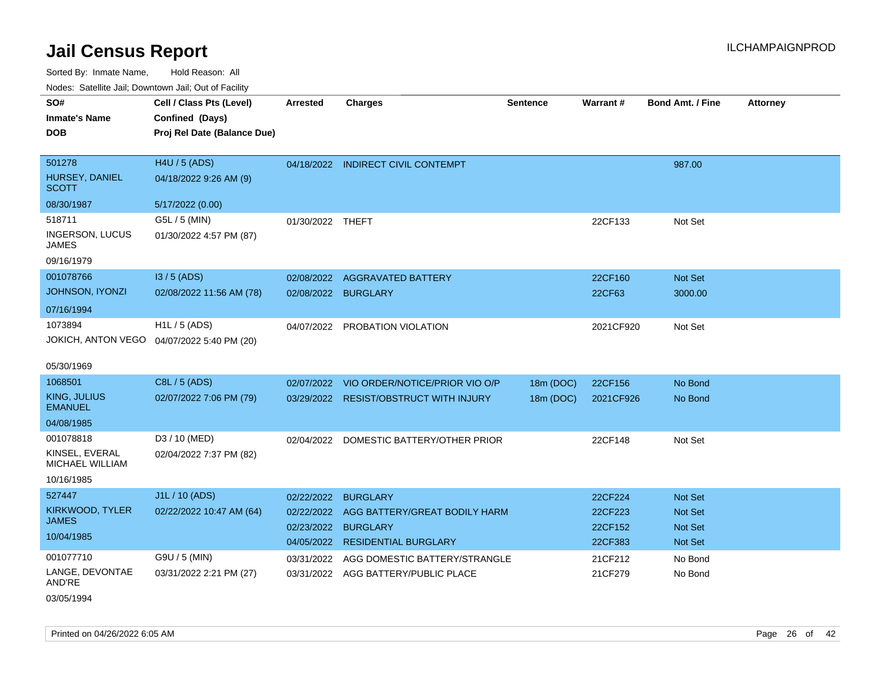| ivoues. Salellite Jali, Downtown Jali, Out of Facility |                             |                  |                                        |                 |           |                         |                 |
|--------------------------------------------------------|-----------------------------|------------------|----------------------------------------|-----------------|-----------|-------------------------|-----------------|
| SO#                                                    | Cell / Class Pts (Level)    | <b>Arrested</b>  | <b>Charges</b>                         | <b>Sentence</b> | Warrant#  | <b>Bond Amt. / Fine</b> | <b>Attorney</b> |
| <b>Inmate's Name</b>                                   | Confined (Days)             |                  |                                        |                 |           |                         |                 |
| <b>DOB</b>                                             | Proj Rel Date (Balance Due) |                  |                                        |                 |           |                         |                 |
|                                                        |                             |                  |                                        |                 |           |                         |                 |
| 501278                                                 | H4U / 5 (ADS)               |                  | 04/18/2022 INDIRECT CIVIL CONTEMPT     |                 |           | 987.00                  |                 |
| HURSEY, DANIEL<br><b>SCOTT</b>                         | 04/18/2022 9:26 AM (9)      |                  |                                        |                 |           |                         |                 |
| 08/30/1987                                             | 5/17/2022 (0.00)            |                  |                                        |                 |           |                         |                 |
| 518711                                                 | G5L / 5 (MIN)               | 01/30/2022 THEFT |                                        |                 | 22CF133   | Not Set                 |                 |
| INGERSON, LUCUS<br>JAMES                               | 01/30/2022 4:57 PM (87)     |                  |                                        |                 |           |                         |                 |
| 09/16/1979                                             |                             |                  |                                        |                 |           |                         |                 |
| 001078766                                              | I3 / 5 (ADS)                | 02/08/2022       | <b>AGGRAVATED BATTERY</b>              |                 | 22CF160   | <b>Not Set</b>          |                 |
| JOHNSON, IYONZI                                        | 02/08/2022 11:56 AM (78)    | 02/08/2022       | <b>BURGLARY</b>                        |                 | 22CF63    | 3000.00                 |                 |
| 07/16/1994                                             |                             |                  |                                        |                 |           |                         |                 |
| 1073894                                                | H1L / 5 (ADS)               | 04/07/2022       | PROBATION VIOLATION                    |                 | 2021CF920 | Not Set                 |                 |
| JOKICH, ANTON VEGO                                     | 04/07/2022 5:40 PM (20)     |                  |                                        |                 |           |                         |                 |
|                                                        |                             |                  |                                        |                 |           |                         |                 |
| 05/30/1969                                             |                             |                  |                                        |                 |           |                         |                 |
| 1068501                                                | C8L / 5 (ADS)               | 02/07/2022       | VIO ORDER/NOTICE/PRIOR VIO O/P         | 18m (DOC)       | 22CF156   | No Bond                 |                 |
| KING, JULIUS<br><b>EMANUEL</b>                         | 02/07/2022 7:06 PM (79)     |                  | 03/29/2022 RESIST/OBSTRUCT WITH INJURY | 18m (DOC)       | 2021CF926 | No Bond                 |                 |
| 04/08/1985                                             |                             |                  |                                        |                 |           |                         |                 |
| 001078818                                              | D3 / 10 (MED)               | 02/04/2022       | DOMESTIC BATTERY/OTHER PRIOR           |                 | 22CF148   | Not Set                 |                 |
| KINSEL, EVERAL<br>MICHAEL WILLIAM                      | 02/04/2022 7:37 PM (82)     |                  |                                        |                 |           |                         |                 |
| 10/16/1985                                             |                             |                  |                                        |                 |           |                         |                 |
| 527447                                                 | J1L / 10 (ADS)              | 02/22/2022       | <b>BURGLARY</b>                        |                 | 22CF224   | <b>Not Set</b>          |                 |
| KIRKWOOD, TYLER                                        | 02/22/2022 10:47 AM (64)    | 02/22/2022       | AGG BATTERY/GREAT BODILY HARM          |                 | 22CF223   | <b>Not Set</b>          |                 |
| <b>JAMES</b>                                           |                             | 02/23/2022       | <b>BURGLARY</b>                        |                 | 22CF152   | <b>Not Set</b>          |                 |
| 10/04/1985                                             |                             |                  | 04/05/2022 RESIDENTIAL BURGLARY        |                 | 22CF383   | Not Set                 |                 |
| 001077710                                              | G9U / 5 (MIN)               | 03/31/2022       | AGG DOMESTIC BATTERY/STRANGLE          |                 | 21CF212   | No Bond                 |                 |
| LANGE, DEVONTAE<br>AND'RE                              | 03/31/2022 2:21 PM (27)     |                  | 03/31/2022 AGG BATTERY/PUBLIC PLACE    |                 | 21CF279   | No Bond                 |                 |
| 03/05/1994                                             |                             |                  |                                        |                 |           |                         |                 |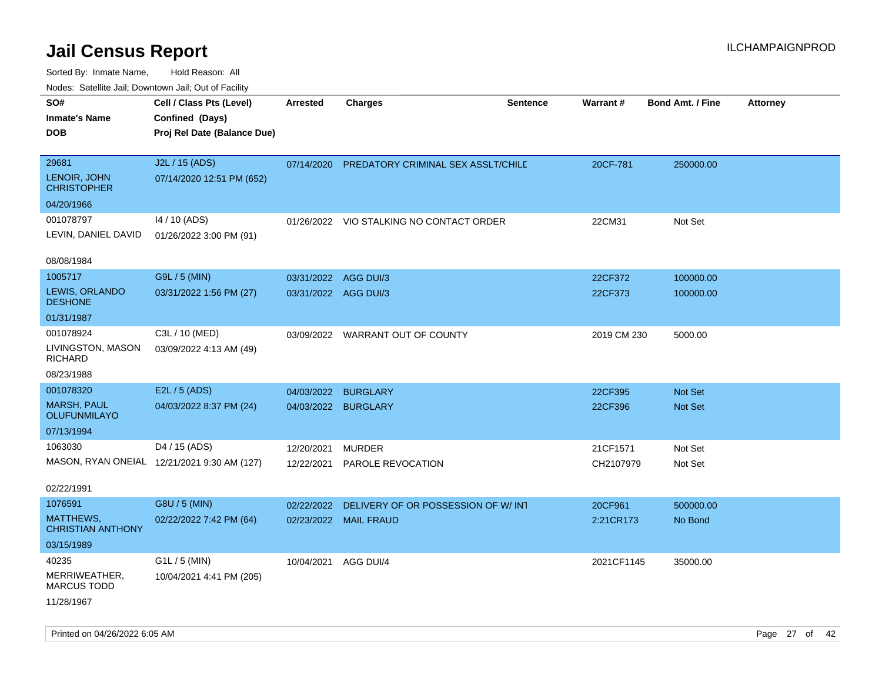| roaco. Calcinio dan, Downtown dan, Cal or Fability |                                             |                      |                                          |                 |             |                         |                 |
|----------------------------------------------------|---------------------------------------------|----------------------|------------------------------------------|-----------------|-------------|-------------------------|-----------------|
| SO#                                                | Cell / Class Pts (Level)                    | <b>Arrested</b>      | <b>Charges</b>                           | <b>Sentence</b> | Warrant#    | <b>Bond Amt. / Fine</b> | <b>Attorney</b> |
| Inmate's Name                                      | Confined (Days)                             |                      |                                          |                 |             |                         |                 |
| DOB                                                | Proj Rel Date (Balance Due)                 |                      |                                          |                 |             |                         |                 |
| 29681                                              | J2L / 15 (ADS)                              |                      |                                          |                 |             |                         |                 |
| LENOIR, JOHN                                       | 07/14/2020 12:51 PM (652)                   | 07/14/2020           | PREDATORY CRIMINAL SEX ASSLT/CHILD       |                 | 20CF-781    | 250000.00               |                 |
| <b>CHRISTOPHER</b>                                 |                                             |                      |                                          |                 |             |                         |                 |
| 04/20/1966                                         |                                             |                      |                                          |                 |             |                         |                 |
| 001078797                                          | 14 / 10 (ADS)                               |                      | 01/26/2022 VIO STALKING NO CONTACT ORDER |                 | 22CM31      | Not Set                 |                 |
| LEVIN, DANIEL DAVID                                | 01/26/2022 3:00 PM (91)                     |                      |                                          |                 |             |                         |                 |
| 08/08/1984                                         |                                             |                      |                                          |                 |             |                         |                 |
| 1005717                                            | G9L / 5 (MIN)                               | 03/31/2022           | AGG DUI/3                                |                 | 22CF372     | 100000.00               |                 |
| LEWIS, ORLANDO<br><b>DESHONE</b>                   | 03/31/2022 1:56 PM (27)                     | 03/31/2022 AGG DUI/3 |                                          |                 | 22CF373     | 100000.00               |                 |
| 01/31/1987                                         |                                             |                      |                                          |                 |             |                         |                 |
| 001078924                                          | C3L / 10 (MED)                              | 03/09/2022           | WARRANT OUT OF COUNTY                    |                 | 2019 CM 230 | 5000.00                 |                 |
| LIVINGSTON, MASON<br>RICHARD                       | 03/09/2022 4:13 AM (49)                     |                      |                                          |                 |             |                         |                 |
| 08/23/1988                                         |                                             |                      |                                          |                 |             |                         |                 |
| 001078320                                          | E2L / 5 (ADS)                               | 04/03/2022           | <b>BURGLARY</b>                          |                 | 22CF395     | <b>Not Set</b>          |                 |
| MARSH, PAUL<br>OLUFUNMILAYO                        | 04/03/2022 8:37 PM (24)                     |                      | 04/03/2022 BURGLARY                      |                 | 22CF396     | <b>Not Set</b>          |                 |
| 07/13/1994                                         |                                             |                      |                                          |                 |             |                         |                 |
| 1063030                                            | D4 / 15 (ADS)                               | 12/20/2021           | <b>MURDER</b>                            |                 | 21CF1571    | Not Set                 |                 |
|                                                    | MASON, RYAN ONEIAL 12/21/2021 9:30 AM (127) | 12/22/2021           | PAROLE REVOCATION                        |                 | CH2107979   | Not Set                 |                 |
| 02/22/1991                                         |                                             |                      |                                          |                 |             |                         |                 |
| 1076591                                            | G8U / 5 (MIN)                               | 02/22/2022           | DELIVERY OF OR POSSESSION OF W/ INT      |                 | 20CF961     | 500000.00               |                 |
| <b>MATTHEWS,</b><br><b>CHRISTIAN ANTHONY</b>       | 02/22/2022 7:42 PM (64)                     |                      | 02/23/2022 MAIL FRAUD                    |                 | 2:21CR173   | No Bond                 |                 |
| 03/15/1989                                         |                                             |                      |                                          |                 |             |                         |                 |
| 40235                                              | $G1L / 5$ (MIN)                             | 10/04/2021           | AGG DUI/4                                |                 | 2021CF1145  | 35000.00                |                 |
| MERRIWEATHER,<br>MARCUS TODD                       | 10/04/2021 4:41 PM (205)                    |                      |                                          |                 |             |                         |                 |
| 11/28/1967                                         |                                             |                      |                                          |                 |             |                         |                 |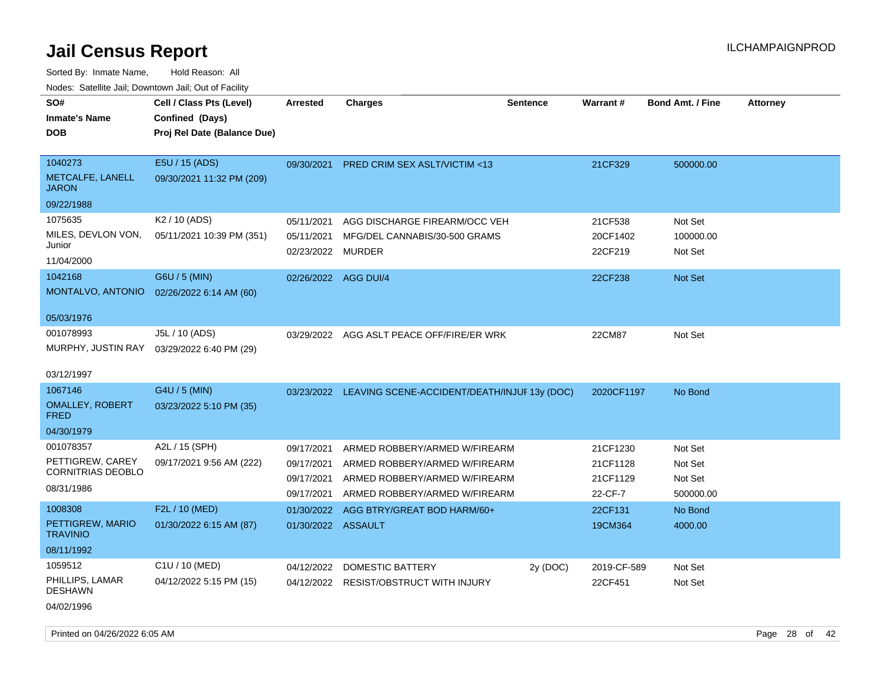| roaco. Calcinio can, Downlown can, Out or Facility |                             |                      |                                                         |          |                 |                         |                 |
|----------------------------------------------------|-----------------------------|----------------------|---------------------------------------------------------|----------|-----------------|-------------------------|-----------------|
| SO#                                                | Cell / Class Pts (Level)    | Arrested             | <b>Charges</b>                                          | Sentence | <b>Warrant#</b> | <b>Bond Amt. / Fine</b> | <b>Attorney</b> |
| <b>Inmate's Name</b>                               | Confined (Days)             |                      |                                                         |          |                 |                         |                 |
| <b>DOB</b>                                         | Proj Rel Date (Balance Due) |                      |                                                         |          |                 |                         |                 |
|                                                    |                             |                      |                                                         |          |                 |                         |                 |
| 1040273                                            | E5U / 15 (ADS)              | 09/30/2021           | <b>PRED CRIM SEX ASLT/VICTIM &lt;13</b>                 |          | 21CF329         | 500000.00               |                 |
| METCALFE, LANELL<br><b>JARON</b>                   | 09/30/2021 11:32 PM (209)   |                      |                                                         |          |                 |                         |                 |
| 09/22/1988                                         |                             |                      |                                                         |          |                 |                         |                 |
| 1075635                                            | K <sub>2</sub> / 10 (ADS)   | 05/11/2021           | AGG DISCHARGE FIREARM/OCC VEH                           |          | 21CF538         | Not Set                 |                 |
| MILES, DEVLON VON,                                 | 05/11/2021 10:39 PM (351)   | 05/11/2021           | MFG/DEL CANNABIS/30-500 GRAMS                           |          | 20CF1402        | 100000.00               |                 |
| Junior                                             |                             | 02/23/2022 MURDER    |                                                         |          | 22CF219         | Not Set                 |                 |
| 11/04/2000                                         |                             |                      |                                                         |          |                 |                         |                 |
| 1042168                                            | G6U / 5 (MIN)               | 02/26/2022 AGG DUI/4 |                                                         |          | 22CF238         | <b>Not Set</b>          |                 |
| MONTALVO, ANTONIO                                  | 02/26/2022 6:14 AM (60)     |                      |                                                         |          |                 |                         |                 |
|                                                    |                             |                      |                                                         |          |                 |                         |                 |
| 05/03/1976                                         |                             |                      |                                                         |          |                 |                         |                 |
| 001078993                                          | J5L / 10 (ADS)              |                      | 03/29/2022 AGG ASLT PEACE OFF/FIRE/ER WRK               |          | 22CM87          | Not Set                 |                 |
| MURPHY, JUSTIN RAY                                 | 03/29/2022 6:40 PM (29)     |                      |                                                         |          |                 |                         |                 |
| 03/12/1997                                         |                             |                      |                                                         |          |                 |                         |                 |
| 1067146                                            | G4U / 5 (MIN)               |                      | 03/23/2022 LEAVING SCENE-ACCIDENT/DEATH/INJUF 13y (DOC) |          | 2020CF1197      | No Bond                 |                 |
| <b>OMALLEY, ROBERT</b>                             | 03/23/2022 5:10 PM (35)     |                      |                                                         |          |                 |                         |                 |
| <b>FRED</b>                                        |                             |                      |                                                         |          |                 |                         |                 |
| 04/30/1979                                         |                             |                      |                                                         |          |                 |                         |                 |
| 001078357                                          | A2L / 15 (SPH)              | 09/17/2021           | ARMED ROBBERY/ARMED W/FIREARM                           |          | 21CF1230        | Not Set                 |                 |
| PETTIGREW, CAREY                                   | 09/17/2021 9:56 AM (222)    | 09/17/2021           | ARMED ROBBERY/ARMED W/FIREARM                           |          | 21CF1128        | Not Set                 |                 |
| <b>CORNITRIAS DEOBLO</b>                           |                             | 09/17/2021           | ARMED ROBBERY/ARMED W/FIREARM                           |          | 21CF1129        | Not Set                 |                 |
| 08/31/1986                                         |                             | 09/17/2021           | ARMED ROBBERY/ARMED W/FIREARM                           |          | 22-CF-7         | 500000.00               |                 |
| 1008308                                            | F2L / 10 (MED)              | 01/30/2022           | AGG BTRY/GREAT BOD HARM/60+                             |          | 22CF131         | No Bond                 |                 |
| PETTIGREW, MARIO                                   | 01/30/2022 6:15 AM (87)     | 01/30/2022 ASSAULT   |                                                         |          | 19CM364         | 4000.00                 |                 |
| <b>TRAVINIO</b>                                    |                             |                      |                                                         |          |                 |                         |                 |
| 08/11/1992                                         |                             |                      |                                                         |          |                 |                         |                 |
| 1059512                                            | C1U / 10 (MED)              | 04/12/2022           | <b>DOMESTIC BATTERY</b>                                 | 2y (DOC) | 2019-CF-589     | Not Set                 |                 |
| PHILLIPS, LAMAR<br><b>DESHAWN</b>                  | 04/12/2022 5:15 PM (15)     | 04/12/2022           | <b>RESIST/OBSTRUCT WITH INJURY</b>                      |          | 22CF451         | Not Set                 |                 |
| 04/02/1996                                         |                             |                      |                                                         |          |                 |                         |                 |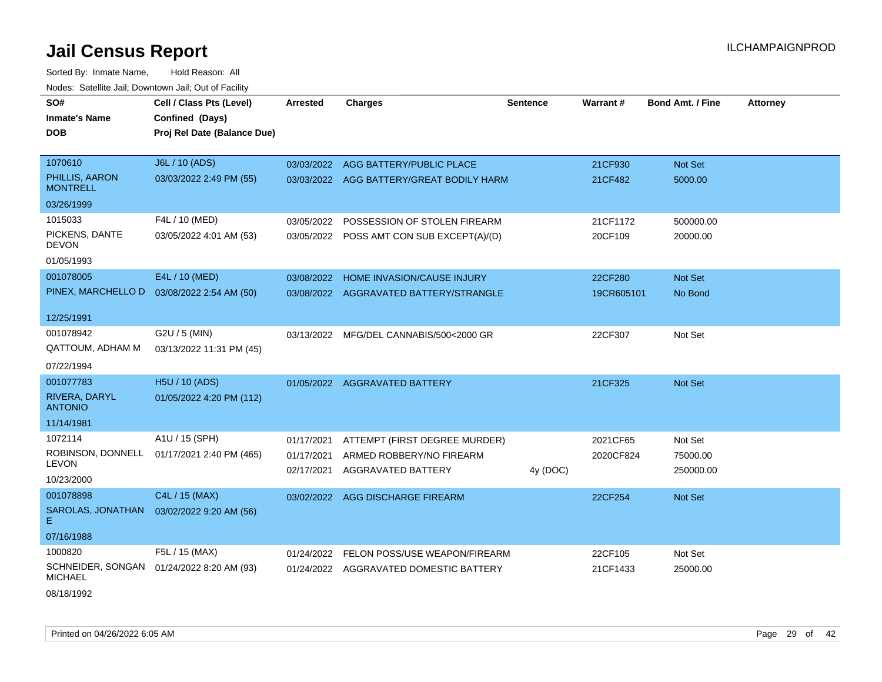Sorted By: Inmate Name, Hold Reason: All Nodes: Satellite Jail; Downtown Jail; Out of Facility

| SO#                               | Cell / Class Pts (Level)                  | <b>Arrested</b> | <b>Charges</b>                            | <b>Sentence</b> | Warrant#   | <b>Bond Amt. / Fine</b> | Attorney |
|-----------------------------------|-------------------------------------------|-----------------|-------------------------------------------|-----------------|------------|-------------------------|----------|
| <b>Inmate's Name</b>              | Confined (Days)                           |                 |                                           |                 |            |                         |          |
| <b>DOB</b>                        | Proj Rel Date (Balance Due)               |                 |                                           |                 |            |                         |          |
|                                   |                                           |                 |                                           |                 |            |                         |          |
| 1070610                           | J6L / 10 (ADS)                            | 03/03/2022      | AGG BATTERY/PUBLIC PLACE                  |                 | 21CF930    | Not Set                 |          |
| PHILLIS, AARON<br><b>MONTRELL</b> | 03/03/2022 2:49 PM (55)                   |                 | 03/03/2022 AGG BATTERY/GREAT BODILY HARM  |                 | 21CF482    | 5000.00                 |          |
| 03/26/1999                        |                                           |                 |                                           |                 |            |                         |          |
| 1015033                           | F4L / 10 (MED)                            | 03/05/2022      | POSSESSION OF STOLEN FIREARM              |                 | 21CF1172   | 500000.00               |          |
| PICKENS, DANTE<br>DEVON           | 03/05/2022 4:01 AM (53)                   |                 | 03/05/2022 POSS AMT CON SUB EXCEPT(A)/(D) |                 | 20CF109    | 20000.00                |          |
| 01/05/1993                        |                                           |                 |                                           |                 |            |                         |          |
| 001078005                         | E4L / 10 (MED)                            | 03/08/2022      | HOME INVASION/CAUSE INJURY                |                 | 22CF280    | <b>Not Set</b>          |          |
| PINEX, MARCHELLO D                | 03/08/2022 2:54 AM (50)                   | 03/08/2022      | AGGRAVATED BATTERY/STRANGLE               |                 | 19CR605101 | No Bond                 |          |
| 12/25/1991                        |                                           |                 |                                           |                 |            |                         |          |
| 001078942                         | G2U / 5 (MIN)                             | 03/13/2022      | MFG/DEL CANNABIS/500<2000 GR              |                 | 22CF307    | Not Set                 |          |
| QATTOUM, ADHAM M                  | 03/13/2022 11:31 PM (45)                  |                 |                                           |                 |            |                         |          |
| 07/22/1994                        |                                           |                 |                                           |                 |            |                         |          |
| 001077783                         | H5U / 10 (ADS)                            |                 | 01/05/2022 AGGRAVATED BATTERY             |                 | 21CF325    | Not Set                 |          |
| RIVERA, DARYL<br><b>ANTONIO</b>   | 01/05/2022 4:20 PM (112)                  |                 |                                           |                 |            |                         |          |
| 11/14/1981                        |                                           |                 |                                           |                 |            |                         |          |
| 1072114                           | A1U / 15 (SPH)                            | 01/17/2021      | ATTEMPT (FIRST DEGREE MURDER)             |                 | 2021CF65   | Not Set                 |          |
| ROBINSON, DONNELL                 | 01/17/2021 2:40 PM (465)                  | 01/17/2021      | ARMED ROBBERY/NO FIREARM                  |                 | 2020CF824  | 75000.00                |          |
| <b>LEVON</b>                      |                                           | 02/17/2021      | <b>AGGRAVATED BATTERY</b>                 | 4y (DOC)        |            | 250000.00               |          |
| 10/23/2000                        |                                           |                 |                                           |                 |            |                         |          |
| 001078898                         | C4L / 15 (MAX)                            |                 | 03/02/2022 AGG DISCHARGE FIREARM          |                 | 22CF254    | Not Set                 |          |
| SAROLAS, JONATHAN<br>Е.           | 03/02/2022 9:20 AM (56)                   |                 |                                           |                 |            |                         |          |
| 07/16/1988                        |                                           |                 |                                           |                 |            |                         |          |
| 1000820                           | F5L / 15 (MAX)                            | 01/24/2022      | FELON POSS/USE WEAPON/FIREARM             |                 | 22CF105    | Not Set                 |          |
| <b>MICHAEL</b>                    | SCHNEIDER, SONGAN 01/24/2022 8:20 AM (93) | 01/24/2022      | AGGRAVATED DOMESTIC BATTERY               |                 | 21CF1433   | 25000.00                |          |
|                                   |                                           |                 |                                           |                 |            |                         |          |

08/18/1992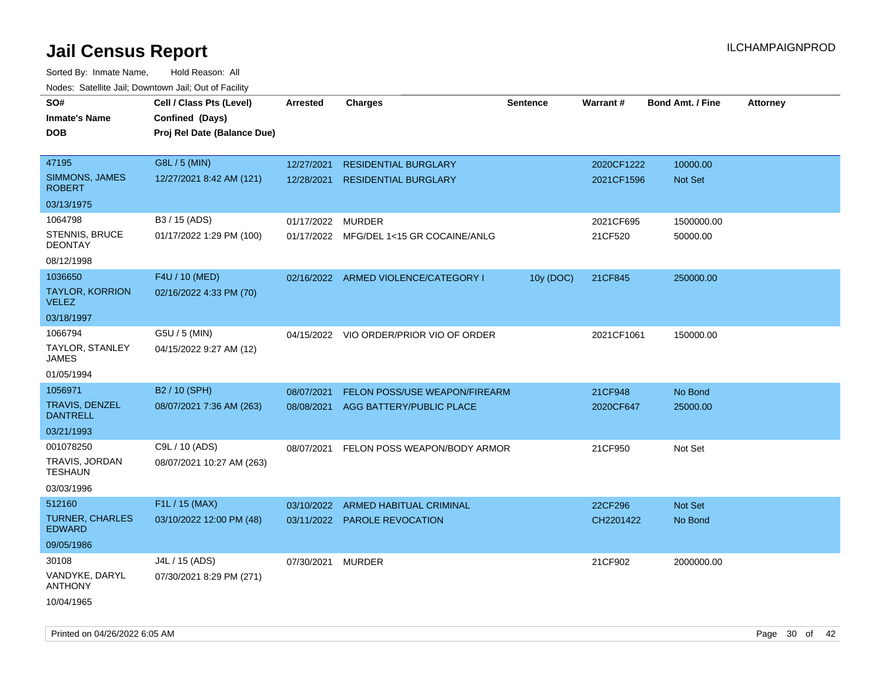| ivodes. Satellite Jali, Downtown Jali, Out of Facility |                             |            |                                         |                 |                 |                         |                 |
|--------------------------------------------------------|-----------------------------|------------|-----------------------------------------|-----------------|-----------------|-------------------------|-----------------|
| SO#                                                    | Cell / Class Pts (Level)    | Arrested   | <b>Charges</b>                          | <b>Sentence</b> | <b>Warrant#</b> | <b>Bond Amt. / Fine</b> | <b>Attorney</b> |
| <b>Inmate's Name</b>                                   | Confined (Days)             |            |                                         |                 |                 |                         |                 |
| DOB                                                    | Proj Rel Date (Balance Due) |            |                                         |                 |                 |                         |                 |
|                                                        |                             |            |                                         |                 |                 |                         |                 |
| 47195                                                  | G8L / 5 (MIN)               | 12/27/2021 | <b>RESIDENTIAL BURGLARY</b>             |                 | 2020CF1222      | 10000.00                |                 |
| SIMMONS, JAMES<br><b>ROBERT</b>                        | 12/27/2021 8:42 AM (121)    | 12/28/2021 | <b>RESIDENTIAL BURGLARY</b>             |                 | 2021CF1596      | Not Set                 |                 |
| 03/13/1975                                             |                             |            |                                         |                 |                 |                         |                 |
| 1064798                                                | B3 / 15 (ADS)               | 01/17/2022 | MURDER                                  |                 | 2021CF695       | 1500000.00              |                 |
| STENNIS, BRUCE<br><b>DEONTAY</b>                       | 01/17/2022 1:29 PM (100)    |            | 01/17/2022 MFG/DEL 1<15 GR COCAINE/ANLG |                 | 21CF520         | 50000.00                |                 |
| 08/12/1998                                             |                             |            |                                         |                 |                 |                         |                 |
| 1036650                                                | F4U / 10 (MED)              |            | 02/16/2022 ARMED VIOLENCE/CATEGORY I    | 10y (DOC)       | 21CF845         | 250000.00               |                 |
| TAYLOR, KORRION<br>VELEZ                               | 02/16/2022 4:33 PM (70)     |            |                                         |                 |                 |                         |                 |
| 03/18/1997                                             |                             |            |                                         |                 |                 |                         |                 |
| 1066794                                                | G5U / 5 (MIN)               |            | 04/15/2022 VIO ORDER/PRIOR VIO OF ORDER |                 | 2021CF1061      | 150000.00               |                 |
| TAYLOR, STANLEY<br>JAMES                               | 04/15/2022 9:27 AM (12)     |            |                                         |                 |                 |                         |                 |
| 01/05/1994                                             |                             |            |                                         |                 |                 |                         |                 |
| 1056971                                                | B <sub>2</sub> / 10 (SPH)   | 08/07/2021 | <b>FELON POSS/USE WEAPON/FIREARM</b>    |                 | 21CF948         | No Bond                 |                 |
| TRAVIS, DENZEL<br>DANTRELL                             | 08/07/2021 7:36 AM (263)    | 08/08/2021 | AGG BATTERY/PUBLIC PLACE                |                 | 2020CF647       | 25000.00                |                 |
| 03/21/1993                                             |                             |            |                                         |                 |                 |                         |                 |
| 001078250                                              | C9L / 10 (ADS)              | 08/07/2021 | FELON POSS WEAPON/BODY ARMOR            |                 | 21CF950         | Not Set                 |                 |
| TRAVIS, JORDAN<br>TESHAUN                              | 08/07/2021 10:27 AM (263)   |            |                                         |                 |                 |                         |                 |
| 03/03/1996                                             |                             |            |                                         |                 |                 |                         |                 |
| 512160                                                 | F1L / 15 (MAX)              | 03/10/2022 | <b>ARMED HABITUAL CRIMINAL</b>          |                 | 22CF296         | Not Set                 |                 |
| <b>TURNER, CHARLES</b><br><b>EDWARD</b>                | 03/10/2022 12:00 PM (48)    |            | 03/11/2022 PAROLE REVOCATION            |                 | CH2201422       | No Bond                 |                 |
| 09/05/1986                                             |                             |            |                                         |                 |                 |                         |                 |
| 30108                                                  | J4L / 15 (ADS)              | 07/30/2021 | MURDER                                  |                 | 21CF902         | 2000000.00              |                 |
| VANDYKE, DARYL<br>ANTHONY                              | 07/30/2021 8:29 PM (271)    |            |                                         |                 |                 |                         |                 |
| 10/04/1965                                             |                             |            |                                         |                 |                 |                         |                 |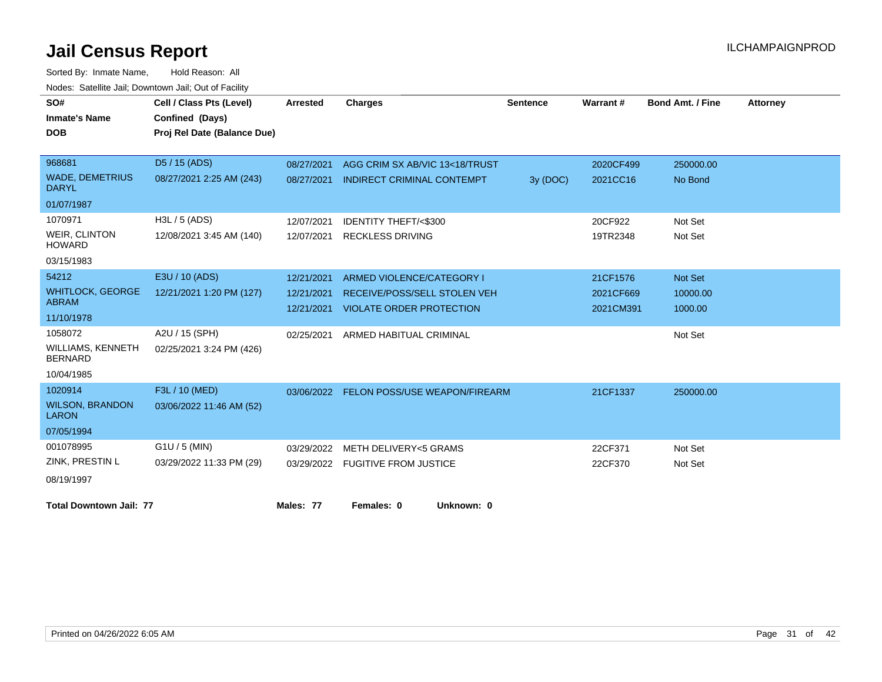| SO#                                        | Cell / Class Pts (Level)    | <b>Arrested</b> | <b>Charges</b>                           | <b>Sentence</b> | Warrant#  | <b>Bond Amt. / Fine</b> | <b>Attorney</b> |
|--------------------------------------------|-----------------------------|-----------------|------------------------------------------|-----------------|-----------|-------------------------|-----------------|
| <b>Inmate's Name</b>                       | Confined (Days)             |                 |                                          |                 |           |                         |                 |
| <b>DOB</b>                                 | Proj Rel Date (Balance Due) |                 |                                          |                 |           |                         |                 |
|                                            |                             |                 |                                          |                 |           |                         |                 |
| 968681                                     | D5 / 15 (ADS)               | 08/27/2021      | AGG CRIM SX AB/VIC 13<18/TRUST           |                 | 2020CF499 | 250000.00               |                 |
| <b>WADE, DEMETRIUS</b><br><b>DARYL</b>     | 08/27/2021 2:25 AM (243)    | 08/27/2021      | <b>INDIRECT CRIMINAL CONTEMPT</b>        | 3y (DOC)        | 2021CC16  | No Bond                 |                 |
| 01/07/1987                                 |                             |                 |                                          |                 |           |                         |                 |
| 1070971                                    | H3L / 5 (ADS)               | 12/07/2021      | <b>IDENTITY THEFT/&lt;\$300</b>          |                 | 20CF922   | Not Set                 |                 |
| <b>WEIR, CLINTON</b><br><b>HOWARD</b>      | 12/08/2021 3:45 AM (140)    | 12/07/2021      | <b>RECKLESS DRIVING</b>                  |                 | 19TR2348  | Not Set                 |                 |
| 03/15/1983                                 |                             |                 |                                          |                 |           |                         |                 |
| 54212                                      | E3U / 10 (ADS)              | 12/21/2021      | ARMED VIOLENCE/CATEGORY I                |                 | 21CF1576  | Not Set                 |                 |
| <b>WHITLOCK, GEORGE</b>                    | 12/21/2021 1:20 PM (127)    | 12/21/2021      | RECEIVE/POSS/SELL STOLEN VEH             |                 | 2021CF669 | 10000.00                |                 |
| <b>ABRAM</b>                               |                             | 12/21/2021      | <b>VIOLATE ORDER PROTECTION</b>          |                 | 2021CM391 | 1000.00                 |                 |
| 11/10/1978                                 |                             |                 |                                          |                 |           |                         |                 |
| 1058072                                    | A2U / 15 (SPH)              | 02/25/2021      | ARMED HABITUAL CRIMINAL                  |                 |           | Not Set                 |                 |
| <b>WILLIAMS, KENNETH</b><br><b>BERNARD</b> | 02/25/2021 3:24 PM (426)    |                 |                                          |                 |           |                         |                 |
| 10/04/1985                                 |                             |                 |                                          |                 |           |                         |                 |
| 1020914                                    | F3L / 10 (MED)              |                 | 03/06/2022 FELON POSS/USE WEAPON/FIREARM |                 | 21CF1337  | 250000.00               |                 |
| <b>WILSON, BRANDON</b><br><b>LARON</b>     | 03/06/2022 11:46 AM (52)    |                 |                                          |                 |           |                         |                 |
| 07/05/1994                                 |                             |                 |                                          |                 |           |                         |                 |
| 001078995                                  | $G1U / 5$ (MIN)             | 03/29/2022      | <b>METH DELIVERY&lt;5 GRAMS</b>          |                 | 22CF371   | Not Set                 |                 |
| ZINK, PRESTIN L                            | 03/29/2022 11:33 PM (29)    |                 | 03/29/2022 FUGITIVE FROM JUSTICE         |                 | 22CF370   | Not Set                 |                 |
| 08/19/1997                                 |                             |                 |                                          |                 |           |                         |                 |
| <b>Total Downtown Jail: 77</b>             |                             | Males: 77       | Females: 0<br>Unknown: 0                 |                 |           |                         |                 |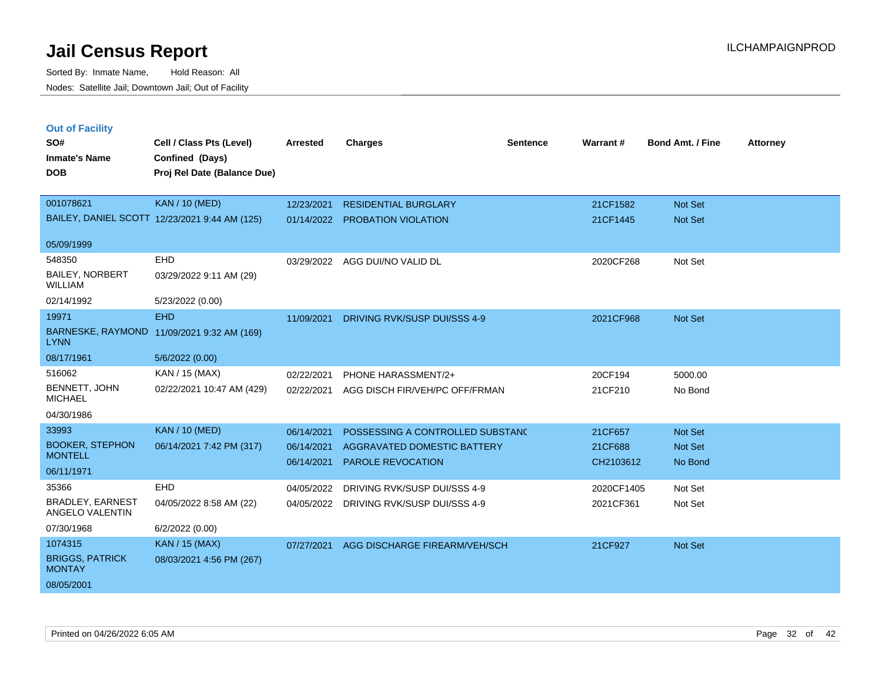| <b>Out of Facility</b><br>SO#<br><b>Inmate's Name</b><br><b>DOB</b> | Cell / Class Pts (Level)<br>Confined (Days)<br>Proj Rel Date (Balance Due) | <b>Arrested</b> | <b>Charges</b>                   | <b>Sentence</b> | Warrant#   | <b>Bond Amt. / Fine</b> | <b>Attorney</b> |
|---------------------------------------------------------------------|----------------------------------------------------------------------------|-----------------|----------------------------------|-----------------|------------|-------------------------|-----------------|
|                                                                     |                                                                            |                 |                                  |                 |            |                         |                 |
| 001078621                                                           | <b>KAN / 10 (MED)</b>                                                      | 12/23/2021      | <b>RESIDENTIAL BURGLARY</b>      |                 | 21CF1582   | Not Set                 |                 |
|                                                                     | BAILEY, DANIEL SCOTT 12/23/2021 9:44 AM (125)                              | 01/14/2022      | PROBATION VIOLATION              |                 | 21CF1445   | Not Set                 |                 |
| 05/09/1999                                                          |                                                                            |                 |                                  |                 |            |                         |                 |
| 548350                                                              | EHD                                                                        | 03/29/2022      | AGG DUI/NO VALID DL              |                 | 2020CF268  | Not Set                 |                 |
| <b>BAILEY, NORBERT</b><br><b>WILLIAM</b>                            | 03/29/2022 9:11 AM (29)                                                    |                 |                                  |                 |            |                         |                 |
| 02/14/1992                                                          | 5/23/2022 (0.00)                                                           |                 |                                  |                 |            |                         |                 |
| 19971                                                               | <b>EHD</b>                                                                 | 11/09/2021      | DRIVING RVK/SUSP DUI/SSS 4-9     |                 | 2021CF968  | Not Set                 |                 |
| <b>LYNN</b>                                                         | BARNESKE, RAYMOND 11/09/2021 9:32 AM (169)                                 |                 |                                  |                 |            |                         |                 |
| 08/17/1961                                                          | 5/6/2022 (0.00)                                                            |                 |                                  |                 |            |                         |                 |
| 516062                                                              | KAN / 15 (MAX)                                                             | 02/22/2021      | PHONE HARASSMENT/2+              |                 | 20CF194    | 5000.00                 |                 |
| BENNETT, JOHN<br><b>MICHAEL</b>                                     | 02/22/2021 10:47 AM (429)                                                  | 02/22/2021      | AGG DISCH FIR/VEH/PC OFF/FRMAN   |                 | 21CF210    | No Bond                 |                 |
| 04/30/1986                                                          |                                                                            |                 |                                  |                 |            |                         |                 |
| 33993                                                               | <b>KAN / 10 (MED)</b>                                                      | 06/14/2021      | POSSESSING A CONTROLLED SUBSTANC |                 | 21CF657    | Not Set                 |                 |
| <b>BOOKER, STEPHON</b><br><b>MONTELL</b>                            | 06/14/2021 7:42 PM (317)                                                   | 06/14/2021      | AGGRAVATED DOMESTIC BATTERY      |                 | 21CF688    | Not Set                 |                 |
| 06/11/1971                                                          |                                                                            | 06/14/2021      | <b>PAROLE REVOCATION</b>         |                 | CH2103612  | No Bond                 |                 |
| 35366                                                               | EHD                                                                        | 04/05/2022      | DRIVING RVK/SUSP DUI/SSS 4-9     |                 | 2020CF1405 | Not Set                 |                 |
| BRADLEY, EARNEST<br>ANGELO VALENTIN                                 | 04/05/2022 8:58 AM (22)                                                    | 04/05/2022      | DRIVING RVK/SUSP DUI/SSS 4-9     |                 | 2021CF361  | Not Set                 |                 |
| 07/30/1968                                                          | 6/2/2022 (0.00)                                                            |                 |                                  |                 |            |                         |                 |
| 1074315                                                             | <b>KAN / 15 (MAX)</b>                                                      | 07/27/2021      | AGG DISCHARGE FIREARM/VEH/SCH    |                 | 21CF927    | Not Set                 |                 |
| <b>BRIGGS, PATRICK</b><br><b>MONTAY</b>                             | 08/03/2021 4:56 PM (267)                                                   |                 |                                  |                 |            |                         |                 |
| 08/05/2001                                                          |                                                                            |                 |                                  |                 |            |                         |                 |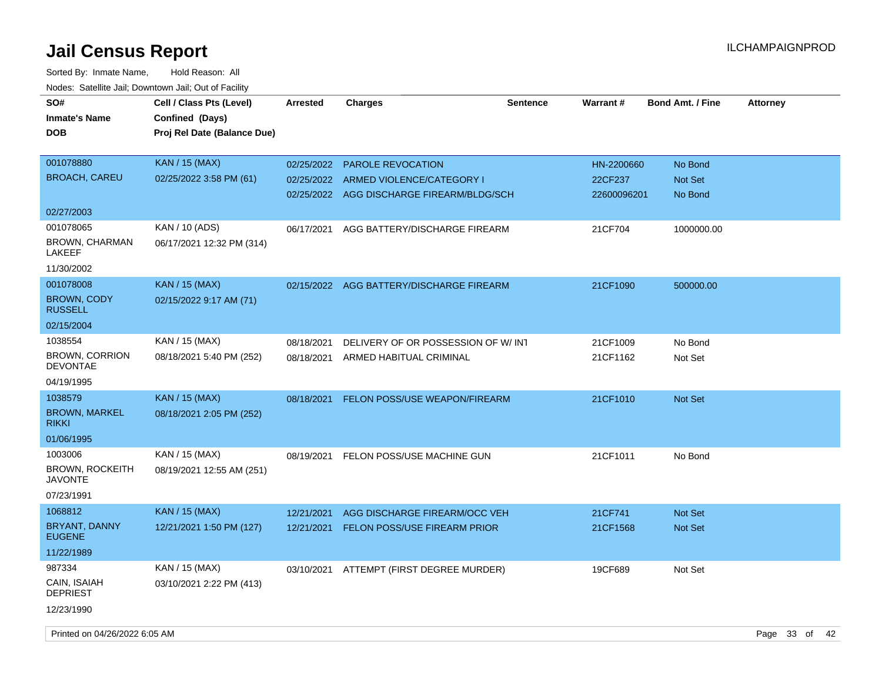| rougs. Calcinic Jan, Downtown Jan, Out of Facility |                                                                            |                 |                                           |          |             |                  |                 |
|----------------------------------------------------|----------------------------------------------------------------------------|-----------------|-------------------------------------------|----------|-------------|------------------|-----------------|
| SO#<br><b>Inmate's Name</b><br><b>DOB</b>          | Cell / Class Pts (Level)<br>Confined (Days)<br>Proj Rel Date (Balance Due) | <b>Arrested</b> | <b>Charges</b>                            | Sentence | Warrant#    | Bond Amt. / Fine | <b>Attorney</b> |
| 001078880                                          | KAN / 15 (MAX)                                                             | 02/25/2022      | <b>PAROLE REVOCATION</b>                  |          | HN-2200660  | No Bond          |                 |
| <b>BROACH, CAREU</b>                               | 02/25/2022 3:58 PM (61)                                                    | 02/25/2022      | ARMED VIOLENCE/CATEGORY I                 |          | 22CF237     | Not Set          |                 |
|                                                    |                                                                            |                 | 02/25/2022 AGG DISCHARGE FIREARM/BLDG/SCH |          | 22600096201 | No Bond          |                 |
| 02/27/2003                                         |                                                                            |                 |                                           |          |             |                  |                 |
| 001078065                                          | KAN / 10 (ADS)                                                             | 06/17/2021      | AGG BATTERY/DISCHARGE FIREARM             |          | 21CF704     | 1000000.00       |                 |
| BROWN, CHARMAN<br>LAKEEF                           | 06/17/2021 12:32 PM (314)                                                  |                 |                                           |          |             |                  |                 |
| 11/30/2002                                         |                                                                            |                 |                                           |          |             |                  |                 |
| 001078008                                          | <b>KAN / 15 (MAX)</b>                                                      |                 | 02/15/2022 AGG BATTERY/DISCHARGE FIREARM  |          | 21CF1090    | 500000.00        |                 |
| <b>BROWN, CODY</b><br><b>RUSSELL</b>               | 02/15/2022 9:17 AM (71)                                                    |                 |                                           |          |             |                  |                 |
| 02/15/2004                                         |                                                                            |                 |                                           |          |             |                  |                 |
| 1038554                                            | KAN / 15 (MAX)                                                             | 08/18/2021      | DELIVERY OF OR POSSESSION OF W/ INT       |          | 21CF1009    | No Bond          |                 |
| <b>BROWN, CORRION</b><br><b>DEVONTAE</b>           | 08/18/2021 5:40 PM (252)                                                   | 08/18/2021      | ARMED HABITUAL CRIMINAL                   |          | 21CF1162    | Not Set          |                 |
| 04/19/1995                                         |                                                                            |                 |                                           |          |             |                  |                 |
| 1038579                                            | <b>KAN</b> / 15 (MAX)                                                      | 08/18/2021      | <b>FELON POSS/USE WEAPON/FIREARM</b>      |          | 21CF1010    | <b>Not Set</b>   |                 |
| <b>BROWN, MARKEL</b><br><b>RIKKI</b>               | 08/18/2021 2:05 PM (252)                                                   |                 |                                           |          |             |                  |                 |
| 01/06/1995                                         |                                                                            |                 |                                           |          |             |                  |                 |
| 1003006                                            | KAN / 15 (MAX)                                                             | 08/19/2021      | FELON POSS/USE MACHINE GUN                |          | 21CF1011    | No Bond          |                 |
| <b>BROWN, ROCKEITH</b><br><b>JAVONTE</b>           | 08/19/2021 12:55 AM (251)                                                  |                 |                                           |          |             |                  |                 |
| 07/23/1991                                         |                                                                            |                 |                                           |          |             |                  |                 |
| 1068812                                            | KAN / 15 (MAX)                                                             | 12/21/2021      | AGG DISCHARGE FIREARM/OCC VEH             |          | 21CF741     | Not Set          |                 |
| BRYANT, DANNY<br><b>EUGENE</b>                     | 12/21/2021 1:50 PM (127)                                                   | 12/21/2021      | <b>FELON POSS/USE FIREARM PRIOR</b>       |          | 21CF1568    | Not Set          |                 |
| 11/22/1989                                         |                                                                            |                 |                                           |          |             |                  |                 |
| 987334                                             | KAN / 15 (MAX)                                                             | 03/10/2021      | ATTEMPT (FIRST DEGREE MURDER)             |          | 19CF689     | Not Set          |                 |
| CAIN, ISAIAH<br><b>DEPRIEST</b>                    | 03/10/2021 2:22 PM (413)                                                   |                 |                                           |          |             |                  |                 |
| 12/23/1990                                         |                                                                            |                 |                                           |          |             |                  |                 |
|                                                    |                                                                            |                 |                                           |          |             |                  |                 |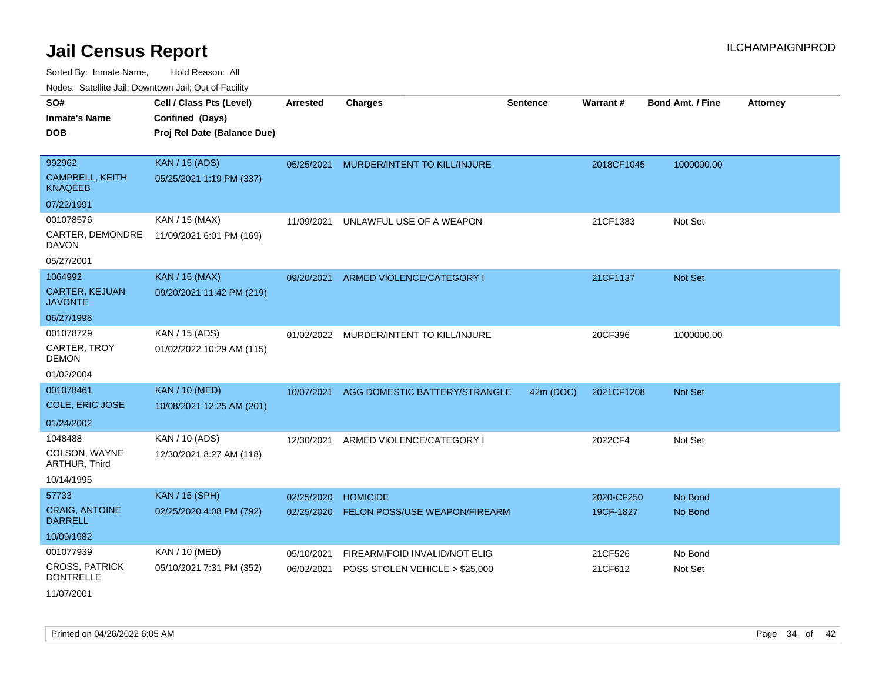| Noues. Sateme Jan, Downtown Jan, Out or Facility |                             |                 |                                |                 |            |                         |                 |
|--------------------------------------------------|-----------------------------|-----------------|--------------------------------|-----------------|------------|-------------------------|-----------------|
| SO#                                              | Cell / Class Pts (Level)    | <b>Arrested</b> | <b>Charges</b>                 | <b>Sentence</b> | Warrant#   | <b>Bond Amt. / Fine</b> | <b>Attorney</b> |
| <b>Inmate's Name</b>                             | Confined (Days)             |                 |                                |                 |            |                         |                 |
| <b>DOB</b>                                       | Proj Rel Date (Balance Due) |                 |                                |                 |            |                         |                 |
|                                                  |                             |                 |                                |                 |            |                         |                 |
| 992962                                           | <b>KAN / 15 (ADS)</b>       | 05/25/2021      | MURDER/INTENT TO KILL/INJURE   |                 | 2018CF1045 | 1000000.00              |                 |
| <b>CAMPBELL, KEITH</b><br><b>KNAQEEB</b>         | 05/25/2021 1:19 PM (337)    |                 |                                |                 |            |                         |                 |
| 07/22/1991                                       |                             |                 |                                |                 |            |                         |                 |
| 001078576                                        | KAN / 15 (MAX)              | 11/09/2021      | UNLAWFUL USE OF A WEAPON       |                 | 21CF1383   | Not Set                 |                 |
| CARTER, DEMONDRE<br>DAVON                        | 11/09/2021 6:01 PM (169)    |                 |                                |                 |            |                         |                 |
| 05/27/2001                                       |                             |                 |                                |                 |            |                         |                 |
| 1064992                                          | <b>KAN / 15 (MAX)</b>       | 09/20/2021      | ARMED VIOLENCE/CATEGORY I      |                 | 21CF1137   | Not Set                 |                 |
| <b>CARTER, KEJUAN</b><br><b>JAVONTE</b>          | 09/20/2021 11:42 PM (219)   |                 |                                |                 |            |                         |                 |
| 06/27/1998                                       |                             |                 |                                |                 |            |                         |                 |
| 001078729                                        | KAN / 15 (ADS)              | 01/02/2022      | MURDER/INTENT TO KILL/INJURE   |                 | 20CF396    | 1000000.00              |                 |
| CARTER, TROY<br><b>DEMON</b>                     | 01/02/2022 10:29 AM (115)   |                 |                                |                 |            |                         |                 |
| 01/02/2004                                       |                             |                 |                                |                 |            |                         |                 |
| 001078461                                        | <b>KAN / 10 (MED)</b>       | 10/07/2021      | AGG DOMESTIC BATTERY/STRANGLE  | 42m (DOC)       | 2021CF1208 | <b>Not Set</b>          |                 |
| COLE, ERIC JOSE                                  | 10/08/2021 12:25 AM (201)   |                 |                                |                 |            |                         |                 |
| 01/24/2002                                       |                             |                 |                                |                 |            |                         |                 |
| 1048488                                          | KAN / 10 (ADS)              | 12/30/2021      | ARMED VIOLENCE/CATEGORY I      |                 | 2022CF4    | Not Set                 |                 |
| COLSON, WAYNE<br>ARTHUR, Third                   | 12/30/2021 8:27 AM (118)    |                 |                                |                 |            |                         |                 |
| 10/14/1995                                       |                             |                 |                                |                 |            |                         |                 |
| 57733                                            | <b>KAN / 15 (SPH)</b>       | 02/25/2020      | <b>HOMICIDE</b>                |                 | 2020-CF250 | No Bond                 |                 |
| <b>CRAIG, ANTOINE</b><br><b>DARRELL</b>          | 02/25/2020 4:08 PM (792)    | 02/25/2020      | FELON POSS/USE WEAPON/FIREARM  |                 | 19CF-1827  | No Bond                 |                 |
| 10/09/1982                                       |                             |                 |                                |                 |            |                         |                 |
| 001077939                                        | KAN / 10 (MED)              | 05/10/2021      | FIREARM/FOID INVALID/NOT ELIG  |                 | 21CF526    | No Bond                 |                 |
| <b>CROSS, PATRICK</b><br><b>DONTRELLE</b>        | 05/10/2021 7:31 PM (352)    | 06/02/2021      | POSS STOLEN VEHICLE > \$25,000 |                 | 21CF612    | Not Set                 |                 |
| 11/07/2001                                       |                             |                 |                                |                 |            |                         |                 |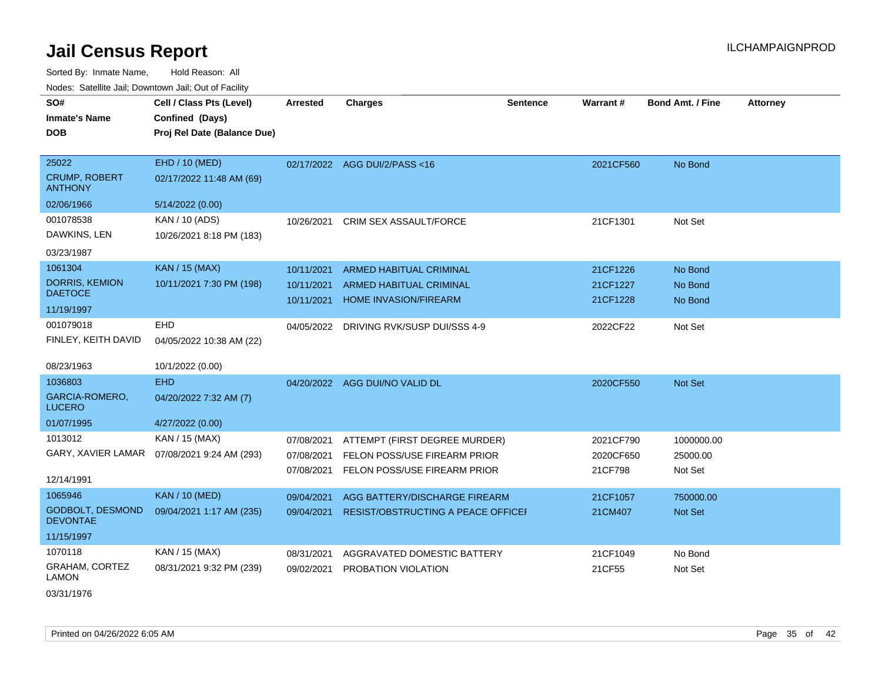Sorted By: Inmate Name, Hold Reason: All Nodes: Satellite Jail; Downtown Jail; Out of Facility

| SO#<br><b>Inmate's Name</b>                | Cell / Class Pts (Level)<br>Confined (Days) | <b>Arrested</b> | <b>Charges</b>                            | <b>Sentence</b> | Warrant#  | <b>Bond Amt. / Fine</b> | <b>Attorney</b> |
|--------------------------------------------|---------------------------------------------|-----------------|-------------------------------------------|-----------------|-----------|-------------------------|-----------------|
| <b>DOB</b>                                 | Proj Rel Date (Balance Due)                 |                 |                                           |                 |           |                         |                 |
|                                            |                                             |                 |                                           |                 |           |                         |                 |
| 25022                                      | EHD / 10 (MED)                              |                 | 02/17/2022 AGG DUI/2/PASS<16              |                 | 2021CF560 | No Bond                 |                 |
| <b>CRUMP, ROBERT</b><br><b>ANTHONY</b>     | 02/17/2022 11:48 AM (69)                    |                 |                                           |                 |           |                         |                 |
| 02/06/1966                                 | 5/14/2022 (0.00)                            |                 |                                           |                 |           |                         |                 |
| 001078538                                  | KAN / 10 (ADS)                              | 10/26/2021      | CRIM SEX ASSAULT/FORCE                    |                 | 21CF1301  | Not Set                 |                 |
| DAWKINS, LEN                               | 10/26/2021 8:18 PM (183)                    |                 |                                           |                 |           |                         |                 |
| 03/23/1987                                 |                                             |                 |                                           |                 |           |                         |                 |
| 1061304                                    | <b>KAN / 15 (MAX)</b>                       | 10/11/2021      | <b>ARMED HABITUAL CRIMINAL</b>            |                 | 21CF1226  | No Bond                 |                 |
| <b>DORRIS, KEMION</b>                      | 10/11/2021 7:30 PM (198)                    | 10/11/2021      | ARMED HABITUAL CRIMINAL                   |                 | 21CF1227  | No Bond                 |                 |
| <b>DAETOCE</b>                             |                                             | 10/11/2021      | HOME INVASION/FIREARM                     |                 | 21CF1228  | No Bond                 |                 |
| 11/19/1997                                 |                                             |                 |                                           |                 |           |                         |                 |
| 001079018                                  | <b>EHD</b>                                  | 04/05/2022      | DRIVING RVK/SUSP DUI/SSS 4-9              |                 | 2022CF22  | Not Set                 |                 |
| FINLEY, KEITH DAVID                        | 04/05/2022 10:38 AM (22)                    |                 |                                           |                 |           |                         |                 |
| 08/23/1963                                 | 10/1/2022 (0.00)                            |                 |                                           |                 |           |                         |                 |
| 1036803                                    | <b>EHD</b>                                  |                 | 04/20/2022 AGG DUI/NO VALID DL            |                 | 2020CF550 | Not Set                 |                 |
| <b>GARCIA-ROMERO,</b>                      | 04/20/2022 7:32 AM (7)                      |                 |                                           |                 |           |                         |                 |
| <b>LUCERO</b>                              |                                             |                 |                                           |                 |           |                         |                 |
| 01/07/1995                                 | 4/27/2022 (0.00)                            |                 |                                           |                 |           |                         |                 |
| 1013012                                    | KAN / 15 (MAX)                              | 07/08/2021      | ATTEMPT (FIRST DEGREE MURDER)             |                 | 2021CF790 | 1000000.00              |                 |
| GARY, XAVIER LAMAR                         | 07/08/2021 9:24 AM (293)                    | 07/08/2021      | FELON POSS/USE FIREARM PRIOR              |                 | 2020CF650 | 25000.00                |                 |
|                                            |                                             | 07/08/2021      | FELON POSS/USE FIREARM PRIOR              |                 | 21CF798   | Not Set                 |                 |
| 12/14/1991                                 |                                             |                 |                                           |                 |           |                         |                 |
| 1065946                                    | <b>KAN / 10 (MED)</b>                       | 09/04/2021      | AGG BATTERY/DISCHARGE FIREARM             |                 | 21CF1057  | 750000.00               |                 |
| <b>GODBOLT, DESMOND</b><br><b>DEVONTAE</b> | 09/04/2021 1:17 AM (235)                    | 09/04/2021      | <b>RESIST/OBSTRUCTING A PEACE OFFICEF</b> |                 | 21CM407   | Not Set                 |                 |
| 11/15/1997                                 |                                             |                 |                                           |                 |           |                         |                 |
| 1070118                                    | KAN / 15 (MAX)                              | 08/31/2021      | AGGRAVATED DOMESTIC BATTERY               |                 | 21CF1049  | No Bond                 |                 |
| <b>GRAHAM, CORTEZ</b><br>LAMON             | 08/31/2021 9:32 PM (239)                    | 09/02/2021      | PROBATION VIOLATION                       |                 | 21CF55    | Not Set                 |                 |
| 001011000                                  |                                             |                 |                                           |                 |           |                         |                 |

03/31/1976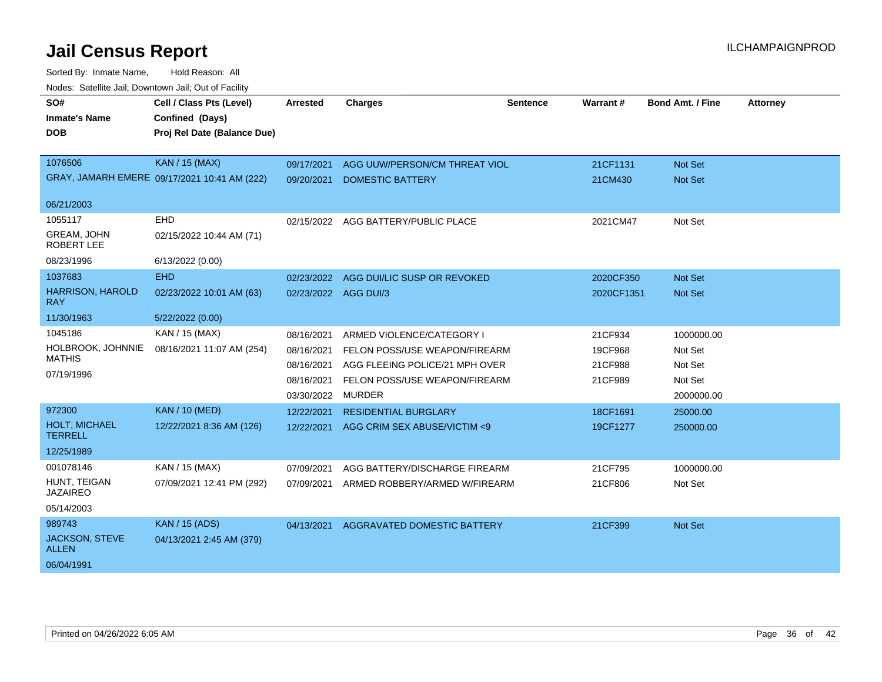| SO#                                   | Cell / Class Pts (Level)                     | <b>Arrested</b>      | <b>Charges</b>                 | <b>Sentence</b> | Warrant#   | <b>Bond Amt. / Fine</b> | <b>Attorney</b> |
|---------------------------------------|----------------------------------------------|----------------------|--------------------------------|-----------------|------------|-------------------------|-----------------|
| <b>Inmate's Name</b>                  | Confined (Days)                              |                      |                                |                 |            |                         |                 |
| <b>DOB</b>                            | Proj Rel Date (Balance Due)                  |                      |                                |                 |            |                         |                 |
|                                       |                                              |                      |                                |                 |            |                         |                 |
| 1076506                               | <b>KAN / 15 (MAX)</b>                        | 09/17/2021           | AGG UUW/PERSON/CM THREAT VIOL  |                 | 21CF1131   | <b>Not Set</b>          |                 |
|                                       | GRAY, JAMARH EMERE 09/17/2021 10:41 AM (222) | 09/20/2021           | <b>DOMESTIC BATTERY</b>        |                 | 21CM430    | Not Set                 |                 |
| 06/21/2003                            |                                              |                      |                                |                 |            |                         |                 |
| 1055117                               | EHD                                          | 02/15/2022           | AGG BATTERY/PUBLIC PLACE       |                 | 2021CM47   | Not Set                 |                 |
| <b>GREAM, JOHN</b><br>ROBERT LEE      | 02/15/2022 10:44 AM (71)                     |                      |                                |                 |            |                         |                 |
| 08/23/1996                            | 6/13/2022 (0.00)                             |                      |                                |                 |            |                         |                 |
| 1037683                               | <b>EHD</b>                                   | 02/23/2022           | AGG DUI/LIC SUSP OR REVOKED    |                 | 2020CF350  | <b>Not Set</b>          |                 |
| <b>HARRISON, HAROLD</b><br><b>RAY</b> | 02/23/2022 10:01 AM (63)                     | 02/23/2022 AGG DUI/3 |                                |                 | 2020CF1351 | <b>Not Set</b>          |                 |
| 11/30/1963                            | 5/22/2022 (0.00)                             |                      |                                |                 |            |                         |                 |
| 1045186                               | KAN / 15 (MAX)                               | 08/16/2021           | ARMED VIOLENCE/CATEGORY I      |                 | 21CF934    | 1000000.00              |                 |
| HOLBROOK, JOHNNIE                     | 08/16/2021 11:07 AM (254)                    | 08/16/2021           | FELON POSS/USE WEAPON/FIREARM  |                 | 19CF968    | Not Set                 |                 |
| <b>MATHIS</b>                         |                                              | 08/16/2021           | AGG FLEEING POLICE/21 MPH OVER |                 | 21CF988    | Not Set                 |                 |
| 07/19/1996                            |                                              | 08/16/2021           | FELON POSS/USE WEAPON/FIREARM  |                 | 21CF989    | Not Set                 |                 |
|                                       |                                              | 03/30/2022           | <b>MURDER</b>                  |                 |            | 2000000.00              |                 |
| 972300                                | <b>KAN / 10 (MED)</b>                        | 12/22/2021           | <b>RESIDENTIAL BURGLARY</b>    |                 | 18CF1691   | 25000.00                |                 |
| HOLT, MICHAEL<br><b>TERRELL</b>       | 12/22/2021 8:36 AM (126)                     | 12/22/2021           | AGG CRIM SEX ABUSE/VICTIM <9   |                 | 19CF1277   | 250000.00               |                 |
| 12/25/1989                            |                                              |                      |                                |                 |            |                         |                 |
| 001078146                             | KAN / 15 (MAX)                               | 07/09/2021           | AGG BATTERY/DISCHARGE FIREARM  |                 | 21CF795    | 1000000.00              |                 |
| HUNT, TEIGAN<br><b>JAZAIREO</b>       | 07/09/2021 12:41 PM (292)                    | 07/09/2021           | ARMED ROBBERY/ARMED W/FIREARM  |                 | 21CF806    | Not Set                 |                 |
| 05/14/2003                            |                                              |                      |                                |                 |            |                         |                 |
| 989743                                | <b>KAN</b> / 15 (ADS)                        | 04/13/2021           | AGGRAVATED DOMESTIC BATTERY    |                 | 21CF399    | Not Set                 |                 |
| <b>JACKSON, STEVE</b><br><b>ALLEN</b> | 04/13/2021 2:45 AM (379)                     |                      |                                |                 |            |                         |                 |
| 06/04/1991                            |                                              |                      |                                |                 |            |                         |                 |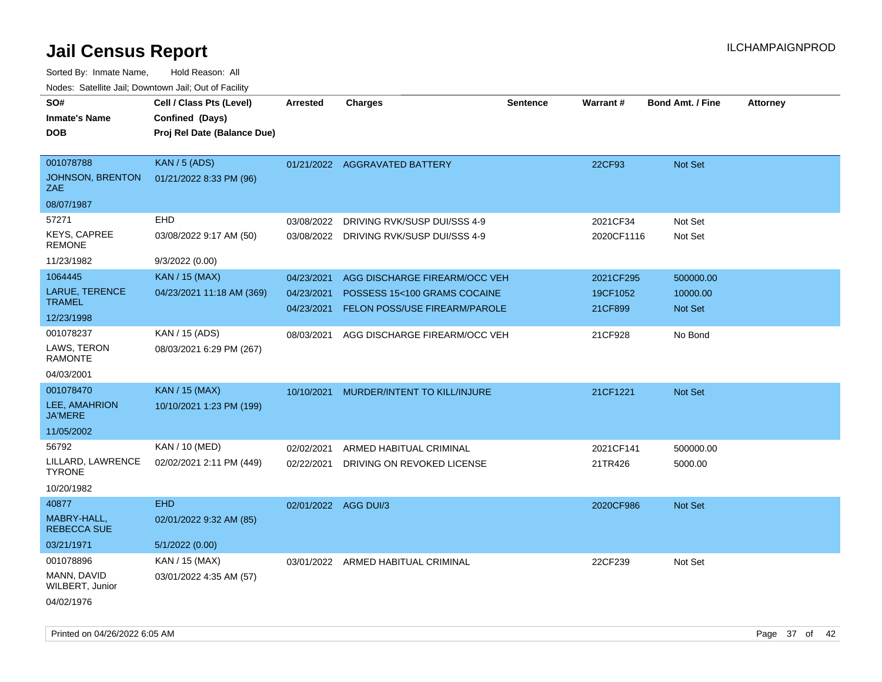| SO#<br><b>Inmate's Name</b><br><b>DOB</b> | Cell / Class Pts (Level)<br>Confined (Days)<br>Proj Rel Date (Balance Due) | <b>Arrested</b>      | <b>Charges</b>                       | <b>Sentence</b> | Warrant#   | <b>Bond Amt. / Fine</b> | <b>Attorney</b> |
|-------------------------------------------|----------------------------------------------------------------------------|----------------------|--------------------------------------|-----------------|------------|-------------------------|-----------------|
|                                           |                                                                            |                      |                                      |                 |            |                         |                 |
| 001078788                                 | <b>KAN / 5 (ADS)</b>                                                       |                      | 01/21/2022 AGGRAVATED BATTERY        |                 | 22CF93     | Not Set                 |                 |
| <b>JOHNSON, BRENTON</b><br>ZAE            | 01/21/2022 8:33 PM (96)                                                    |                      |                                      |                 |            |                         |                 |
| 08/07/1987                                |                                                                            |                      |                                      |                 |            |                         |                 |
| 57271                                     | EHD                                                                        | 03/08/2022           | DRIVING RVK/SUSP DUI/SSS 4-9         |                 | 2021CF34   | Not Set                 |                 |
| <b>KEYS, CAPREE</b><br><b>REMONE</b>      | 03/08/2022 9:17 AM (50)                                                    | 03/08/2022           | DRIVING RVK/SUSP DUI/SSS 4-9         |                 | 2020CF1116 | Not Set                 |                 |
| 11/23/1982                                | 9/3/2022 (0.00)                                                            |                      |                                      |                 |            |                         |                 |
| 1064445                                   | <b>KAN / 15 (MAX)</b>                                                      | 04/23/2021           | AGG DISCHARGE FIREARM/OCC VEH        |                 | 2021CF295  | 500000.00               |                 |
| <b>LARUE, TERENCE</b>                     | 04/23/2021 11:18 AM (369)                                                  | 04/23/2021           | POSSESS 15<100 GRAMS COCAINE         |                 | 19CF1052   | 10000.00                |                 |
| <b>TRAMEL</b>                             |                                                                            | 04/23/2021           | <b>FELON POSS/USE FIREARM/PAROLE</b> |                 | 21CF899    | <b>Not Set</b>          |                 |
| 12/23/1998                                |                                                                            |                      |                                      |                 |            |                         |                 |
| 001078237                                 | KAN / 15 (ADS)                                                             | 08/03/2021           | AGG DISCHARGE FIREARM/OCC VEH        |                 | 21CF928    | No Bond                 |                 |
| LAWS, TERON<br><b>RAMONTE</b>             | 08/03/2021 6:29 PM (267)                                                   |                      |                                      |                 |            |                         |                 |
| 04/03/2001                                |                                                                            |                      |                                      |                 |            |                         |                 |
| 001078470                                 | KAN / 15 (MAX)                                                             | 10/10/2021           | MURDER/INTENT TO KILL/INJURE         |                 | 21CF1221   | <b>Not Set</b>          |                 |
| LEE, AMAHRION<br><b>JA'MERE</b>           | 10/10/2021 1:23 PM (199)                                                   |                      |                                      |                 |            |                         |                 |
| 11/05/2002                                |                                                                            |                      |                                      |                 |            |                         |                 |
| 56792                                     | KAN / 10 (MED)                                                             | 02/02/2021           | ARMED HABITUAL CRIMINAL              |                 | 2021CF141  | 500000.00               |                 |
| LILLARD, LAWRENCE<br><b>TYRONE</b>        | 02/02/2021 2:11 PM (449)                                                   | 02/22/2021           | DRIVING ON REVOKED LICENSE           |                 | 21TR426    | 5000.00                 |                 |
| 10/20/1982                                |                                                                            |                      |                                      |                 |            |                         |                 |
| 40877                                     | <b>EHD</b>                                                                 | 02/01/2022 AGG DUI/3 |                                      |                 | 2020CF986  | Not Set                 |                 |
| MABRY-HALL,<br><b>REBECCA SUE</b>         | 02/01/2022 9:32 AM (85)                                                    |                      |                                      |                 |            |                         |                 |
| 03/21/1971                                | 5/1/2022(0.00)                                                             |                      |                                      |                 |            |                         |                 |
| 001078896                                 | KAN / 15 (MAX)                                                             |                      | 03/01/2022 ARMED HABITUAL CRIMINAL   |                 | 22CF239    | Not Set                 |                 |
| MANN, DAVID<br>WILBERT, Junior            | 03/01/2022 4:35 AM (57)                                                    |                      |                                      |                 |            |                         |                 |
| 04/02/1976                                |                                                                            |                      |                                      |                 |            |                         |                 |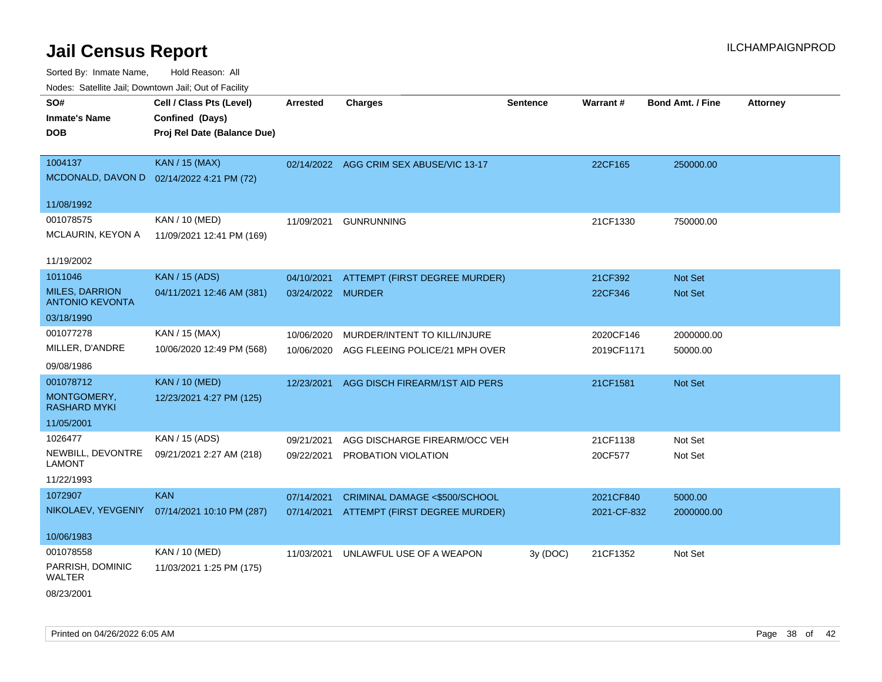Sorted By: Inmate Name, Hold Reason: All Nodes: Satellite Jail; Downtown Jail; Out of Facility

| voues. Salemie Jan, Downtown Jan, Out of Facility |                                           |                   |                                         |                 |             |                         |                 |
|---------------------------------------------------|-------------------------------------------|-------------------|-----------------------------------------|-----------------|-------------|-------------------------|-----------------|
| SO#                                               | Cell / Class Pts (Level)                  | <b>Arrested</b>   | <b>Charges</b>                          | <b>Sentence</b> | Warrant#    | <b>Bond Amt. / Fine</b> | <b>Attorney</b> |
| <b>Inmate's Name</b>                              | Confined (Days)                           |                   |                                         |                 |             |                         |                 |
| <b>DOB</b>                                        | Proj Rel Date (Balance Due)               |                   |                                         |                 |             |                         |                 |
|                                                   |                                           |                   |                                         |                 |             |                         |                 |
| 1004137                                           | KAN / 15 (MAX)                            |                   | 02/14/2022 AGG CRIM SEX ABUSE/VIC 13-17 |                 | 22CF165     | 250000.00               |                 |
|                                                   | MCDONALD, DAVON D 02/14/2022 4:21 PM (72) |                   |                                         |                 |             |                         |                 |
| 11/08/1992                                        |                                           |                   |                                         |                 |             |                         |                 |
| 001078575                                         | KAN / 10 (MED)                            | 11/09/2021        | <b>GUNRUNNING</b>                       |                 | 21CF1330    | 750000.00               |                 |
| MCLAURIN, KEYON A                                 | 11/09/2021 12:41 PM (169)                 |                   |                                         |                 |             |                         |                 |
|                                                   |                                           |                   |                                         |                 |             |                         |                 |
| 11/19/2002                                        |                                           |                   |                                         |                 |             |                         |                 |
| 1011046                                           | <b>KAN / 15 (ADS)</b>                     | 04/10/2021        | ATTEMPT (FIRST DEGREE MURDER)           |                 | 21CF392     | Not Set                 |                 |
| <b>MILES, DARRION</b><br><b>ANTONIO KEVONTA</b>   | 04/11/2021 12:46 AM (381)                 | 03/24/2022 MURDER |                                         |                 | 22CF346     | <b>Not Set</b>          |                 |
| 03/18/1990                                        |                                           |                   |                                         |                 |             |                         |                 |
| 001077278                                         | KAN / 15 (MAX)                            | 10/06/2020        | MURDER/INTENT TO KILL/INJURE            |                 | 2020CF146   | 2000000.00              |                 |
| MILLER, D'ANDRE                                   | 10/06/2020 12:49 PM (568)                 | 10/06/2020        | AGG FLEEING POLICE/21 MPH OVER          |                 | 2019CF1171  | 50000.00                |                 |
| 09/08/1986                                        |                                           |                   |                                         |                 |             |                         |                 |
| 001078712                                         | <b>KAN / 10 (MED)</b>                     | 12/23/2021        | AGG DISCH FIREARM/1ST AID PERS          |                 | 21CF1581    | Not Set                 |                 |
| MONTGOMERY,<br>RASHARD MYKI                       | 12/23/2021 4:27 PM (125)                  |                   |                                         |                 |             |                         |                 |
| 11/05/2001                                        |                                           |                   |                                         |                 |             |                         |                 |
| 1026477                                           | KAN / 15 (ADS)                            | 09/21/2021        | AGG DISCHARGE FIREARM/OCC VEH           |                 | 21CF1138    | Not Set                 |                 |
| NEWBILL, DEVONTRE                                 | 09/21/2021 2:27 AM (218)                  | 09/22/2021        | PROBATION VIOLATION                     |                 | 20CF577     | Not Set                 |                 |
| <b>LAMONT</b>                                     |                                           |                   |                                         |                 |             |                         |                 |
| 11/22/1993                                        |                                           |                   |                                         |                 |             |                         |                 |
| 1072907                                           | <b>KAN</b>                                | 07/14/2021        | CRIMINAL DAMAGE <\$500/SCHOOL           |                 | 2021CF840   | 5000.00                 |                 |
| NIKOLAEV, YEVGENIY                                | 07/14/2021 10:10 PM (287)                 | 07/14/2021        | ATTEMPT (FIRST DEGREE MURDER)           |                 | 2021-CF-832 | 2000000.00              |                 |
|                                                   |                                           |                   |                                         |                 |             |                         |                 |
| 10/06/1983                                        |                                           |                   |                                         |                 |             |                         |                 |
| 001078558                                         | KAN / 10 (MED)                            | 11/03/2021        | UNLAWFUL USE OF A WEAPON                | 3y (DOC)        | 21CF1352    | Not Set                 |                 |
| PARRISH, DOMINIC<br>WALTER                        | 11/03/2021 1:25 PM (175)                  |                   |                                         |                 |             |                         |                 |
| $\frac{1}{2}$                                     |                                           |                   |                                         |                 |             |                         |                 |

08/23/2001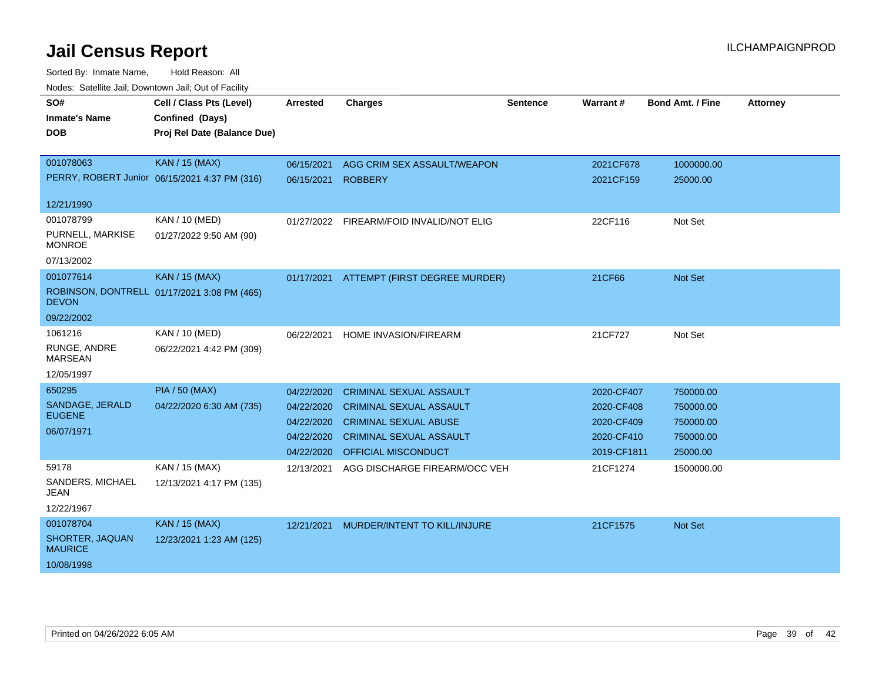| SO#<br><b>Inmate's Name</b><br><b>DOB</b> | Cell / Class Pts (Level)<br>Confined (Days)<br>Proj Rel Date (Balance Due) | <b>Arrested</b> | <b>Charges</b>                 | Sentence | Warrant#    | <b>Bond Amt. / Fine</b> | <b>Attorney</b> |
|-------------------------------------------|----------------------------------------------------------------------------|-----------------|--------------------------------|----------|-------------|-------------------------|-----------------|
| 001078063                                 | KAN / 15 (MAX)                                                             | 06/15/2021      | AGG CRIM SEX ASSAULT/WEAPON    |          | 2021CF678   | 1000000.00              |                 |
|                                           | PERRY, ROBERT Junior 06/15/2021 4:37 PM (316)                              | 06/15/2021      | <b>ROBBERY</b>                 |          | 2021CF159   | 25000.00                |                 |
| 12/21/1990                                |                                                                            |                 |                                |          |             |                         |                 |
| 001078799                                 | KAN / 10 (MED)                                                             | 01/27/2022      | FIREARM/FOID INVALID/NOT ELIG  |          | 22CF116     | Not Set                 |                 |
| PURNELL, MARKISE<br><b>MONROE</b>         | 01/27/2022 9:50 AM (90)                                                    |                 |                                |          |             |                         |                 |
| 07/13/2002                                |                                                                            |                 |                                |          |             |                         |                 |
| 001077614                                 | <b>KAN / 15 (MAX)</b>                                                      | 01/17/2021      | ATTEMPT (FIRST DEGREE MURDER)  |          | 21CF66      | Not Set                 |                 |
| <b>DEVON</b>                              | ROBINSON, DONTRELL 01/17/2021 3:08 PM (465)                                |                 |                                |          |             |                         |                 |
| 09/22/2002                                |                                                                            |                 |                                |          |             |                         |                 |
| 1061216                                   | KAN / 10 (MED)                                                             | 06/22/2021      | HOME INVASION/FIREARM          |          | 21CF727     | Not Set                 |                 |
| RUNGE, ANDRE<br><b>MARSEAN</b>            | 06/22/2021 4:42 PM (309)                                                   |                 |                                |          |             |                         |                 |
| 12/05/1997                                |                                                                            |                 |                                |          |             |                         |                 |
| 650295                                    | <b>PIA / 50 (MAX)</b>                                                      | 04/22/2020      | <b>CRIMINAL SEXUAL ASSAULT</b> |          | 2020-CF407  | 750000.00               |                 |
| SANDAGE, JERALD                           | 04/22/2020 6:30 AM (735)                                                   | 04/22/2020      | <b>CRIMINAL SEXUAL ASSAULT</b> |          | 2020-CF408  | 750000.00               |                 |
| <b>EUGENE</b>                             |                                                                            | 04/22/2020      | <b>CRIMINAL SEXUAL ABUSE</b>   |          | 2020-CF409  | 750000.00               |                 |
| 06/07/1971                                |                                                                            | 04/22/2020      | <b>CRIMINAL SEXUAL ASSAULT</b> |          | 2020-CF410  | 750000.00               |                 |
|                                           |                                                                            | 04/22/2020      | OFFICIAL MISCONDUCT            |          | 2019-CF1811 | 25000.00                |                 |
| 59178                                     | KAN / 15 (MAX)                                                             | 12/13/2021      | AGG DISCHARGE FIREARM/OCC VEH  |          | 21CF1274    | 1500000.00              |                 |
| SANDERS, MICHAEL<br>JEAN                  | 12/13/2021 4:17 PM (135)                                                   |                 |                                |          |             |                         |                 |
| 12/22/1967                                |                                                                            |                 |                                |          |             |                         |                 |
| 001078704                                 | <b>KAN / 15 (MAX)</b>                                                      | 12/21/2021      | MURDER/INTENT TO KILL/INJURE   |          | 21CF1575    | <b>Not Set</b>          |                 |
| SHORTER, JAQUAN<br><b>MAURICE</b>         | 12/23/2021 1:23 AM (125)                                                   |                 |                                |          |             |                         |                 |
| 10/08/1998                                |                                                                            |                 |                                |          |             |                         |                 |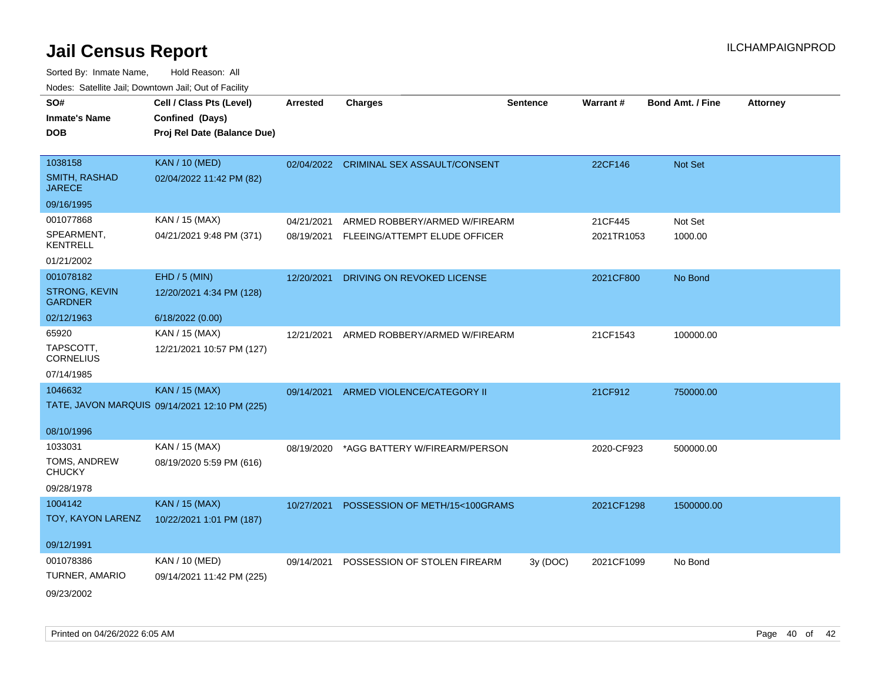| SO#<br><b>Inmate's Name</b><br><b>DOB</b> | Cell / Class Pts (Level)<br>Confined (Days)<br>Proj Rel Date (Balance Due) | <b>Arrested</b> | <b>Charges</b>                          | <b>Sentence</b> | Warrant#   | <b>Bond Amt. / Fine</b> | <b>Attorney</b> |
|-------------------------------------------|----------------------------------------------------------------------------|-----------------|-----------------------------------------|-----------------|------------|-------------------------|-----------------|
| 1038158                                   | <b>KAN / 10 (MED)</b>                                                      |                 | 02/04/2022 CRIMINAL SEX ASSAULT/CONSENT |                 | 22CF146    | Not Set                 |                 |
| <b>SMITH, RASHAD</b><br><b>JARECE</b>     | 02/04/2022 11:42 PM (82)                                                   |                 |                                         |                 |            |                         |                 |
| 09/16/1995                                |                                                                            |                 |                                         |                 |            |                         |                 |
| 001077868                                 | KAN / 15 (MAX)                                                             | 04/21/2021      | ARMED ROBBERY/ARMED W/FIREARM           |                 | 21CF445    | Not Set                 |                 |
| SPEARMENT,<br><b>KENTRELL</b>             | 04/21/2021 9:48 PM (371)                                                   | 08/19/2021      | FLEEING/ATTEMPT ELUDE OFFICER           |                 | 2021TR1053 | 1000.00                 |                 |
| 01/21/2002                                |                                                                            |                 |                                         |                 |            |                         |                 |
| 001078182                                 | $EHD / 5$ (MIN)                                                            | 12/20/2021      | DRIVING ON REVOKED LICENSE              |                 | 2021CF800  | No Bond                 |                 |
| STRONG, KEVIN<br><b>GARDNER</b>           | 12/20/2021 4:34 PM (128)                                                   |                 |                                         |                 |            |                         |                 |
| 02/12/1963                                | 6/18/2022 (0.00)                                                           |                 |                                         |                 |            |                         |                 |
| 65920                                     | KAN / 15 (MAX)                                                             | 12/21/2021      | ARMED ROBBERY/ARMED W/FIREARM           |                 | 21CF1543   | 100000.00               |                 |
| TAPSCOTT,<br><b>CORNELIUS</b>             | 12/21/2021 10:57 PM (127)                                                  |                 |                                         |                 |            |                         |                 |
| 07/14/1985                                |                                                                            |                 |                                         |                 |            |                         |                 |
| 1046632                                   | <b>KAN / 15 (MAX)</b>                                                      | 09/14/2021      | ARMED VIOLENCE/CATEGORY II              |                 | 21CF912    | 750000.00               |                 |
|                                           | TATE, JAVON MARQUIS 09/14/2021 12:10 PM (225)                              |                 |                                         |                 |            |                         |                 |
| 08/10/1996                                |                                                                            |                 |                                         |                 |            |                         |                 |
| 1033031                                   | KAN / 15 (MAX)                                                             | 08/19/2020      | *AGG BATTERY W/FIREARM/PERSON           |                 | 2020-CF923 | 500000.00               |                 |
| TOMS, ANDREW<br><b>CHUCKY</b>             | 08/19/2020 5:59 PM (616)                                                   |                 |                                         |                 |            |                         |                 |
| 09/28/1978                                |                                                                            |                 |                                         |                 |            |                         |                 |
| 1004142                                   | <b>KAN / 15 (MAX)</b>                                                      | 10/27/2021      | POSSESSION OF METH/15<100GRAMS          |                 | 2021CF1298 | 1500000.00              |                 |
| TOY, KAYON LARENZ                         | 10/22/2021 1:01 PM (187)                                                   |                 |                                         |                 |            |                         |                 |
| 09/12/1991                                |                                                                            |                 |                                         |                 |            |                         |                 |
| 001078386                                 | KAN / 10 (MED)                                                             | 09/14/2021      | POSSESSION OF STOLEN FIREARM            | 3y(DOC)         | 2021CF1099 | No Bond                 |                 |
| TURNER, AMARIO                            | 09/14/2021 11:42 PM (225)                                                  |                 |                                         |                 |            |                         |                 |
| 09/23/2002                                |                                                                            |                 |                                         |                 |            |                         |                 |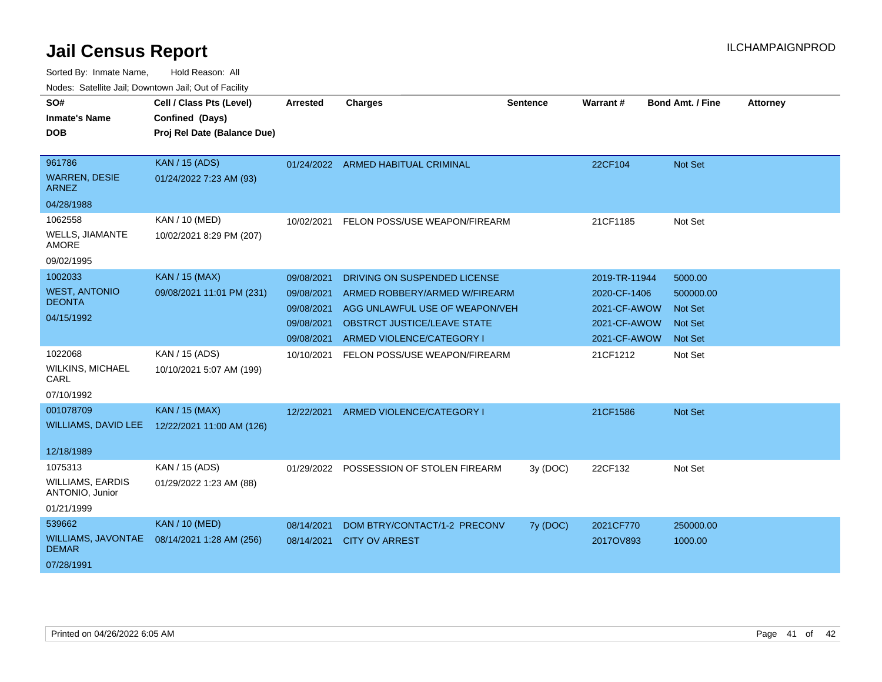| SO#<br><b>Inmate's Name</b>                | Cell / Class Pts (Level)<br>Confined (Days) | <b>Arrested</b> | <b>Charges</b>                          | <b>Sentence</b> | Warrant#      | <b>Bond Amt. / Fine</b> | <b>Attorney</b> |
|--------------------------------------------|---------------------------------------------|-----------------|-----------------------------------------|-----------------|---------------|-------------------------|-----------------|
| <b>DOB</b>                                 | Proj Rel Date (Balance Due)                 |                 |                                         |                 |               |                         |                 |
|                                            |                                             |                 |                                         |                 |               |                         |                 |
| 961786                                     | KAN / 15 (ADS)                              |                 | 01/24/2022 ARMED HABITUAL CRIMINAL      |                 | 22CF104       | <b>Not Set</b>          |                 |
| <b>WARREN, DESIE</b><br>ARNEZ              | 01/24/2022 7:23 AM (93)                     |                 |                                         |                 |               |                         |                 |
| 04/28/1988                                 |                                             |                 |                                         |                 |               |                         |                 |
| 1062558                                    | KAN / 10 (MED)                              | 10/02/2021      | FELON POSS/USE WEAPON/FIREARM           |                 | 21CF1185      | Not Set                 |                 |
| <b>WELLS, JIAMANTE</b><br><b>AMORE</b>     | 10/02/2021 8:29 PM (207)                    |                 |                                         |                 |               |                         |                 |
| 09/02/1995                                 |                                             |                 |                                         |                 |               |                         |                 |
| 1002033                                    | <b>KAN / 15 (MAX)</b>                       | 09/08/2021      | DRIVING ON SUSPENDED LICENSE            |                 | 2019-TR-11944 | 5000.00                 |                 |
| <b>WEST, ANTONIO</b>                       | 09/08/2021 11:01 PM (231)                   | 09/08/2021      | ARMED ROBBERY/ARMED W/FIREARM           |                 | 2020-CF-1406  | 500000.00               |                 |
| <b>DEONTA</b>                              |                                             | 09/08/2021      | AGG UNLAWFUL USE OF WEAPON/VEH          |                 | 2021-CF-AWOW  | <b>Not Set</b>          |                 |
| 04/15/1992                                 |                                             | 09/08/2021      | <b>OBSTRCT JUSTICE/LEAVE STATE</b>      |                 | 2021-CF-AWOW  | <b>Not Set</b>          |                 |
|                                            |                                             | 09/08/2021      | ARMED VIOLENCE/CATEGORY I               |                 | 2021-CF-AWOW  | <b>Not Set</b>          |                 |
| 1022068                                    | KAN / 15 (ADS)                              | 10/10/2021      | FELON POSS/USE WEAPON/FIREARM           |                 | 21CF1212      | Not Set                 |                 |
| <b>WILKINS, MICHAEL</b><br>CARL            | 10/10/2021 5:07 AM (199)                    |                 |                                         |                 |               |                         |                 |
| 07/10/1992                                 |                                             |                 |                                         |                 |               |                         |                 |
| 001078709                                  | <b>KAN / 15 (MAX)</b>                       | 12/22/2021      | ARMED VIOLENCE/CATEGORY I               |                 | 21CF1586      | Not Set                 |                 |
| <b>WILLIAMS, DAVID LEE</b>                 | 12/22/2021 11:00 AM (126)                   |                 |                                         |                 |               |                         |                 |
| 12/18/1989                                 |                                             |                 |                                         |                 |               |                         |                 |
| 1075313                                    | KAN / 15 (ADS)                              |                 | 01/29/2022 POSSESSION OF STOLEN FIREARM | 3y (DOC)        | 22CF132       | Not Set                 |                 |
| <b>WILLIAMS, EARDIS</b><br>ANTONIO, Junior | 01/29/2022 1:23 AM (88)                     |                 |                                         |                 |               |                         |                 |
| 01/21/1999                                 |                                             |                 |                                         |                 |               |                         |                 |
| 539662                                     | <b>KAN / 10 (MED)</b>                       | 08/14/2021      | DOM BTRY/CONTACT/1-2 PRECONV            | 7y (DOC)        | 2021CF770     | 250000.00               |                 |
| <b>WILLIAMS, JAVONTAE</b><br><b>DEMAR</b>  | 08/14/2021 1:28 AM (256)                    | 08/14/2021      | <b>CITY OV ARREST</b>                   |                 | 2017OV893     | 1000.00                 |                 |
| 07/28/1991                                 |                                             |                 |                                         |                 |               |                         |                 |